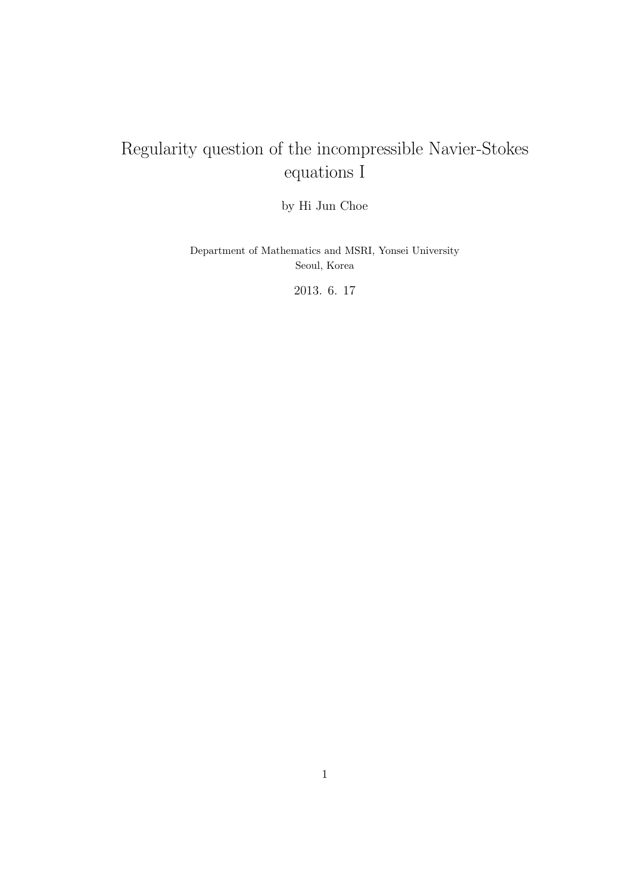# Regularity question of the incompressible Navier-Stokes equations I

by Hi Jun Choe

Department of Mathematics and MSRI, Yonsei University Seoul, Korea

2013. 6. 17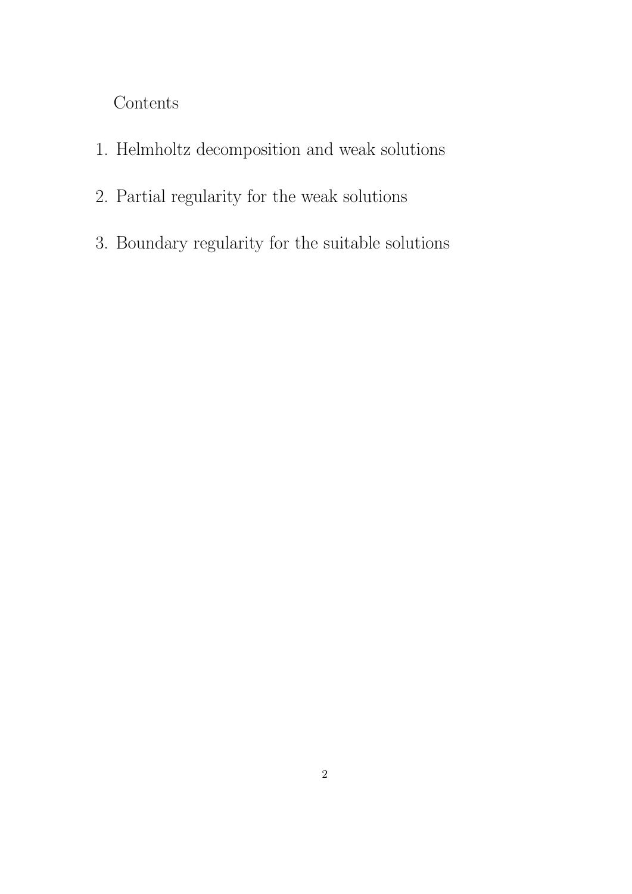Contents

- 1. Helmholtz decomposition and weak solutions
- 2. Partial regularity for the weak solutions
- 3. Boundary regularity for the suitable solutions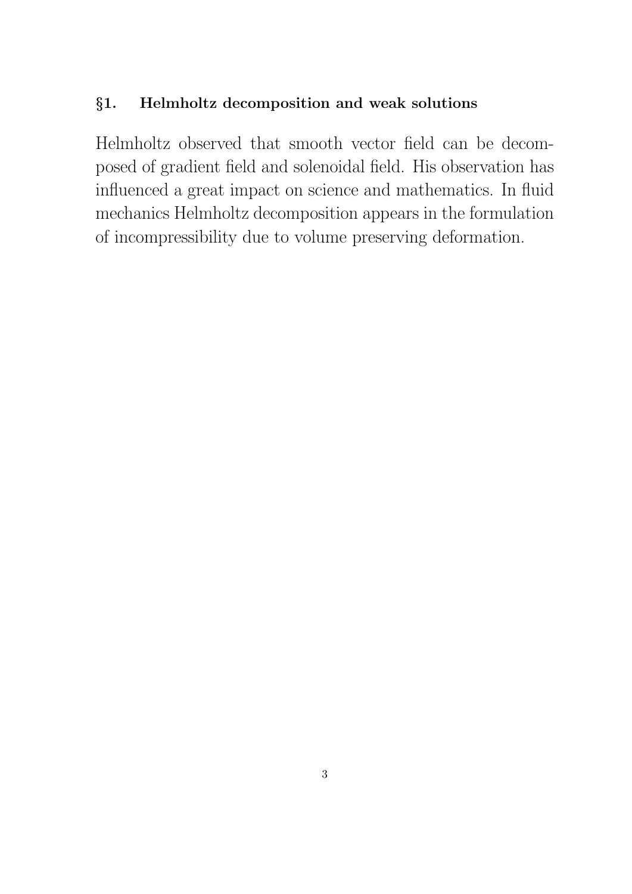## §1. Helmholtz decomposition and weak solutions

Helmholtz observed that smooth vector field can be decomposed of gradient field and solenoidal field. His observation has influenced a great impact on science and mathematics. In fluid mechanics Helmholtz decomposition appears in the formulation of incompressibility due to volume preserving deformation.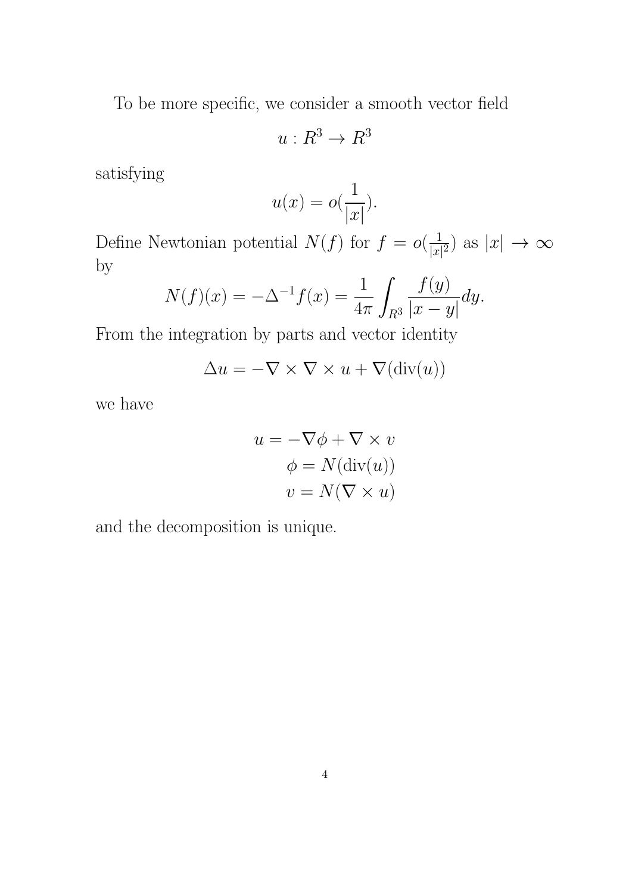To be more specific, we consider a smooth vector field

$$
u: R^3 \to R^3
$$

satisfying

$$
u(x) = o(\frac{1}{|x|}).
$$

Define Newtonian potential  $N(f)$  for  $f = o(\frac{1}{|x|})$  $\frac{1}{|x|^2}$  as  $|x| \to \infty$ by

$$
N(f)(x) = -\Delta^{-1} f(x) = \frac{1}{4\pi} \int_{R^3} \frac{f(y)}{|x - y|} dy.
$$

From the integration by parts and vector identity

$$
\Delta u = -\nabla \times \nabla \times u + \nabla(\text{div}(u))
$$

we have

$$
u = -\nabla \phi + \nabla \times v
$$

$$
\phi = N(\text{div}(u))
$$

$$
v = N(\nabla \times u)
$$

and the decomposition is unique.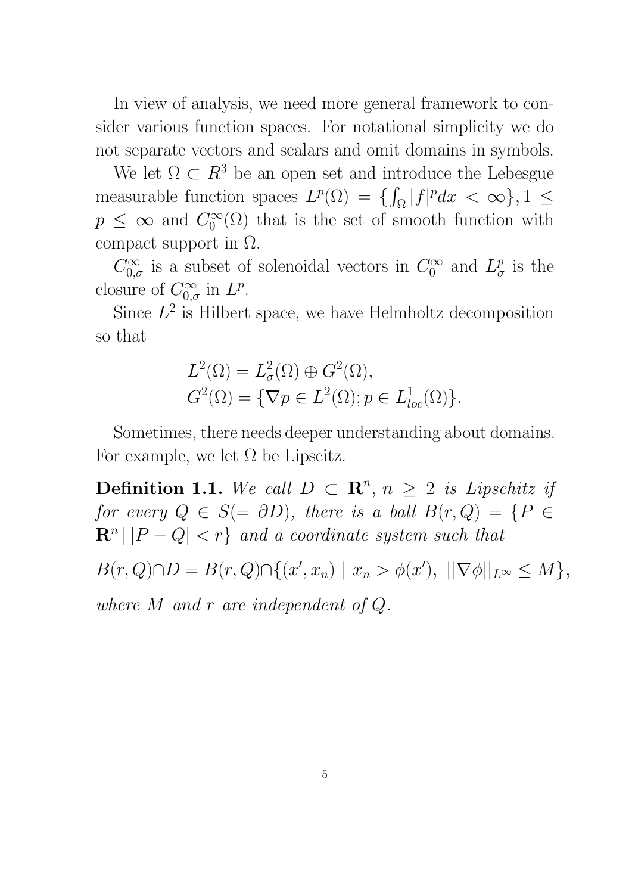In view of analysis, we need more general framework to consider various function spaces. For notational simplicity we do not separate vectors and scalars and omit domains in symbols.

We let  $\Omega \subset R^3$  be an open set and introduce the Lebesgue measurable function spaces  $L^p(\Omega) = \{ \int_{\Omega} |f|^p dx < \infty \}, 1 \leq$  $p \leq \infty$  and  $C_0^{\infty}$  $\int_0^\infty$  ( $\Omega$ ) that is the set of smooth function with compact support in  $\Omega$ .

 $C_{0,\sigma}^{\infty}$  is a subset of solenoidal vectors in  $C_0^{\infty}$  $\int_0^\infty$  and  $L^p_\sigma$  $\frac{p}{\sigma}$  is the closure of  $C_{0,\sigma}^{\infty}$  in  $L^p$ .

Since  $L^2$  is Hilbert space, we have Helmholtz decomposition so that

$$
L^{2}(\Omega) = L^{2}_{\sigma}(\Omega) \oplus G^{2}(\Omega),
$$
  

$$
G^{2}(\Omega) = \{ \nabla p \in L^{2}(\Omega); p \in L^{1}_{loc}(\Omega) \}.
$$

Sometimes, there needs deeper understanding about domains. For example, we let  $\Omega$  be Lipscitz.

**Definition 1.1.** We call  $D \subset \mathbb{R}^n$ ,  $n \geq 2$  is Lipschitz if for every  $Q \in S(=\partial D)$ , there is a ball  $B(r, Q) = \{P \in$  $\mathbf{R}^n \, | \, |P - Q| < r$  and a coordinate system such that

 $B(r, Q) \cap D = B(r, Q) \cap \{(x', x_n) \mid x_n > \phi(x'), \ ||\nabla \phi||_{L^{\infty}} \leq M\},\$ 

where M and r are independent of Q.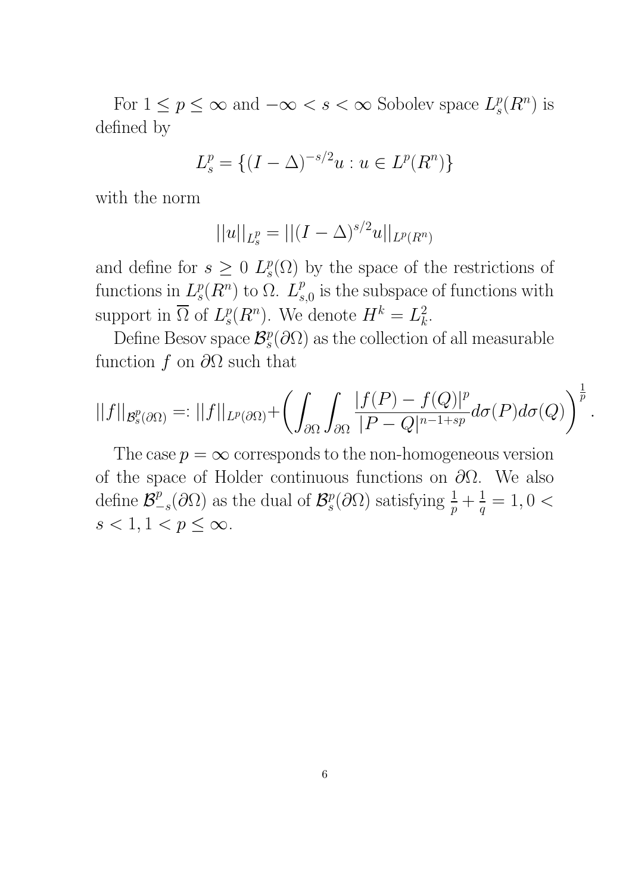For  $1 \leq p \leq \infty$  and  $-\infty < s < \infty$  Sobolev space  $L_s^p$  $_{s}^{p}(R^{n})$  is defined by

$$
L_s^p = \{ (I - \Delta)^{-s/2} u : u \in L^p(R^n) \}
$$

with the norm

$$
||u||_{L_s^p} = ||(I - \Delta)^{s/2} u||_{L^p(R^n)}
$$

and define for  $s \geq 0$   $L_s^p$  $s(\Omega)$  by the space of the restrictions of functions in  $L_s^p$  $_{s}^{p}(R^{n})$  to  $\Omega$ .  $L_{s}^{p}$  $_{s,0}^p$  is the subspace of functions with support in  $\overline{\Omega}$  of  $L^p_s$  $\mathcal{L}_s^p(R^n)$ . We denote  $H^k = L_k^2$  $\frac{2}{k}$ .

Define Besov space  $\mathcal{B}_{s}^{p}$  $s^p$ ( $\partial\Omega$ ) as the collection of all measurable function f on  $\partial\Omega$  such that

$$
||f||_{\mathcal{B}^p_s(\partial\Omega)} =: ||f||_{L^p(\partial\Omega)} + \left(\int_{\partial\Omega} \int_{\partial\Omega} \frac{|f(P) - f(Q)|^p}{|P - Q|^{n-1+sp}} d\sigma(P) d\sigma(Q)\right)^{\frac{1}{p}}
$$

.

The case  $p = \infty$  corresponds to the non-homogeneous version of the space of Holder continuous functions on  $\partial\Omega$ . We also define  $\mathcal{B}^p_ \frac{p}{-s}(\partial\Omega)$  as the dual of  $\mathcal{B}_{s}^{p}$  $s^p(\partial\Omega)$  satisfying  $\frac{1}{p} + \frac{1}{q}$  $\frac{1}{q} = 1, 0 <$  $s < 1, 1 < p \leq \infty$ .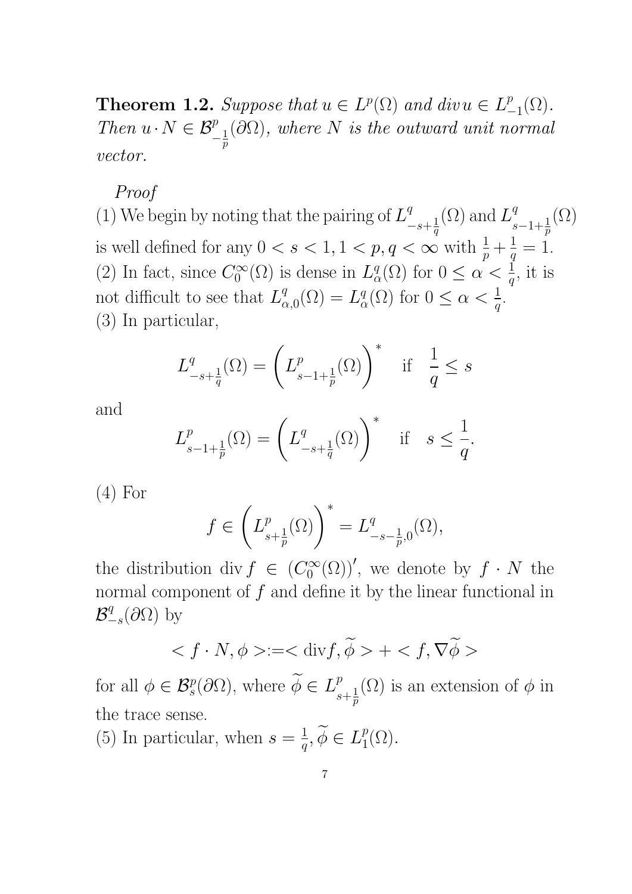**Theorem 1.2.** Suppose that  $u \in L^p(\Omega)$  and div $u \in L^p$  $_{-1}^{p}(\Omega).$ Then  $u \cdot N \in \mathcal{B}_{-\frac{1}{n}}^p$  $\overline{p}$  $(\partial\Omega)$ , where N is the outward unit normal vector.

### Proof

(1) We begin by noting that the pairing of  $L^q$  $-s+\frac{1}{a}$  $\overline{q}$  $(\Omega)$  and  $L^q$  $s-1+\frac{1}{p}$  $(\Omega)$ is well defined for any  $0 < s < 1, 1 < p, q < \infty$  with  $\frac{1}{p} + \frac{1}{q}$  $\frac{1}{q} = 1.$ (2) In fact, since  $C_0^{\infty}$  $\mathcal{O}_0^{\infty}(\Omega)$  is dense in  $L^q_c$  $\frac{q}{\alpha}(\Omega)$  for  $0 \leq \alpha < \frac{1}{q}$ , it is not difficult to see that  $L^q_{\alpha}$  $_{\alpha,0}^{q}(\Omega)=L_{c}^{q}$  $\frac{q}{\alpha}(\Omega)$  for  $0 \leq \alpha < \frac{1}{q}$ . (3) In particular,

$$
L_{-s+\frac{1}{q}}^q(\Omega) = \left(L_{s-1+\frac{1}{p}}^p(\Omega)\right)^* \quad \text{if} \quad \frac{1}{q} \le s
$$

and

$$
L_{s-1+\frac{1}{p}}^p(\Omega) = \left(L_{-s+\frac{1}{q}}^q(\Omega)\right)^* \quad \text{if} \quad s \le \frac{1}{q}.
$$

 $(4)$  For

$$
f\in \left(L^p_{s+\frac{1}{p}}(\Omega)\right)^*=L^q_{-s-\frac{1}{p},0}(\Omega),
$$

the distribution div  $f \in (C_0^{\infty})$  $\mathcal{O}_0^{\infty}(\Omega)$ ', we denote by  $f \cdot N$  the normal component of  $f$  and define it by the linear functional in  $\mathcal{B}^q_ \frac{q}{-s}(\partial\Omega)$  by

$$
\langle f \cdot N, \phi \rangle = \langle \operatorname{div} f, \widetilde{\phi} \rangle + \langle f, \nabla \widetilde{\phi} \rangle
$$

for all  $\phi \in \mathcal{B}_{s}^{p}(\partial \Omega)$ , where  $\widetilde{\phi} \in L_{s}^{p}$  $s+\frac{1}{n}$  $\overline{p}$  $(\Omega)$  is an extension of  $\phi$  in the trace sense.

(5) In particular, when  $s=\frac{1}{a}$  $\frac{1}{q}, \widetilde{\phi} \in L_1^p$  $_{1}^{p}(\Omega).$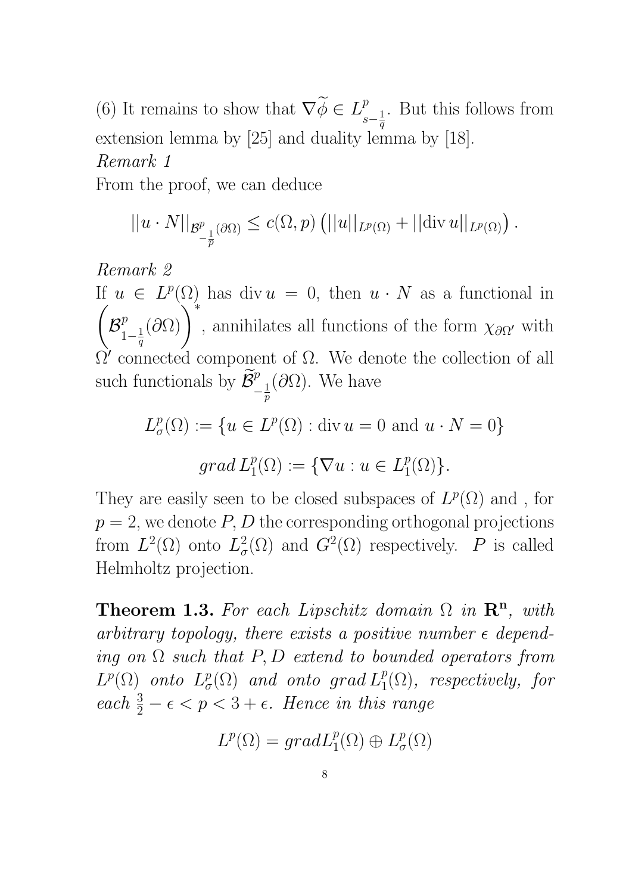(6) It remains to show that  $\nabla \widetilde{\phi} \in L^p_s$  $s-\frac{1}{a}$  $\overline{q}$ . But this follows from extension lemma by [25] and duality lemma by [18]. Remark 1

From the proof, we can deduce

$$
||u \cdot N||_{\mathcal{B}^p_{-\frac{1}{p}}(\partial \Omega)} \leq c(\Omega, p) (||u||_{L^p(\Omega)} + ||\mathrm{div}\, u||_{L^p(\Omega)}).
$$

Remark 2

If  $u \in L^p(\Omega)$  has div  $u = 0$ , then  $u \cdot N$  as a functional in  $\sqrt{ }$  $\mathcal{B}^{p}_{1}$  $1-\frac{1}{a}$  $\overline{q}$  $(\partial\Omega)\bigg)^*$ , annihilates all functions of the form  $\chi_{\partial\Omega'}$  with  $\Omega'$  connected component of  $\Omega$ . We denote the collection of all such functionals by  $\widetilde{\mathcal{B}}_{-\frac{1}{n}}^p$  $\overline{p}$  $(∂Ω)$ . We have

$$
L^p_{\sigma}(\Omega) := \{ u \in L^p(\Omega) : \text{div } u = 0 \text{ and } u \cdot N = 0 \}
$$
  
grad 
$$
L^p_1(\Omega) := \{ \nabla u : u \in L^p_1(\Omega) \}.
$$

They are easily seen to be closed subspaces of  $L^p(\Omega)$  and, for  $p = 2$ , we denote P, D the corresponding orthogonal projections from  $L^2(\Omega)$  onto  $L^2_{\sigma}$  $G^2(\Omega)$  and  $G^2(\Omega)$  respectively. P is called Helmholtz projection.

Theorem 1.3. For each Lipschitz domain  $\Omega$  in  $\mathbb{R}^n$ , with arbitrary topology, there exists a positive number  $\epsilon$  depending on  $\Omega$  such that P, D extend to bounded operators from  $L^p(\Omega)$  onto  $L^p_\sigma$  $\mathcal{L}^p_{\sigma}(\Omega)$  and onto grad  $L^p_1(\Omega)$ , respectively, for each  $\frac{3}{2} - \epsilon < p < 3 + \epsilon$ . Hence in this range

$$
L^p(\Omega) = grad L_1^p(\Omega) \oplus L^p_\sigma(\Omega)
$$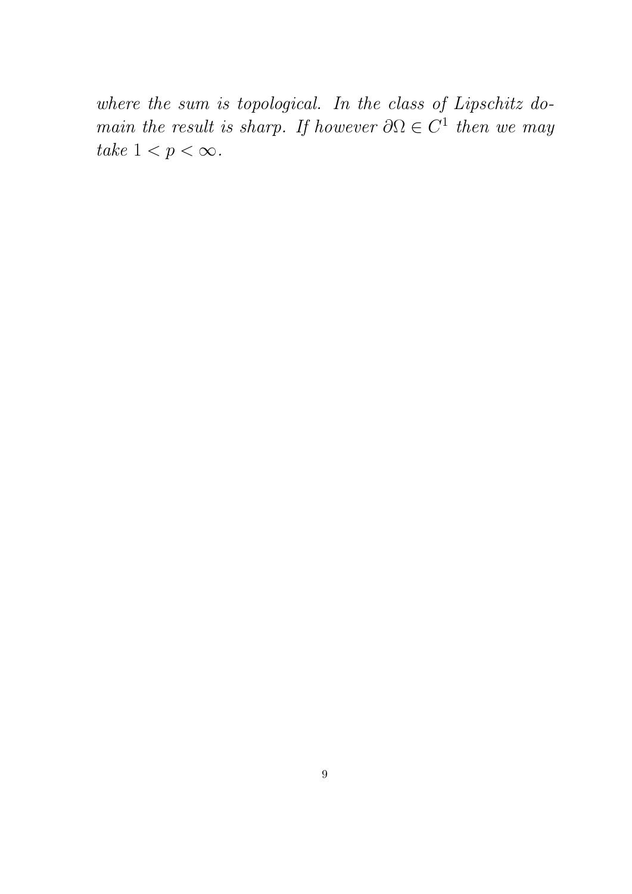where the sum is topological. In the class of Lipschitz domain the result is sharp. If however  $\partial \Omega \in C^1$  then we may take  $1 < p < \infty$ .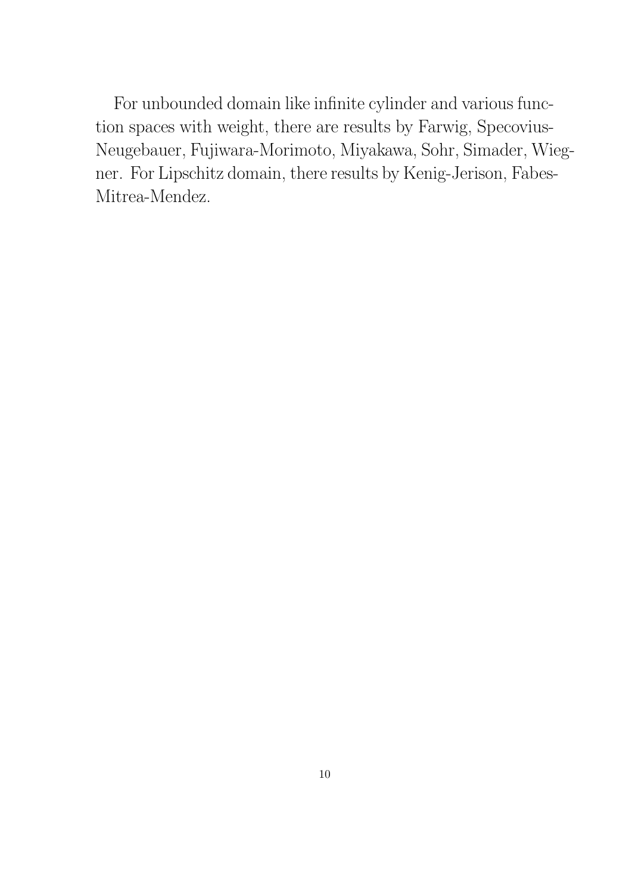For unbounded domain like infinite cylinder and various function spaces with weight, there are results by Farwig, Specovius-Neugebauer, Fujiwara-Morimoto, Miyakawa, Sohr, Simader, Wiegner. For Lipschitz domain, there results by Kenig-Jerison, Fabes-Mitrea-Mendez.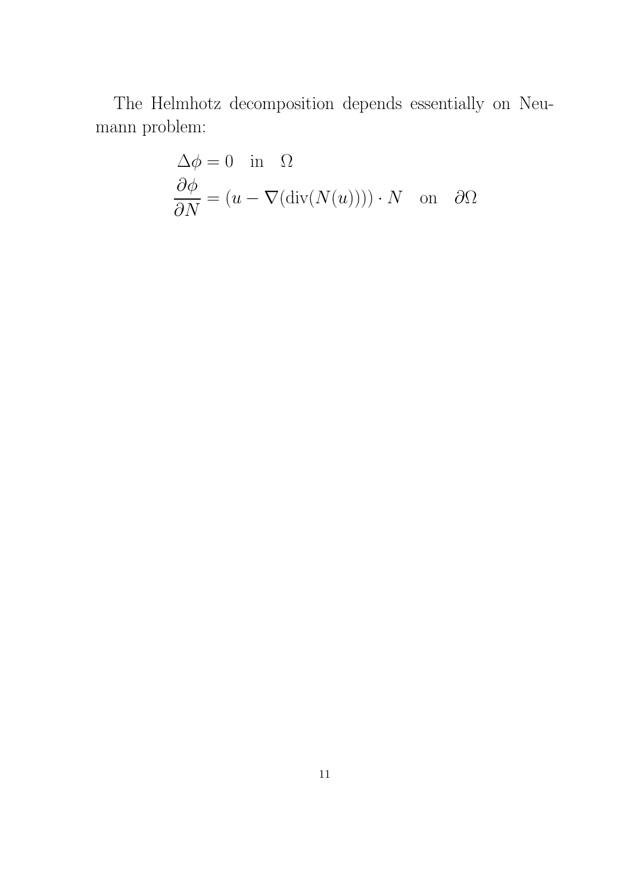The Helmhotz decomposition depends essentially on Neumann problem:

$$
\Delta \phi = 0 \text{ in } \Omega
$$
  

$$
\frac{\partial \phi}{\partial N} = (u - \nabla(\text{div}(N(u)))) \cdot N \text{ on } \partial \Omega
$$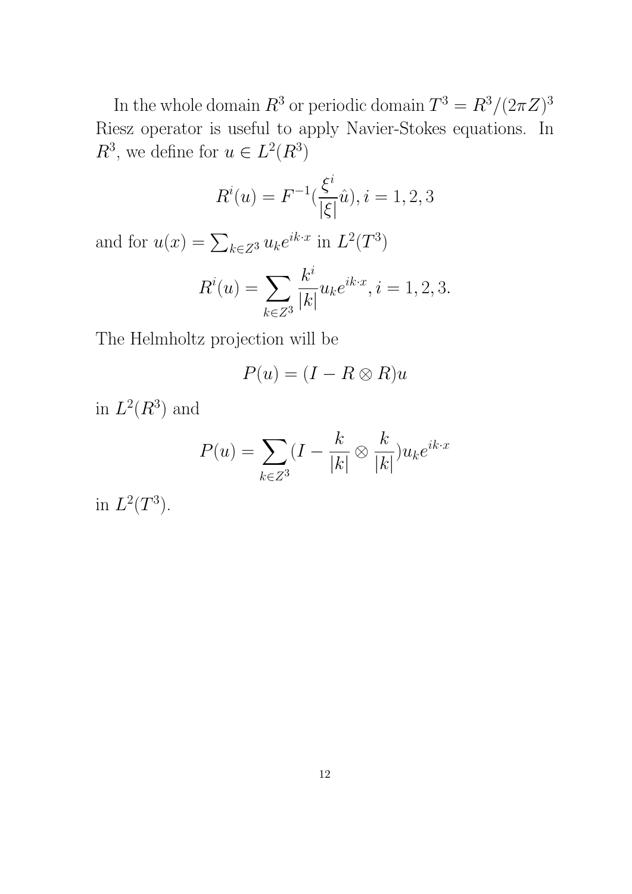In the whole domain  $R^3$  or periodic domain  $T^3 = R^3/(2\pi Z)^3$ Riesz operator is useful to apply Navier-Stokes equations. In  $R^3$ , we define for  $u \in L^2(R^3)$ 

$$
R^{i}(u) = F^{-1}(\frac{\xi^{i}}{|\xi|}\hat{u}), i = 1, 2, 3
$$

and for  $u(x) = \sum_{k \in \mathbb{Z}^3} u_k e^{ik \cdot x}$  in  $L^2(T^3)$ 

$$
R^{i}(u) = \sum_{k \in \mathbb{Z}^{3}} \frac{k^{i}}{|k|} u_{k} e^{ik \cdot x}, i = 1, 2, 3.
$$

The Helmholtz projection will be

$$
P(u) = (I - R \otimes R)u
$$

in  $L^2(R^3)$  and

$$
P(u) = \sum_{k \in \mathbb{Z}^3} (I - \frac{k}{|k|} \otimes \frac{k}{|k|}) u_k e^{ik \cdot x}
$$

in  $L^2(T^3)$ .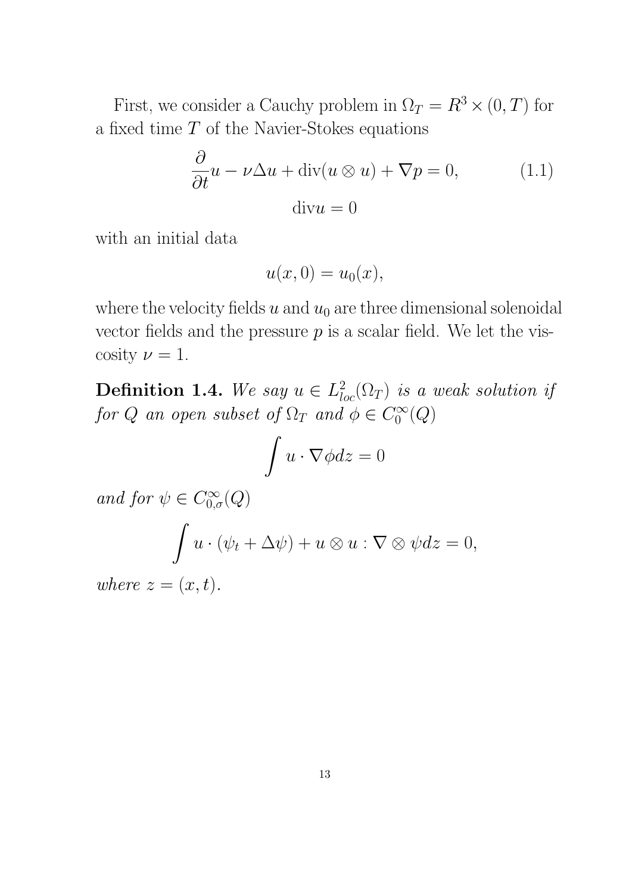First, we consider a Cauchy problem in  $\Omega_T = R^3 \times (0, T)$  for a fixed time  $T$  of the Navier-Stokes equations

$$
\frac{\partial}{\partial t}u - \nu \Delta u + \text{div}(u \otimes u) + \nabla p = 0,
$$
\n(1.1)\n
$$
\text{div}u = 0
$$

with an initial data

$$
u(x,0) = u_0(x),
$$

where the velocity fields  $u$  and  $u_0$  are three dimensional solenoidal vector fields and the pressure  $p$  is a scalar field. We let the viscosity  $\nu = 1$ .

**Definition 1.4.** We say  $u \in L^2_{loc}(\Omega_T)$  is a weak solution if for Q an open subset of  $\Omega_T$  and  $\phi \in C_0^{\infty}$  $\ _{0}^{\prime \infty }(Q)$ 

$$
\int u \cdot \nabla \phi dz = 0
$$

and for  $\psi \in C^{\infty}_{0,\sigma}(Q)$ Z  $u \cdot (\psi_t + \Delta \psi) + u \otimes u : \nabla \otimes \psi dz = 0,$ where  $z = (x, t)$ .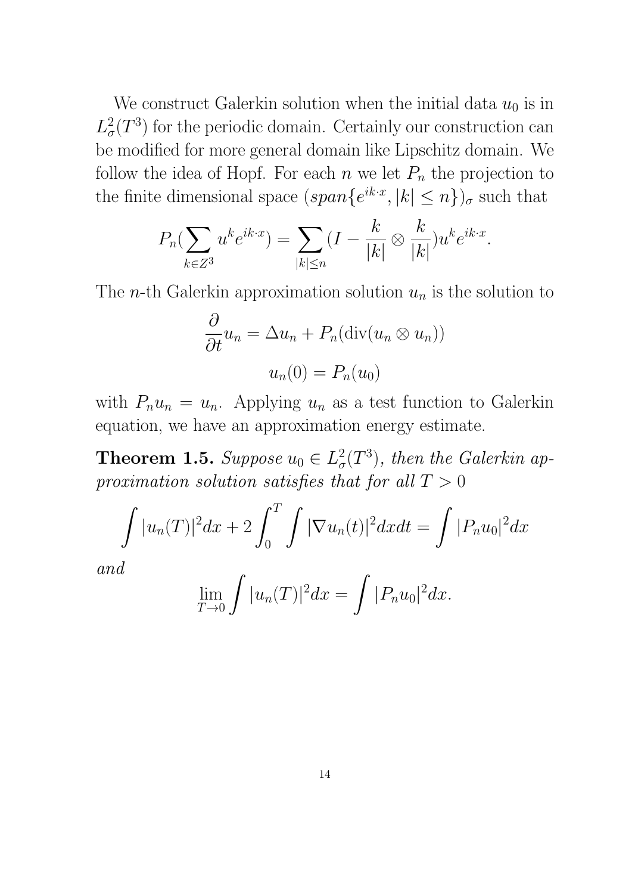We construct Galerkin solution when the initial data  $u_0$  is in  $L^2_{\sigma}$  $\sigma^2(T^3)$  for the periodic domain. Certainly our construction can be modified for more general domain like Lipschitz domain. We follow the idea of Hopf. For each  $n$  we let  $P_n$  the projection to the finite dimensional space  $(span\{e^{ik\cdot x}, |k| \leq n\})_{\sigma}$  such that

$$
P_n(\sum_{k\in\mathbb{Z}^3} u^k e^{ik\cdot x}) = \sum_{|k|\le n} (I - \frac{k}{|k|} \otimes \frac{k}{|k|}) u^k e^{ik\cdot x}.
$$

The *n*-th Galerkin approximation solution  $u_n$  is the solution to

$$
\frac{\partial}{\partial t}u_n = \Delta u_n + P_n(\text{div}(u_n \otimes u_n))
$$

$$
u_n(0) = P_n(u_0)
$$

with  $P_n u_n = u_n$ . Applying  $u_n$  as a test function to Galerkin equation, we have an approximation energy estimate.

Theorem 1.5. Suppose  $u_0 \in L^2_{\sigma}$  $\mathcal{C}_{\sigma}(T^3)$ , then the Galerkin approximation solution satisfies that for all  $T > 0$ 

$$
\int |u_n(T)|^2 dx + 2 \int_0^T \int |\nabla u_n(t)|^2 dx dt = \int |P_n u_0|^2 dx
$$

and

$$
\lim_{T \to 0} \int |u_n(T)|^2 dx = \int |P_n u_0|^2 dx.
$$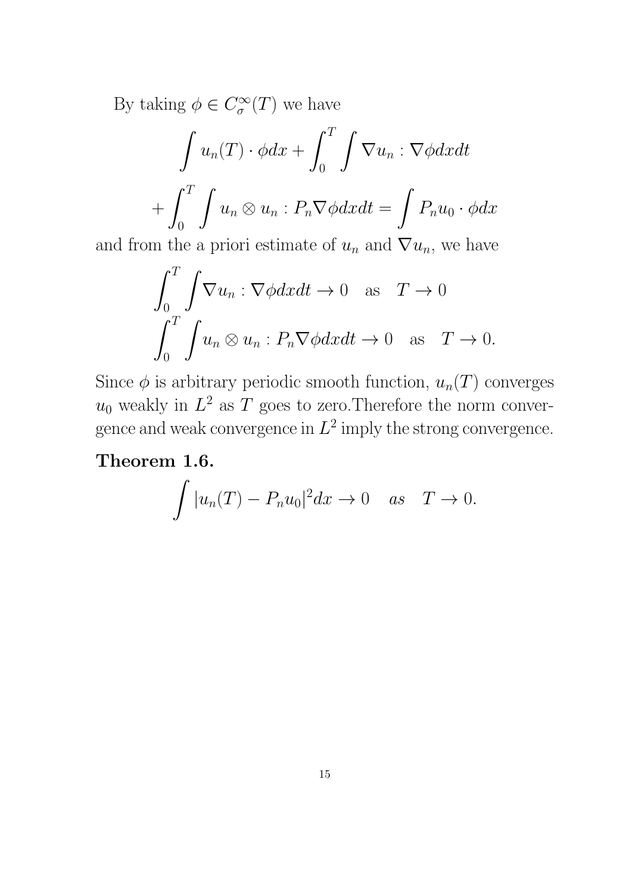By taking  $\phi \in C^{\infty}_{\sigma}$  $\int_{\sigma}^{\infty}(T)$  we have

$$
\int u_n(T) \cdot \phi dx + \int_0^T \int \nabla u_n : \nabla \phi dx dt
$$

$$
+ \int_0^T \int u_n \otimes u_n : P_n \nabla \phi dx dt = \int P_n u_0 \cdot \phi dx
$$

and from the a priori estimate of  $u_n$  and  $\nabla u_n$ , we have

$$
\int_0^T \int \nabla u_n : \nabla \phi dx dt \to 0 \quad \text{as} \quad T \to 0
$$

$$
\int_0^T \int u_n \otimes u_n : P_n \nabla \phi dx dt \to 0 \quad \text{as} \quad T \to 0.
$$

Since  $\phi$  is arbitrary periodic smooth function,  $u_n(T)$  converges  $u_0$  weakly in  $L^2$  as T goes to zero. Therefore the norm convergence and weak convergence in  $L^2$  imply the strong convergence.

## Theorem 1.6.

$$
\int |u_n(T) - P_n u_0|^2 dx \to 0 \quad as \quad T \to 0.
$$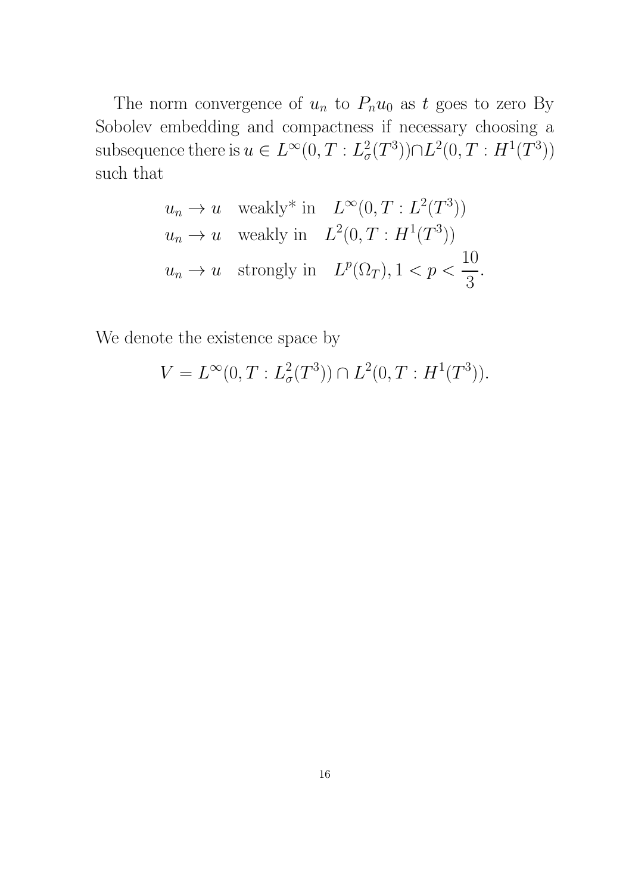The norm convergence of  $u_n$  to  $P_nu_0$  as t goes to zero By Sobolev embedding and compactness if necessary choosing a subsequence there is  $u \in L^{\infty}(0,T:L^2_{\sigma})$  $L^2(0,T : H^1(T^3))$ such that

$$
u_n \to u \quad \text{weakly* in} \quad L^{\infty}(0, T : L^2(T^3))
$$
  
\n
$$
u_n \to u \quad \text{weakly in} \quad L^2(0, T : H^1(T^3))
$$
  
\n
$$
u_n \to u \quad \text{strongly in} \quad L^p(\Omega_T), 1 < p < \frac{10}{3}.
$$

We denote the existence space by

$$
V = L^{\infty}(0, T : L^2_{\sigma}(T^3)) \cap L^2(0, T : H^1(T^3)).
$$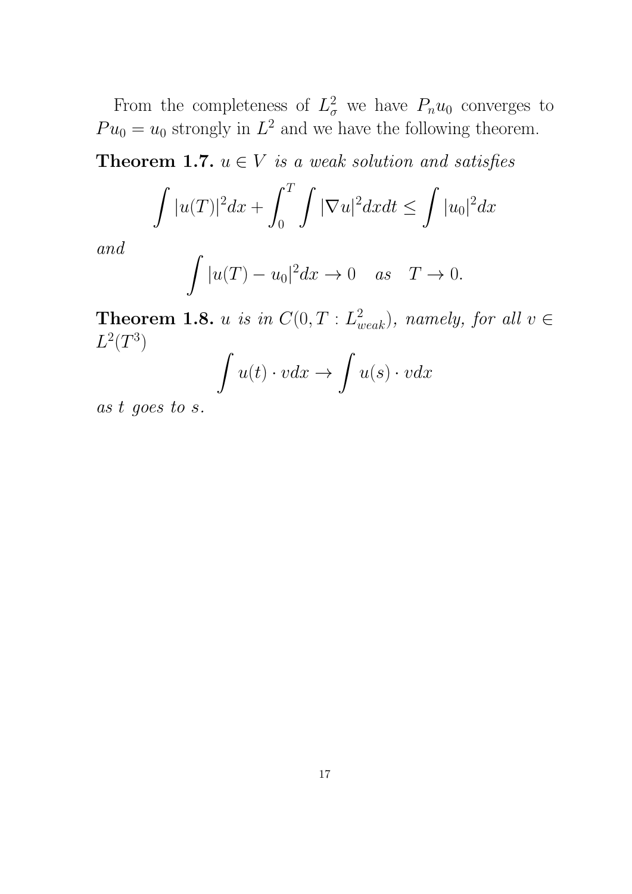From the completeness of  $L^2_\sigma$  we have  $P_n u_0$  converges to  $Pu_0 = u_0$  strongly in  $L^2$  and we have the following theorem.

**Theorem 1.7.**  $u \in V$  is a weak solution and satisfies

$$
\int |u(T)|^2 dx + \int_0^T \int |\nabla u|^2 dx dt \le \int |u_0|^2 dx
$$

and

$$
\int |u(T) - u_0|^2 dx \to 0 \quad as \quad T \to 0.
$$

**Theorem 1.8.** u is in  $C(0,T : L^2_{weak})$ , namely, for all  $v \in$  $L^2(T^3)$ 

$$
\int u(t) \cdot v dx \to \int u(s) \cdot v dx
$$

as t goes to s.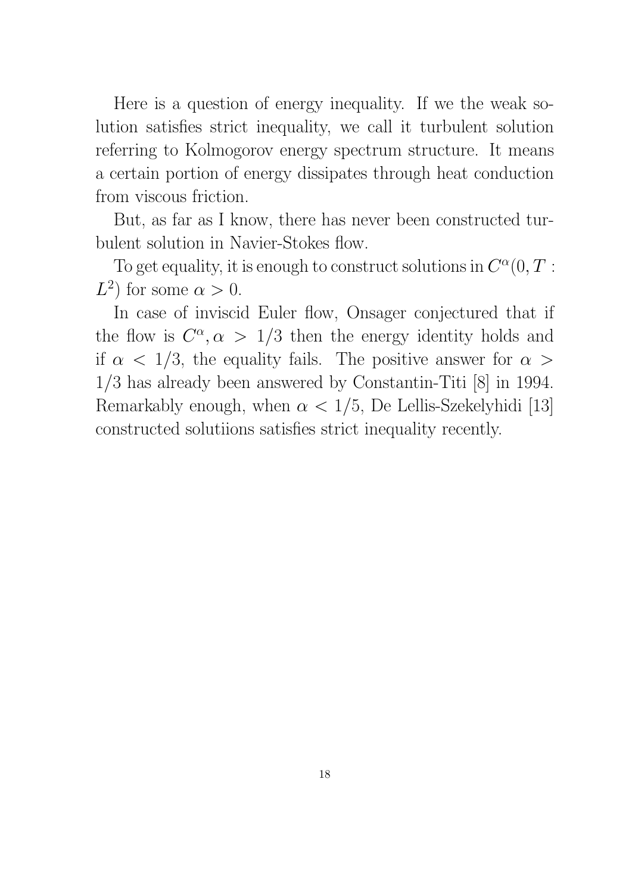Here is a question of energy inequality. If we the weak solution satisfies strict inequality, we call it turbulent solution referring to Kolmogorov energy spectrum structure. It means a certain portion of energy dissipates through heat conduction from viscous friction.

But, as far as I know, there has never been constructed turbulent solution in Navier-Stokes flow.

To get equality, it is enough to construct solutions in  $C^{\alpha}(0,T)$ :  $L^2$  for some  $\alpha > 0$ .

In case of inviscid Euler flow, Onsager conjectured that if the flow is  $C^{\alpha}, \alpha > 1/3$  then the energy identity holds and if  $\alpha$  < 1/3, the equality fails. The positive answer for  $\alpha$ 1/3 has already been answered by Constantin-Titi [8] in 1994. Remarkably enough, when  $\alpha < 1/5$ , De Lellis-Szekelyhidi [13] constructed solutiions satisfies strict inequality recently.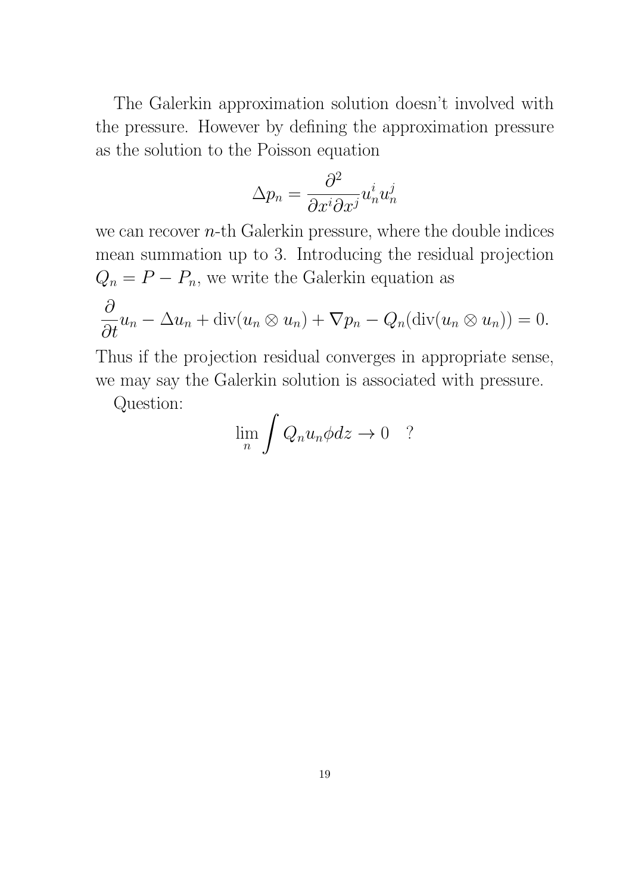The Galerkin approximation solution doesn't involved with the pressure. However by defining the approximation pressure as the solution to the Poisson equation

$$
\Delta p_n = \frac{\partial^2}{\partial x^i \partial x^j} u_n^i u_n^j
$$

we can recover  $n$ -th Galerkin pressure, where the double indices mean summation up to 3. Introducing the residual projection  $Q_n = P - P_n$ , we write the Galerkin equation as  $\partial$  $\frac{\partial}{\partial t}u_n - \Delta u_n + \text{div}(u_n \otimes u_n) + \nabla p_n - Q_n(\text{div}(u_n \otimes u_n)) = 0.$ 

$$
\alpha
$$
 thus if the projection residual converges in appropriate sense,

we may say the Galerkin solution is associated with pressure.

Question:

$$
\lim_{n} \int Q_n u_n \phi dz \to 0 \quad ?
$$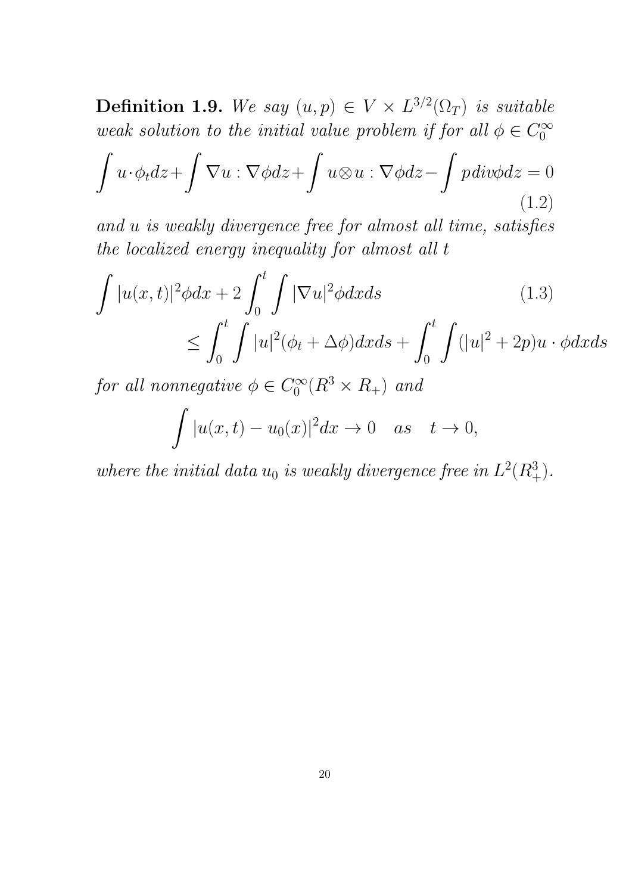**Definition 1.9.** We say  $(u, p) \in V \times L^{3/2}(\Omega_T)$  is suitable weak solution to the initial value problem if for all  $\phi \in C_0^{\infty}$  $\theta$ 

$$
\int u \cdot \phi_t dz + \int \nabla u : \nabla \phi dz + \int u \otimes u : \nabla \phi dz - \int p \, div \phi dz = 0
$$
\n(1.2)

and u is weakly divergence free for almost all time, satisfies the localized energy inequality for almost all t

$$
\int |u(x,t)|^2 \phi dx + 2 \int_0^t \int |\nabla u|^2 \phi dx ds \qquad (1.3)
$$
  

$$
\leq \int_0^t \int |u|^2 (\phi_t + \Delta \phi) dx ds + \int_0^t \int (|u|^2 + 2p) u \cdot \phi dx ds
$$

for all nonnegative  $\phi \in C_0^{\infty}$  $C_0^{\infty}(R^3 \times R_+)$  and

$$
\int |u(x,t)-u_0(x)|^2 dx \to 0 \quad as \quad t \to 0,
$$

where the initial data  $u_0$  is weakly divergence free in  $L^2(R_+^3)$ .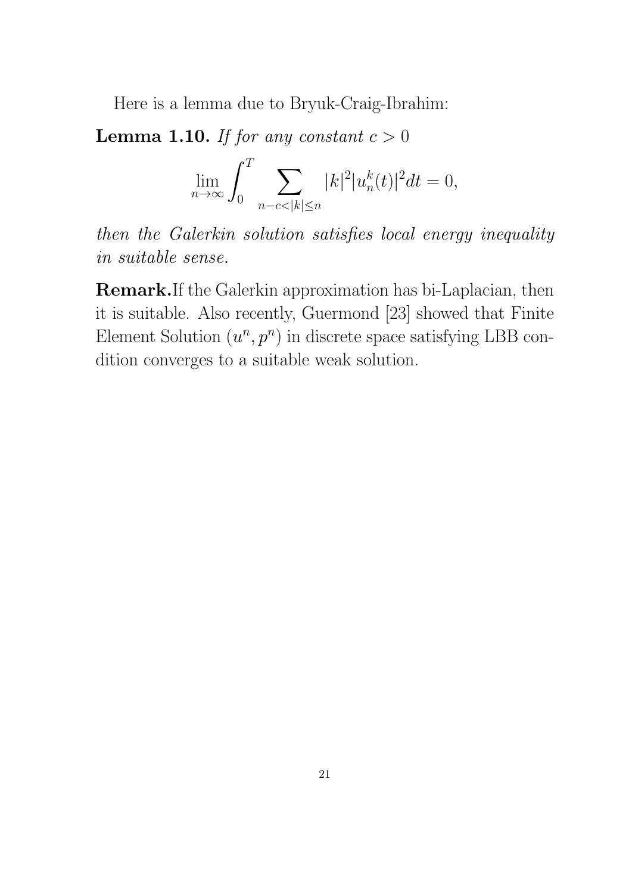Here is a lemma due to Bryuk-Craig-Ibrahim:

**Lemma 1.10.** If for any constant  $c > 0$ 

$$
\lim_{n \to \infty} \int_0^T \sum_{n-c < |k| \le n} |k|^2 |u_n^k(t)|^2 dt = 0,
$$

then the Galerkin solution satisfies local energy inequality in suitable sense.

Remark.If the Galerkin approximation has bi-Laplacian, then it is suitable. Also recently, Guermond [23] showed that Finite Element Solution  $(u^n, p^n)$  in discrete space satisfying LBB condition converges to a suitable weak solution.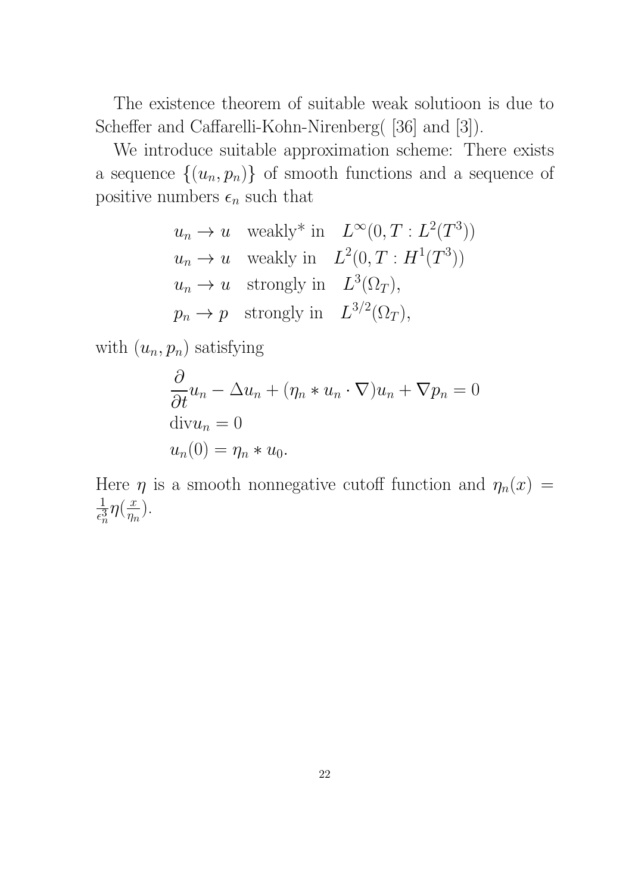The existence theorem of suitable weak solutioon is due to Scheffer and Caffarelli-Kohn-Nirenberg( [36] and [3]).

We introduce suitable approximation scheme: There exists a sequence  $\{(u_n, p_n)\}\$  of smooth functions and a sequence of positive numbers  $\epsilon_n$  such that

$$
u_n \to u \quad \text{weakly* in} \quad L^{\infty}(0, T : L^2(T^3))
$$
  
\n
$$
u_n \to u \quad \text{weakly in} \quad L^2(0, T : H^1(T^3))
$$
  
\n
$$
u_n \to u \quad \text{strongly in} \quad L^3(\Omega_T),
$$
  
\n
$$
p_n \to p \quad \text{strongly in} \quad L^{3/2}(\Omega_T),
$$

with  $(u_n, p_n)$  satisfying

$$
\frac{\partial}{\partial t}u_n - \Delta u_n + (\eta_n * u_n \cdot \nabla)u_n + \nabla p_n = 0
$$
  
div $u_n$  = 0  
 $u_n(0) = \eta_n * u_0.$ 

Here  $\eta$  is a smooth nonnegative cutoff function and  $\eta_n(x)$  = 1  $\frac{1}{\epsilon_n^3}\eta\left(\frac{x}{\eta_r} \right)$  $\frac{x}{\eta_n}$ ).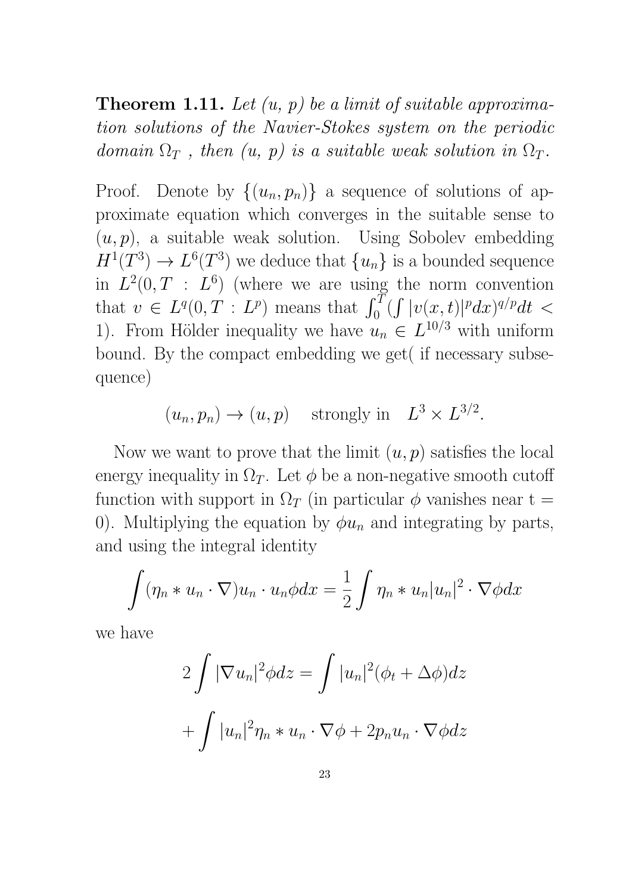# **Theorem 1.11.** Let  $(u, p)$  be a limit of suitable approximation solutions of the Navier-Stokes system on the periodic domain  $\Omega_T$ , then  $(u, p)$  is a suitable weak solution in  $\Omega_T$ .

Proof. Denote by  $\{(u_n, p_n)\}\$ a sequence of solutions of approximate equation which converges in the suitable sense to  $(u, p)$ , a suitable weak solution. Using Sobolev embedding  $H^1(T^3) \to L^6(T^3)$  we deduce that  $\{u_n\}$  is a bounded sequence in  $L^2(0,T : L^6)$  (where we are using the norm convention that  $v \in L^q(0,T : L^p)$  means that  $\int_0^T (\int |v(x,t)|^p dx)^{q/p} dt <$ 1). From Hölder inequality we have  $u_n \in L^{10/3}$  with uniform bound. By the compact embedding we get( if necessary subsequence)

$$
(u_n, p_n) \to (u, p)
$$
 strongly in  $L^3 \times L^{3/2}$ .

Now we want to prove that the limit  $(u, p)$  satisfies the local energy inequality in  $\Omega_T$ . Let  $\phi$  be a non-negative smooth cutoff function with support in  $\Omega_T$  (in particular  $\phi$  vanishes near t = 0). Multiplying the equation by  $\phi u_n$  and integrating by parts, and using the integral identity

$$
\int (\eta_n * u_n \cdot \nabla) u_n \cdot u_n \phi dx = \frac{1}{2} \int \eta_n * u_n |u_n|^2 \cdot \nabla \phi dx
$$

we have

$$
2\int |\nabla u_n|^2 \phi dz = \int |u_n|^2 (\phi_t + \Delta \phi) dz
$$

$$
+ \int |u_n|^2 \eta_n * u_n \cdot \nabla \phi + 2p_n u_n \cdot \nabla \phi dz
$$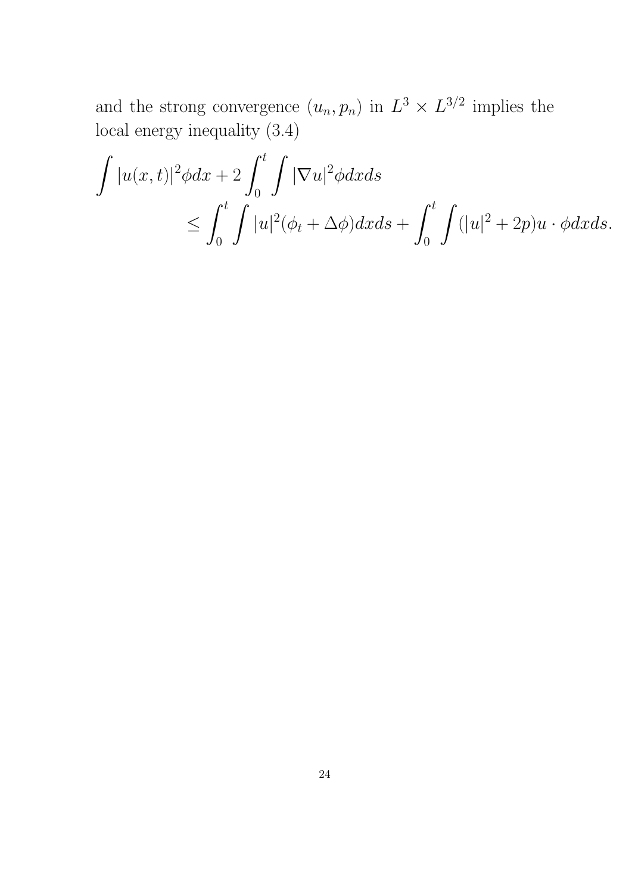and the strong convergence  $(u_n, p_n)$  in  $L^3 \times L^{3/2}$  implies the local energy inequality (3.4)

$$
\int |u(x,t)|^2 \phi dx + 2 \int_0^t \int |\nabla u|^2 \phi dx ds
$$
  
\n
$$
\leq \int_0^t \int |u|^2 (\phi_t + \Delta \phi) dx ds + \int_0^t \int (|u|^2 + 2p) u \cdot \phi dx ds.
$$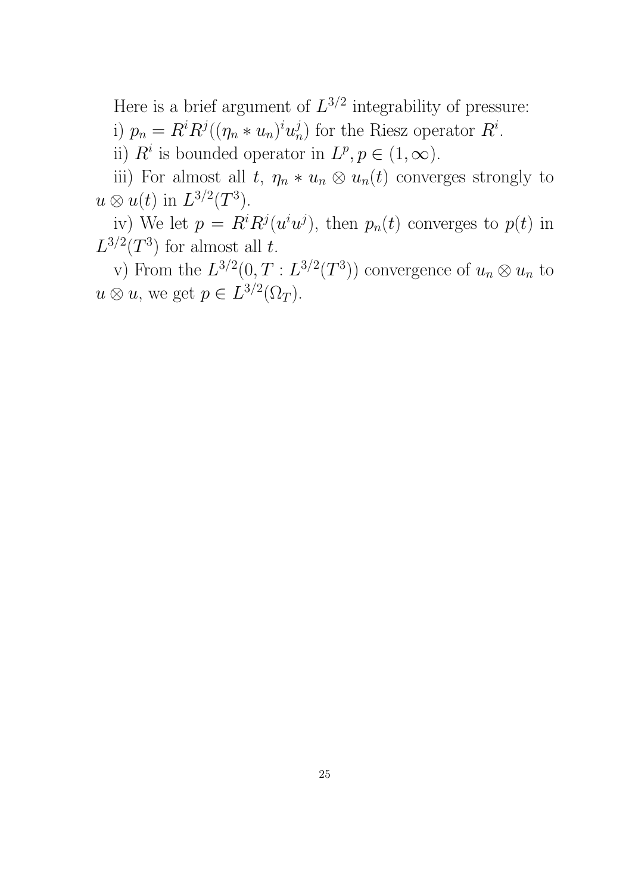Here is a brief argument of  $L^{3/2}$  integrability of pressure: i)  $p_n = R^i R^j ((\eta_n * u_n)^i u_n^j)$  $\binom{j}{n}$  for the Riesz operator  $R^i$ .

ii)  $R^i$  is bounded operator in  $L^p, p \in (1, \infty)$ .

iii) For almost all t,  $\eta_n * u_n \otimes u_n(t)$  converges strongly to  $u \otimes u(t)$  in  $L^{3/2}(T^3)$ .

iv) We let  $p = R^{i}R^{j}(u^{i}u^{j})$ , then  $p_{n}(t)$  converges to  $p(t)$  in  $L^{3/2}(T^3)$  for almost all t.

v) From the  $L^{3/2}(0,T:L^{3/2}(T^3))$  convergence of  $u_n\otimes u_n$  to  $u \otimes u$ , we get  $p \in L^{3/2}(\Omega_T)$ .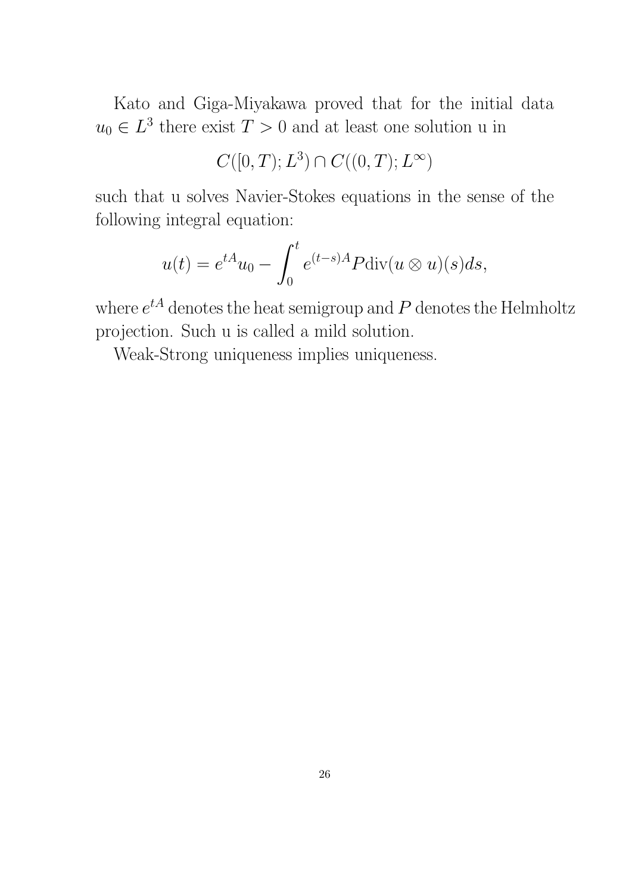Kato and Giga-Miyakawa proved that for the initial data  $u_0 \in L^3$  there exist  $T > 0$  and at least one solution u in

$$
C([0,T);L^3)\cap C((0,T);L^\infty)
$$

such that u solves Navier-Stokes equations in the sense of the following integral equation:

$$
u(t) = e^{tA}u_0 - \int_0^t e^{(t-s)A} P \operatorname{div}(u \otimes u)(s) ds,
$$

where  $e^{tA}$  denotes the heat semigroup and  $P$  denotes the Helmholtz projection. Such u is called a mild solution.

Weak-Strong uniqueness implies uniqueness.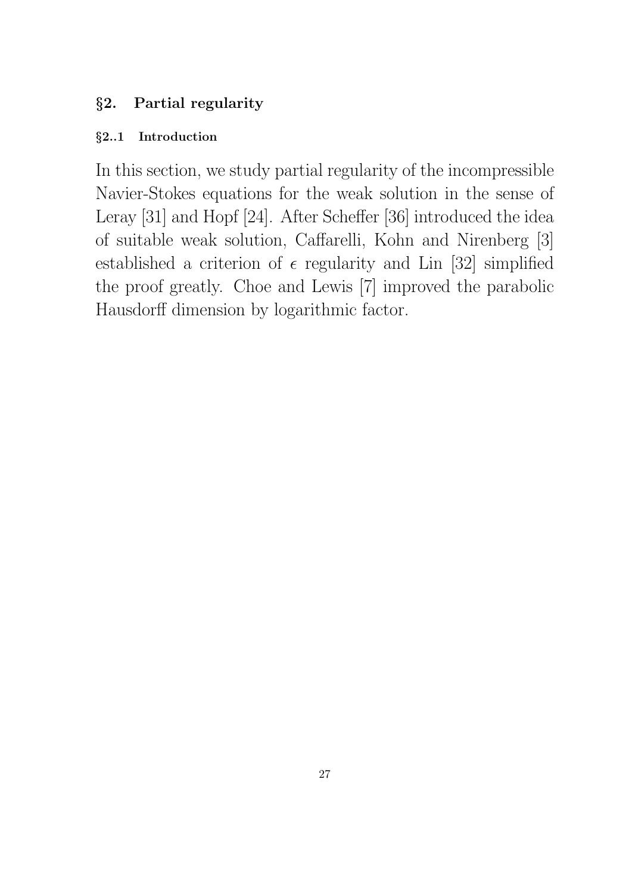## §2. Partial regularity

### §2..1 Introduction

In this section, we study partial regularity of the incompressible Navier-Stokes equations for the weak solution in the sense of Leray [31] and Hopf [24]. After Scheffer [36] introduced the idea of suitable weak solution, Caffarelli, Kohn and Nirenberg [3] established a criterion of  $\epsilon$  regularity and Lin [32] simplified the proof greatly. Choe and Lewis [7] improved the parabolic Hausdorff dimension by logarithmic factor.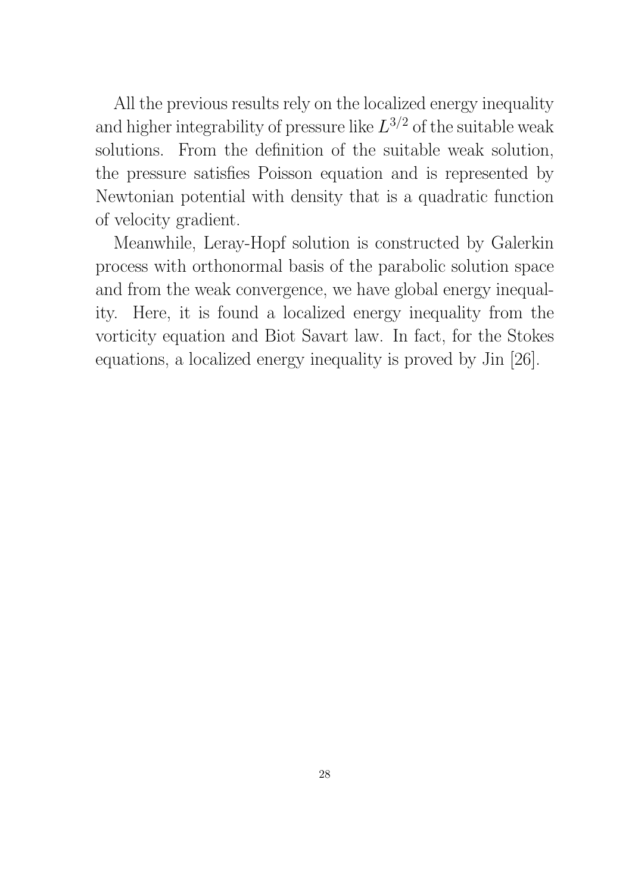All the previous results rely on the localized energy inequality and higher integrability of pressure like  $L^{3/2}$  of the suitable weak solutions. From the definition of the suitable weak solution, the pressure satisfies Poisson equation and is represented by Newtonian potential with density that is a quadratic function of velocity gradient.

Meanwhile, Leray-Hopf solution is constructed by Galerkin process with orthonormal basis of the parabolic solution space and from the weak convergence, we have global energy inequality. Here, it is found a localized energy inequality from the vorticity equation and Biot Savart law. In fact, for the Stokes equations, a localized energy inequality is proved by Jin [26].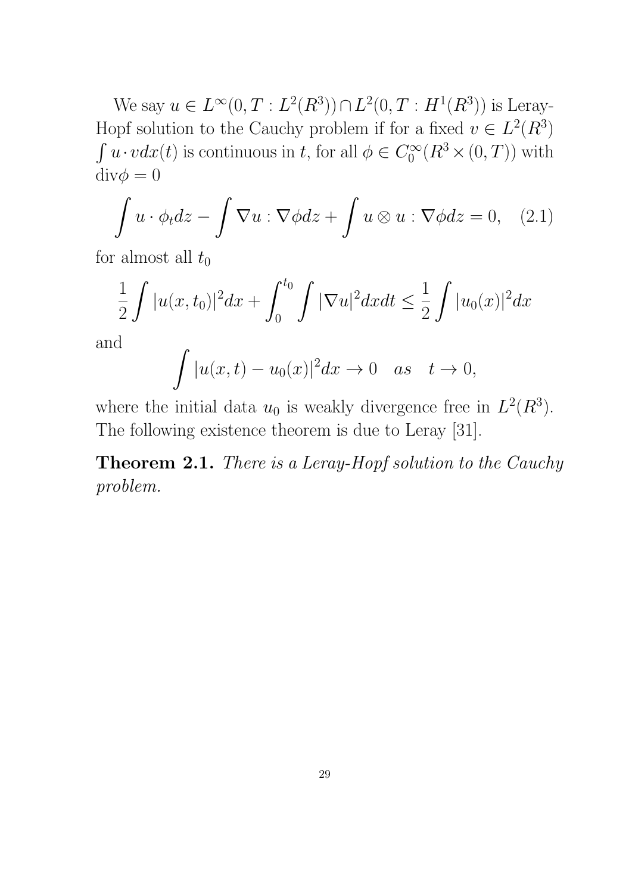We say  $u \in L^{\infty}(0, T : L^{2}(R^{3})) \cap L^{2}(0, T : H^{1}(R^{3}))$  is Leray-Hopf solution to the Cauchy problem if for a fixed  $v \in L^2(R^3)$  $\int u \cdot v dx(t)$  is continuous in t, for all  $\phi \in C_0^{\infty}$  $C_0^{\infty}(R^3\times(0,T))$  with  $\mathrm{div}\phi=0$ 

$$
\int u \cdot \phi_t dz - \int \nabla u : \nabla \phi dz + \int u \otimes u : \nabla \phi dz = 0, \quad (2.1)
$$

for almost all  $t_0$ 

$$
\frac{1}{2}\int |u(x,t_0)|^2 dx + \int_0^{t_0} \int |\nabla u|^2 dx dt \le \frac{1}{2}\int |u_0(x)|^2 dx
$$

and

$$
\int |u(x,t)-u_0(x)|^2 dx \to 0 \quad as \quad t \to 0,
$$

where the initial data  $u_0$  is weakly divergence free in  $L^2(R^3)$ . The following existence theorem is due to Leray [31].

Theorem 2.1. There is a Leray-Hopf solution to the Cauchy problem.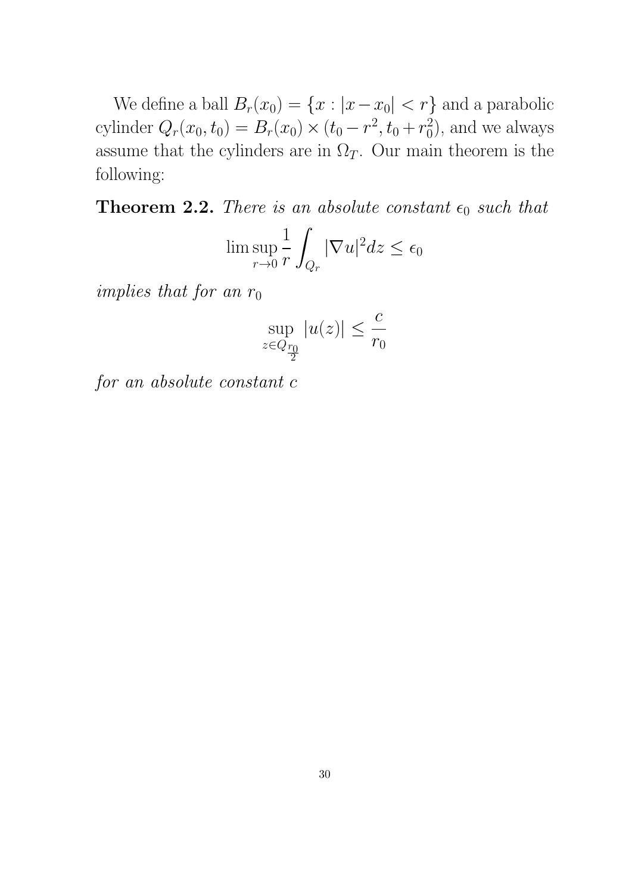We define a ball  $B_r(x_0) = \{x : |x - x_0| < r\}$  and a parabolic cylinder  $Q_r(x_0, t_0) = B_r(x_0) \times (t_0 - r^2, t_0 + r_0^2)$  $\binom{2}{0}$ , and we always assume that the cylinders are in  $\Omega_T$ . Our main theorem is the following:

**Theorem 2.2.** There is an absolute constant  $\epsilon_0$  such that

$$
\limsup_{r \to 0} \frac{1}{r} \int_{Q_r} |\nabla u|^2 dz \le \epsilon_0
$$

implies that for an  $r_0$ 

$$
\sup_{z\in Q_{\frac{r_0}{2}}}|u(z)|\leq \frac{c}{r_0}
$$

for an absolute constant c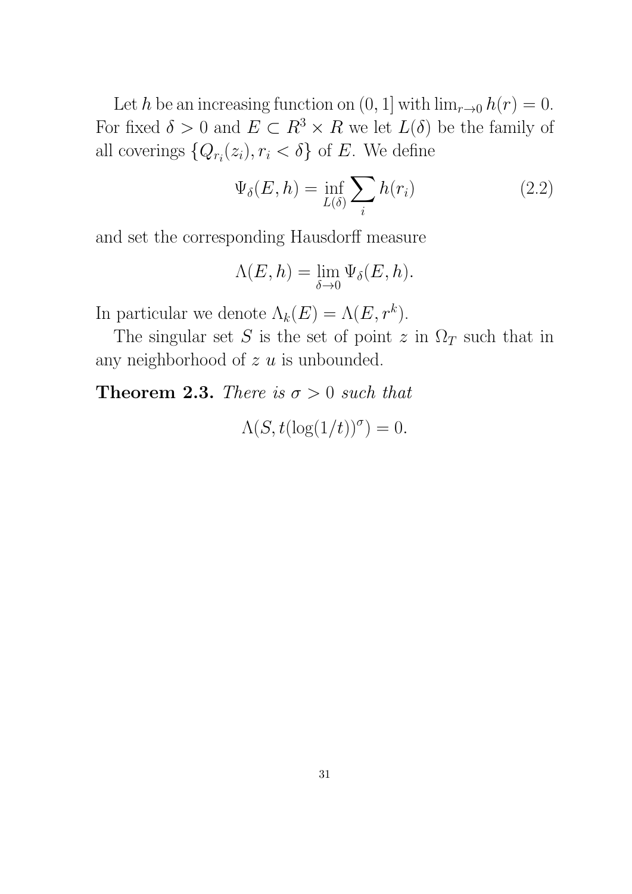Let h be an increasing function on  $(0, 1]$  with  $\lim_{r\to 0} h(r) = 0$ . For fixed  $\delta > 0$  and  $E \subset R^3 \times R$  we let  $L(\delta)$  be the family of all coverings  $\{Q_{r_i}(z_i), r_i < \delta\}$  of E. We define

$$
\Psi_{\delta}(E, h) = \inf_{L(\delta)} \sum_{i} h(r_i)
$$
\n(2.2)

and set the corresponding Hausdorff measure

$$
\Lambda(E, h) = \lim_{\delta \to 0} \Psi_{\delta}(E, h).
$$

In particular we denote  $\Lambda_k(E) = \Lambda(E, r^k)$ .

The singular set S is the set of point z in  $\Omega_T$  such that in any neighborhood of  $z \, u$  is unbounded.

**Theorem 2.3.** There is  $\sigma > 0$  such that

 $\Lambda(S, t(\log(1/t))^{\sigma}) = 0.$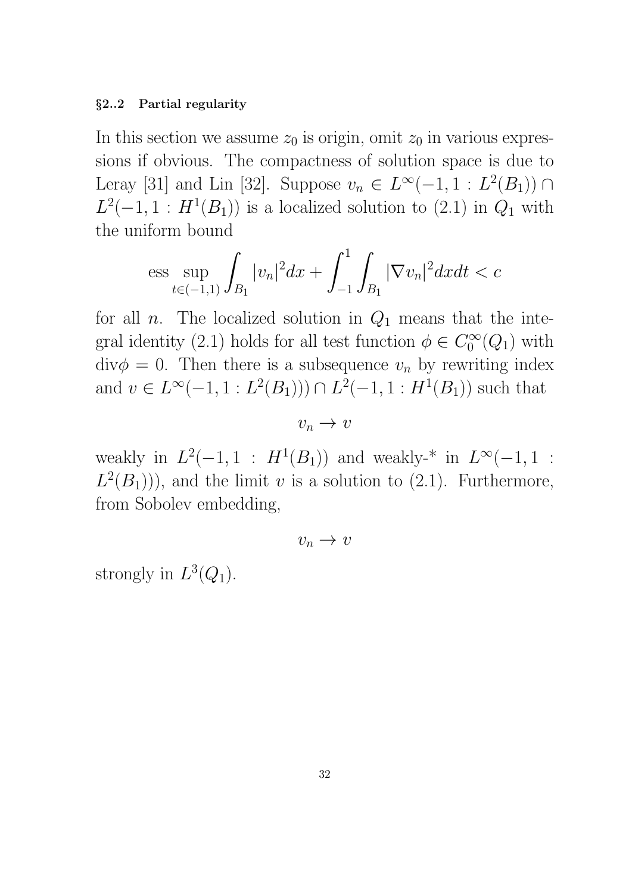#### §2..2 Partial regularity

In this section we assume  $z_0$  is origin, omit  $z_0$  in various expressions if obvious. The compactness of solution space is due to Leray [31] and Lin [32]. Suppose  $v_n \in L^{\infty}(-1, 1 : L^2(B_1)) \cap$  $L^2(-1, 1 : H^1(B_1))$  is a localized solution to  $(2.1)$  in  $Q_1$  with the uniform bound

$$
\text{ess}\sup_{t\in(-1,1)}\int_{B_1}|v_n|^2dx+\int_{-1}^1\int_{B_1}|\nabla v_n|^2dxdt < c
$$

for all *n*. The localized solution in  $Q_1$  means that the integral identity (2.1) holds for all test function  $\phi \in C_0^{\infty}$  $\int_0^\infty (Q_1)$  with  $\text{div}\phi = 0$ . Then there is a subsequence  $v_n$  by rewriting index and  $v \in L^{\infty}(-1, 1: L^2(B_1))) \cap L^2(-1, 1: H^1(B_1))$  such that

 $v_n \to v$ 

weakly in  $L^2(-1,1 : H^1(B_1))$  and weakly-<sup>\*</sup> in  $L^{\infty}(-1,1 :$  $L^2(B_1)$ , and the limit v is a solution to (2.1). Furthermore, from Sobolev embedding,

$$
v_n \to v
$$

strongly in  $L^3(Q_1)$ .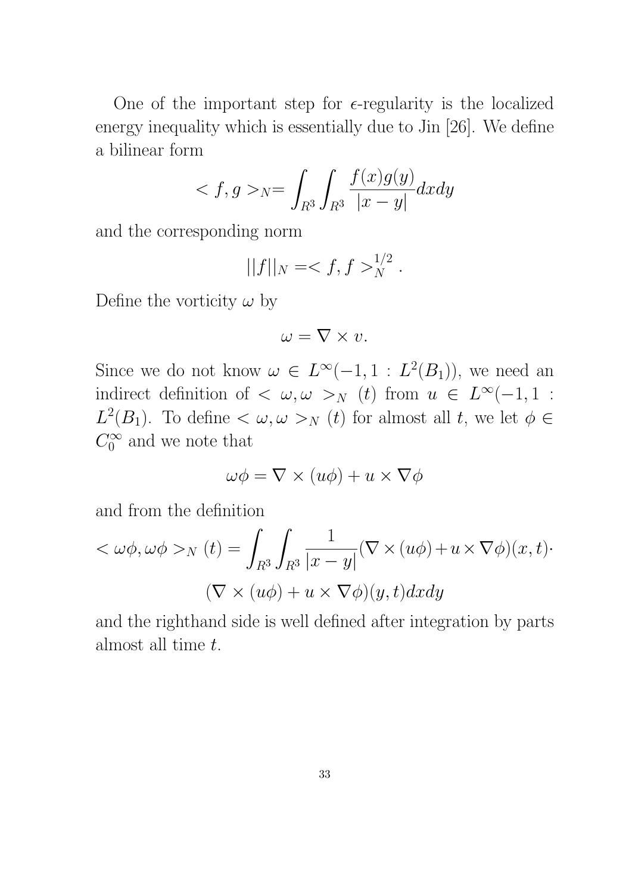One of the important step for  $\epsilon$ -regularity is the localized energy inequality which is essentially due to Jin [26]. We define a bilinear form

$$
\langle f, g \rangle_{N} = \int_{R^3} \int_{R^3} \frac{f(x)g(y)}{|x - y|} dx dy
$$

and the corresponding norm

$$
||f||_N = _{N}^{1/2}.
$$

Define the vorticity  $\omega$  by

$$
\omega = \nabla \times v.
$$

Since we do not know  $\omega \in L^{\infty}(-1, 1 : L^2(B_1)),$  we need an indirect definition of  $\langle \omega, \omega \rangle_N$  (*t*) from  $u \in L^{\infty}(-1, 1)$ :  $L^2(B_1)$ . To define  $\langle \omega, \omega \rangle_N$  (*t*) for almost all *t*, we let  $\phi \in$  $C_0^\infty$  $\int_0^\infty$  and we note that

$$
\omega \phi = \nabla \times (u\phi) + u \times \nabla \phi
$$

and from the definition

$$
\langle \omega \phi, \omega \phi \rangle_N(t) = \int_{R^3} \int_{R^3} \frac{1}{|x - y|} (\nabla \times (u\phi) + u \times \nabla \phi)(x, t) \cdot
$$

$$
(\nabla \times (u\phi) + u \times \nabla \phi)(y, t) dx dy
$$

and the righthand side is well defined after integration by parts almost all time t.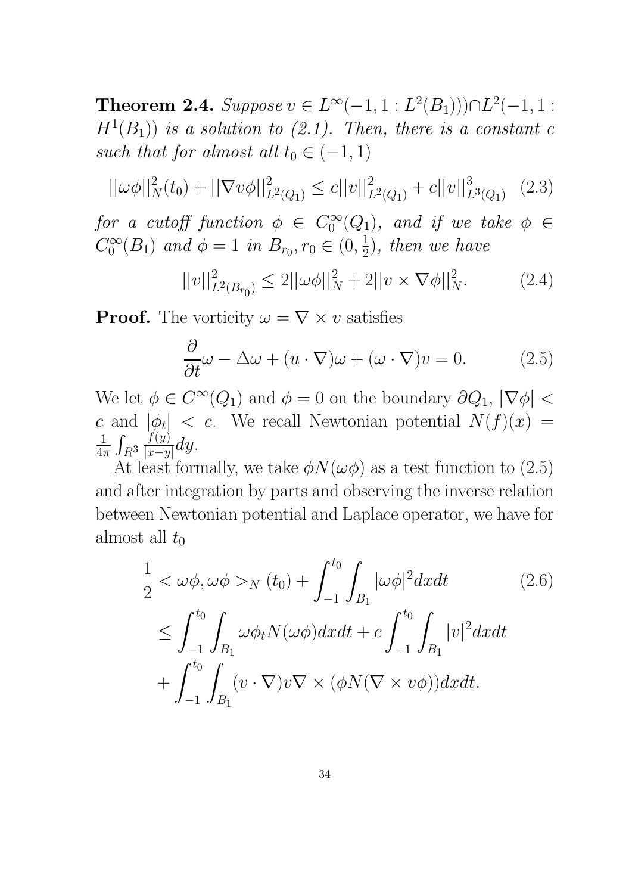Theorem 2.4. Suppose  $v \in L^{\infty}(-1, 1 : L^2(B_1)) \cap L^2(-1, 1 : L^2(B_1))$  $H<sup>1</sup>(B<sub>1</sub>)$ ) is a solution to (2.1). Then, there is a constant c such that for almost all  $t_0 \in (-1, 1)$ 

$$
||\omega\phi||_N^2(t_0) + ||\nabla v\phi||_{L^2(Q_1)}^2 \le c||v||_{L^2(Q_1)}^2 + c||v||_{L^3(Q_1)}^3 \quad (2.3)
$$

for a cutoff function  $\phi \in C_0^{\infty}$  $\int_0^\infty (Q_1)$ , and if we take  $\phi \in$  $C_0^\infty$  $\int_0^{\infty} (B_1) \text{ and } \phi = 1 \text{ in } B_{r_0}, r_0 \in (0, \frac{1}{2})$  $(\frac{1}{2})$ , then we have

$$
||v||_{L^{2}(B_{r_{0}})}^{2} \le 2||\omega\phi||_{N}^{2} + 2||v \times \nabla\phi||_{N}^{2}.
$$
 (2.4)

**Proof.** The vorticity  $\omega = \nabla \times v$  satisfies

$$
\frac{\partial}{\partial t}\omega - \Delta\omega + (u \cdot \nabla)\omega + (\omega \cdot \nabla)v = 0.
$$
 (2.5)

We let  $\phi \in C^{\infty}(Q_1)$  and  $\phi = 0$  on the boundary  $\partial Q_1$ ,  $|\nabla \phi|$  < c and  $|\phi_t|$  < c. We recall Newtonian potential  $N(f)(x) =$ 1  $\frac{1}{4\pi} \int_{R^3}$  $f(y)$  $\frac{J(y)}{|x-y|}dy.$ 

At least formally, we take  $\phi N(\omega\phi)$  as a test function to (2.5) and after integration by parts and observing the inverse relation between Newtonian potential and Laplace operator, we have for almost all  $t_0$ 

$$
\frac{1}{2} < \omega \phi, \omega \phi >_{N} (t_{0}) + \int_{-1}^{t_{0}} \int_{B_{1}} |\omega \phi|^{2} dx dt
$$
\n
$$
\leq \int_{-1}^{t_{0}} \int_{B_{1}} \omega \phi_{t} N(\omega \phi) dx dt + c \int_{-1}^{t_{0}} \int_{B_{1}} |v|^{2} dx dt
$$
\n
$$
+ \int_{-1}^{t_{0}} \int_{B_{1}} (v \cdot \nabla) v \nabla \times (\phi N(\nabla \times v \phi)) dx dt.
$$
\n(2.6)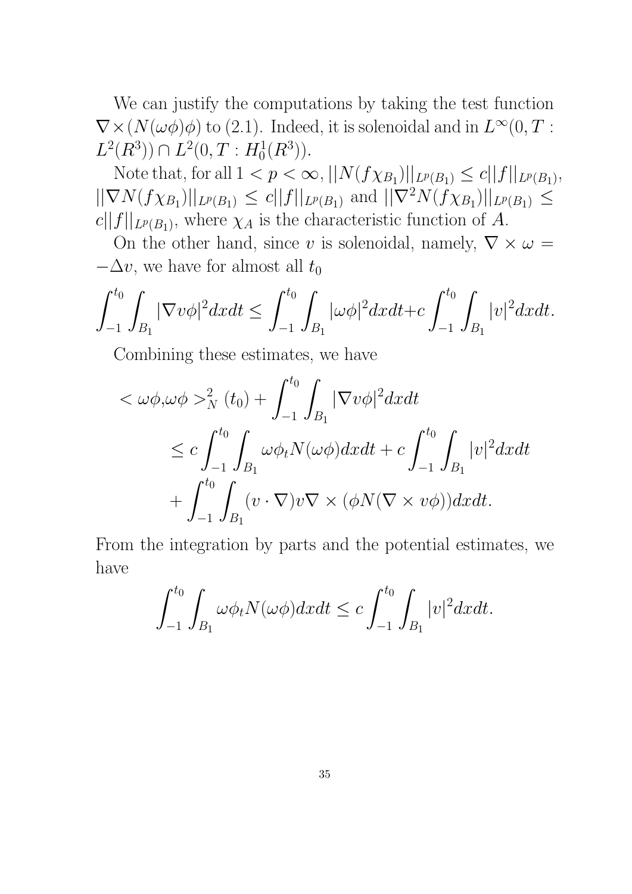We can justify the computations by taking the test function  $\nabla \times (N(\omega \phi)\phi)$  to (2.1). Indeed, it is solenoidal and in  $L^{\infty}(0,T)$ :  $L^2(R^3)) \cap L^2(0,T : H_0^1(R^3)).$ 

Note that, for all  $1 < p < \infty$ ,  $||N(f\chi_{B_1})||_{L^p(B_1)} \le c||f||_{L^p(B_1)}$ ,  $||\nabla N(f\chi_{B_1})||_{L^p(B_1)} \leq c||f||_{L^p(B_1)}$  and  $||\nabla^2 N(f\chi_{B_1})||_{L^p(B_1)} \leq$  $c||f||_{L^p(B_1)}$ , where  $\chi_A$  is the characteristic function of A.

On the other hand, since v is solenoidal, namely,  $\nabla \times \omega =$  $-\Delta v$ , we have for almost all  $t_0$ 

$$
\int_{-1}^{t_0} \int_{B_1} |\nabla v \phi|^2 dx dt \leq \int_{-1}^{t_0} \int_{B_1} |\omega \phi|^2 dx dt + c \int_{-1}^{t_0} \int_{B_1} |v|^2 dx dt.
$$

Combining these estimates, we have

$$
<\omega \phi, \omega \phi >_N^2 (t_0) + \int_{-1}^{t_0} \int_{B_1} |\nabla v \phi|^2 dx dt
$$
  
\n $\leq c \int_{-1}^{t_0} \int_{B_1} \omega \phi_t N(\omega \phi) dx dt + c \int_{-1}^{t_0} \int_{B_1} |v|^2 dx dt$   
\n $+ \int_{-1}^{t_0} \int_{B_1} (v \cdot \nabla) v \nabla \times (\phi N(\nabla \times v \phi)) dx dt.$ 

From the integration by parts and the potential estimates, we have

$$
\int_{-1}^{t_0} \int_{B_1} \omega \phi_t N(\omega \phi) dx dt \le c \int_{-1}^{t_0} \int_{B_1} |v|^2 dx dt.
$$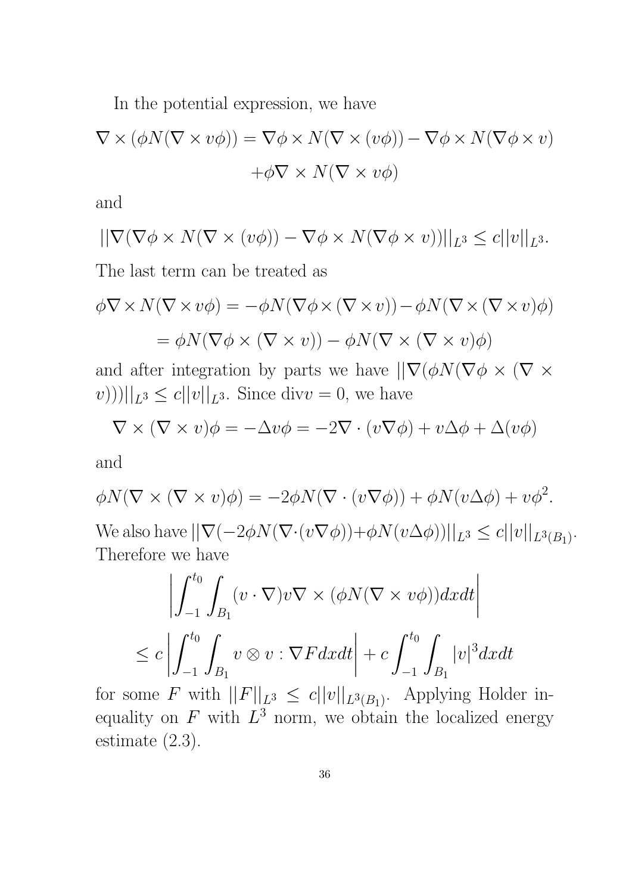In the potential expression, we have

$$
\nabla \times (\phi N(\nabla \times v\phi)) = \nabla \phi \times N(\nabla \times (v\phi)) - \nabla \phi \times N(\nabla \phi \times v)
$$

$$
+ \phi \nabla \times N(\nabla \times v\phi)
$$

and

$$
||\nabla(\nabla\phi\times N(\nabla\times(v\phi))-\nabla\phi\times N(\nabla\phi\times v))||_{L^3}\leq c||v||_{L^3}.
$$

The last term can be treated as

$$
\phi \nabla \times N(\nabla \times v\phi) = -\phi N(\nabla \phi \times (\nabla \times v)) - \phi N(\nabla \times (\nabla \times v)\phi)
$$

$$
= \phi N(\nabla \phi \times (\nabla \times v)) - \phi N(\nabla \times (\nabla \times v)\phi)
$$

and after integration by parts we have  $||\nabla(\phi N(\nabla\phi \times (\nabla \times$  $(v))$ )|| $|_{L^3} \le c||v||_{L^3}$ . Since div $v = 0$ , we have

$$
\nabla \times (\nabla \times v)\phi = -\Delta v\phi = -2\nabla \cdot (v\nabla \phi) + v\Delta \phi + \Delta(v\phi)
$$

and

$$
\phi N(\nabla \times (\nabla \times v)\phi) = -2\phi N(\nabla \cdot (v\nabla \phi)) + \phi N(v\Delta \phi) + v\phi^2.
$$
  
We also have 
$$
||\nabla(-2\phi N(\nabla \cdot (v\nabla \phi)) + \phi N(v\Delta \phi))||_{L^3} \le c||v||_{L^3(B_1)}.
$$
 Therefore we have

$$
\left| \int_{-1}^{t_0} \int_{B_1} (v \cdot \nabla) v \nabla \times (\phi N(\nabla \times v\phi)) dx dt \right|
$$
  

$$
\leq c \left| \int_{-1}^{t_0} \int_{B_1} v \otimes v : \nabla F dx dt \right| + c \int_{-1}^{t_0} \int_{B_1} |v|^3 dx dt
$$

for some F with  $||F||_{L^3} \le c||v||_{L^3(B_1)}$ . Applying Holder inequality on F with  $L^3$  norm, we obtain the localized energy estimate (2.3).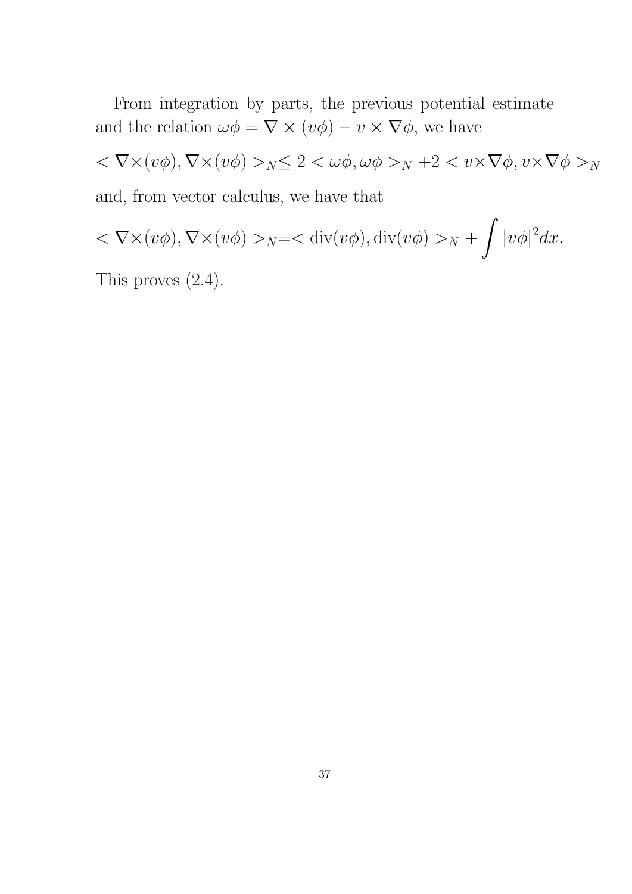From integration by parts, the previous potential estimate and the relation  $\omega \phi = \nabla \times (v\phi) - v \times \nabla \phi$ , we have

 $<\nabla \times (v\phi), \nabla \times (v\phi) >_N \leq 2 < \omega \phi, \omega \phi >_N + 2 < v \times \nabla \phi, v \times \nabla \phi >_N$ and, from vector calculus, we have that

$$
<\nabla \times (v\phi), \nabla \times (v\phi) >_{N} = <\text{div}(v\phi), \text{div}(v\phi) >_{N} + \int |v\phi|^{2} dx.
$$

This proves (2.4).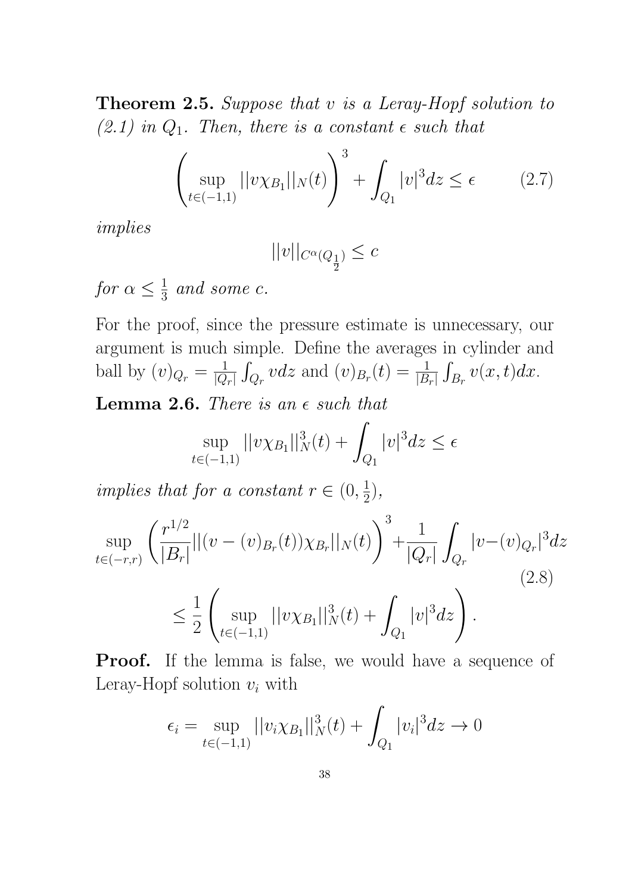Theorem 2.5. Suppose that v is a Leray-Hopf solution to  $(2.1)$  in  $Q_1$ . Then, there is a constant  $\epsilon$  such that

$$
\left(\sup_{t \in (-1,1)} ||v \chi_{B_1}||_N(t)\right)^3 + \int_{Q_1} |v|^3 dz \le \epsilon \qquad (2.7)
$$

implies

$$
||v||_{C^{\alpha}(Q_{\frac{1}{2}})}\leq c
$$

for  $\alpha \leq \frac{1}{3}$  $\frac{1}{3}$  and some c.

For the proof, since the pressure estimate is unnecessary, our argument is much simple. Define the averages in cylinder and ball by  $(v)_{Q_r} = \frac{1}{|Q|}$  $\frac{1}{|Q_r|} \int_{Q_r} v dz$  and  $(v)_{B_r}(t) = \frac{1}{|B_r|} \int_{B_r} v(x, t) dx$ .

Lemma 2.6. There is an  $\epsilon$  such that

$$
\sup_{t \in (-1,1)} ||v \chi_{B_1}||_N^3(t) + \int_{Q_1} |v|^3 dz \le \epsilon
$$

implies that for a constant  $r \in (0, \frac{1}{2})$  $\frac{1}{2}$ ),

$$
\sup_{t \in (-r,r)} \left( \frac{r^{1/2}}{|B_r|} ||(v - (v)_{B_r}(t)) \chi_{B_r}||_N(t) \right)^3 + \frac{1}{|Q_r|} \int_{Q_r} |v - (v)_{Q_r}|^3 dz
$$
\n
$$
\leq \frac{1}{2} \left( \sup_{t \in (-1,1)} ||v \chi_{B_1}||_N^3(t) + \int_{Q_1} |v|^3 dz \right).
$$
\n(2.8)

**Proof.** If the lemma is false, we would have a sequence of Leray-Hopf solution  $v_i$  with

$$
\epsilon_i = \sup_{t \in (-1,1)} ||v_i \chi_{B_1}||_N^3(t) + \int_{Q_1} |v_i|^3 dz \to 0
$$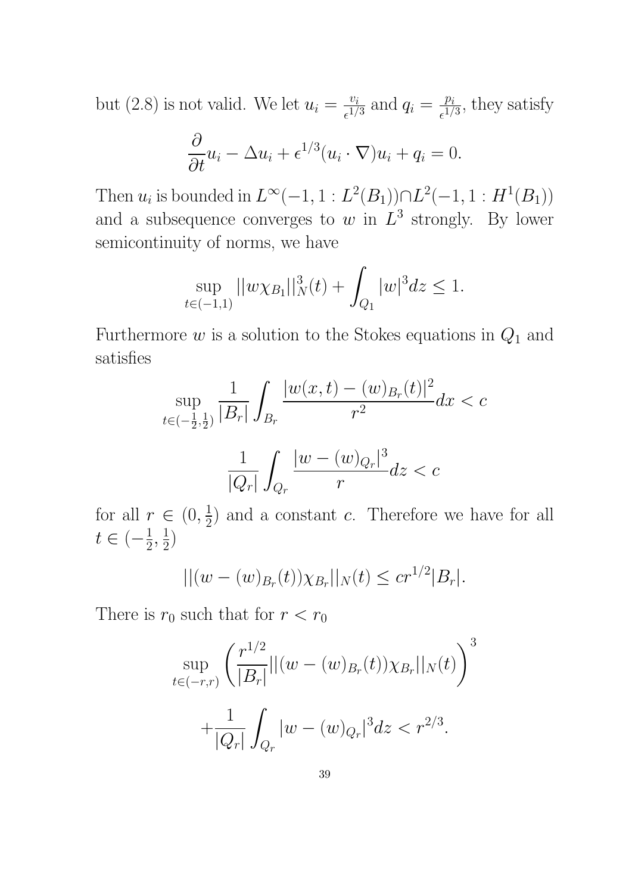but (2.8) is not valid. We let  $u_i = \frac{v_i}{c_1 l}$  $\frac{v_i}{\epsilon^{1/3}}$  and  $q_i = \frac{p_i}{\epsilon^{1/3}}$  $\frac{p_i}{\epsilon^{1/3}}$ , they satisfy

$$
\frac{\partial}{\partial t}u_i - \Delta u_i + \epsilon^{1/3}(u_i \cdot \nabla)u_i + q_i = 0.
$$

Then  $u_i$  is bounded in  $L^{\infty}(-1, 1 : L^2(B_1)) \cap L^2(-1, 1 : H^1(B_1))$ and a subsequence converges to w in  $L^3$  strongly. By lower semicontinuity of norms, we have

$$
\sup_{t \in (-1,1)} ||w \chi_{B_1}||_N^3(t) + \int_{Q_1} |w|^3 dz \le 1.
$$

Furthermore  $w$  is a solution to the Stokes equations in  $Q_1$  and satisfies

$$
\sup_{t \in (-\frac{1}{2},\frac{1}{2})} \frac{1}{|B_r|} \int_{B_r} \frac{|w(x,t) - (w)_{B_r}(t)|^2}{r^2} dx < c
$$

$$
\frac{1}{|Q_r|} \int_{Q_r} \frac{|w - (w)_{Q_r}|^3}{r} dz < c
$$

for all  $r \in (0, \frac{1}{2})$  $(\frac{1}{2})$  and a constant c. Therefore we have for all  $t \in \left(-\frac{1}{2}\right)$  $\frac{1}{2}, \frac{1}{2}$  $\frac{1}{2})$ 

$$
||(w - (w)_{B_r}(t))\chi_{B_r}||_N(t) \leq c r^{1/2}|B_r|.
$$

There is  $r_0$  such that for  $r < r_0$ 

$$
\sup_{t \in (-r,r)} \left( \frac{r^{1/2}}{|B_r|} ||(w - (w)_{B_r}(t)) \chi_{B_r}||_N(t) \right)^3
$$

$$
+ \frac{1}{|Q_r|} \int_{Q_r} |w - (w)_{Q_r}|^3 dz < r^{2/3}.
$$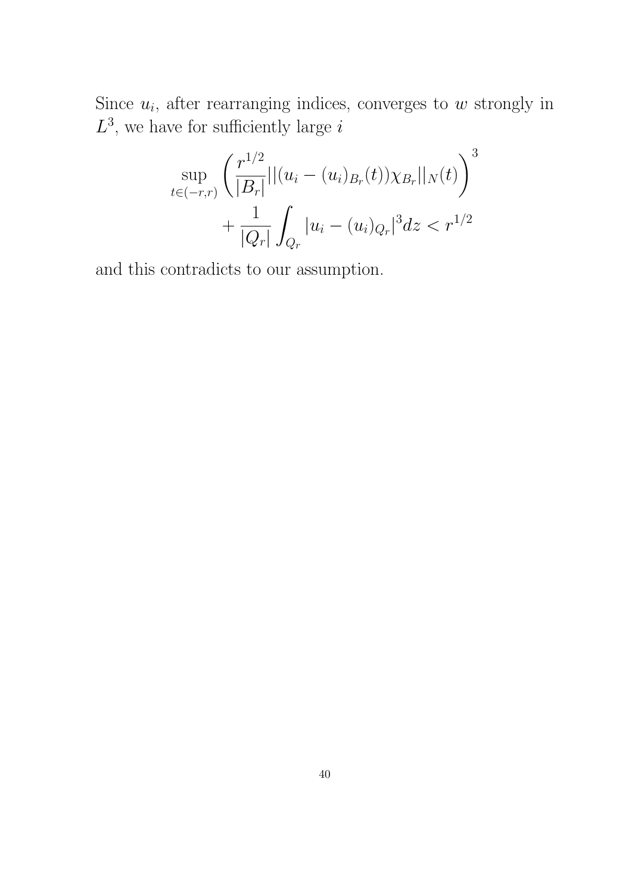Since  $u_i$ , after rearranging indices, converges to  $w$  strongly in  $L^3$ , we have for sufficiently large i

$$
\sup_{t \in (-r,r)} \left( \frac{r^{1/2}}{|B_r|} ||(u_i - (u_i)_{B_r}(t)) \chi_{B_r}||_N(t) \right)^3 + \frac{1}{|Q_r|} \int_{Q_r} |u_i - (u_i)_{Q_r}|^3 dz < r^{1/2}
$$

and this contradicts to our assumption.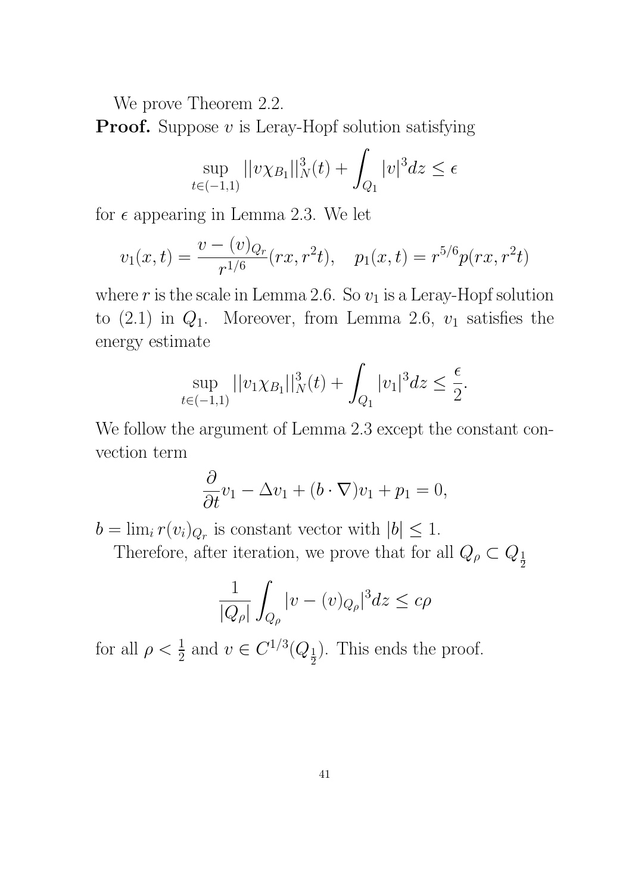We prove Theorem 2.2.

**Proof.** Suppose  $v$  is Leray-Hopf solution satisfying

$$
\sup_{t \in (-1,1)} ||v \chi_{B_1}||_N^3(t) + \int_{Q_1} |v|^3 dz \le \epsilon
$$

for  $\epsilon$  appearing in Lemma 2.3. We let

$$
v_1(x,t) = \frac{v - (v)_{Q_r}}{r^{1/6}}(rx, r^2t), \quad p_1(x,t) = r^{5/6}p(rx, r^2t)
$$

where  $r$  is the scale in Lemma 2.6. So  $v_1$  is a Leray-Hopf solution to  $(2.1)$  in  $Q_1$ . Moreover, from Lemma 2.6,  $v_1$  satisfies the energy estimate

$$
\sup_{t \in (-1,1)} ||v_1 \chi_{B_1}||_N^3(t) + \int_{Q_1} |v_1|^3 dz \le \frac{\epsilon}{2}.
$$

We follow the argument of Lemma 2.3 except the constant convection term

$$
\frac{\partial}{\partial t}v_1 - \Delta v_1 + (b \cdot \nabla)v_1 + p_1 = 0,
$$

 $b = \lim_i r(v_i)_{Q_r}$  is constant vector with  $|b| \leq 1$ .

Therefore, after iteration, we prove that for all  $Q_{\rho} \subset Q_{\frac{1}{2}}$ 

$$
\frac{1}{|Q_\rho|}\int_{Q_\rho}|v-(v)_{Q_\rho}|^3dz\leq c\rho
$$

for all  $\rho < \frac{1}{2}$  and  $v \in C^{1/3}(Q_{\frac{1}{2}})$ . This ends the proof.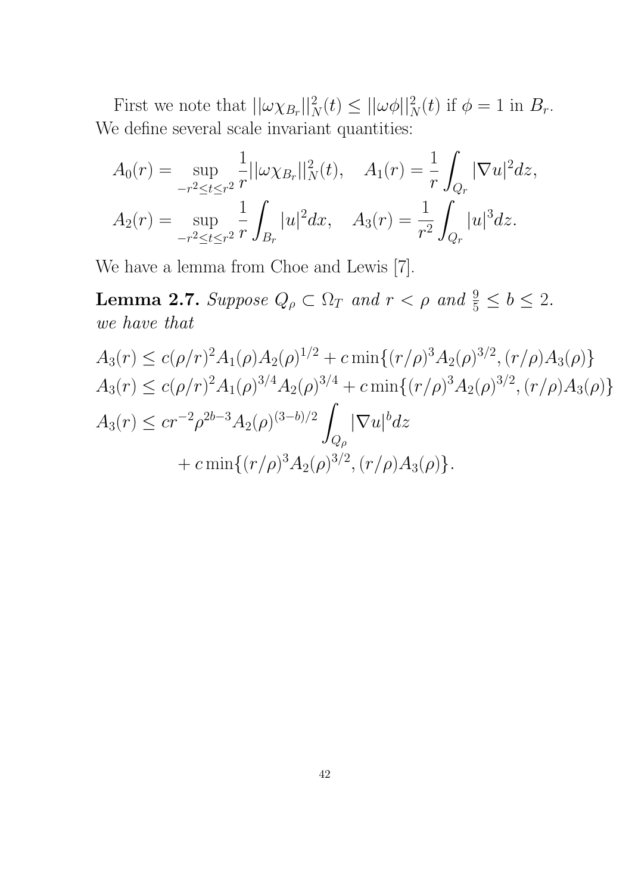First we note that  $||\omega \chi_{B_r}||_N^2(t) \le ||\omega \phi||_N^2(t)$  if  $\phi = 1$  in  $B_r$ . We define several scale invariant quantities:

$$
A_0(r) = \sup_{-r^2 \le t \le r^2} \frac{1}{r} ||\omega \chi_{B_r}||_N^2(t), \quad A_1(r) = \frac{1}{r} \int_{Q_r} |\nabla u|^2 dz,
$$
  

$$
A_2(r) = \sup_{-r^2 \le t \le r^2} \frac{1}{r} \int_{B_r} |u|^2 dx, \quad A_3(r) = \frac{1}{r^2} \int_{Q_r} |u|^3 dz.
$$

We have a lemma from Choe and Lewis [7].

**Lemma 2.7.** Suppose  $Q_{\rho} \subset \Omega_T$  and  $r < \rho$  and  $\frac{9}{5} \le b \le 2$ . we have that

$$
A_3(r) \le c(\rho/r)^2 A_1(\rho) A_2(\rho)^{1/2} + c \min\{(r/\rho)^3 A_2(\rho)^{3/2}, (r/\rho) A_3(\rho)\} A_3(r) \le c(\rho/r)^2 A_1(\rho)^{3/4} A_2(\rho)^{3/4} + c \min\{(r/\rho)^3 A_2(\rho)^{3/2}, (r/\rho) A_3(\rho)\} A_3(r) \le c r^{-2} \rho^{2b-3} A_2(\rho)^{(3-b)/2} \int_{Q_\rho} |\nabla u|^b dz + c \min\{(r/\rho)^3 A_2(\rho)^{3/2}, (r/\rho) A_3(\rho)\}.
$$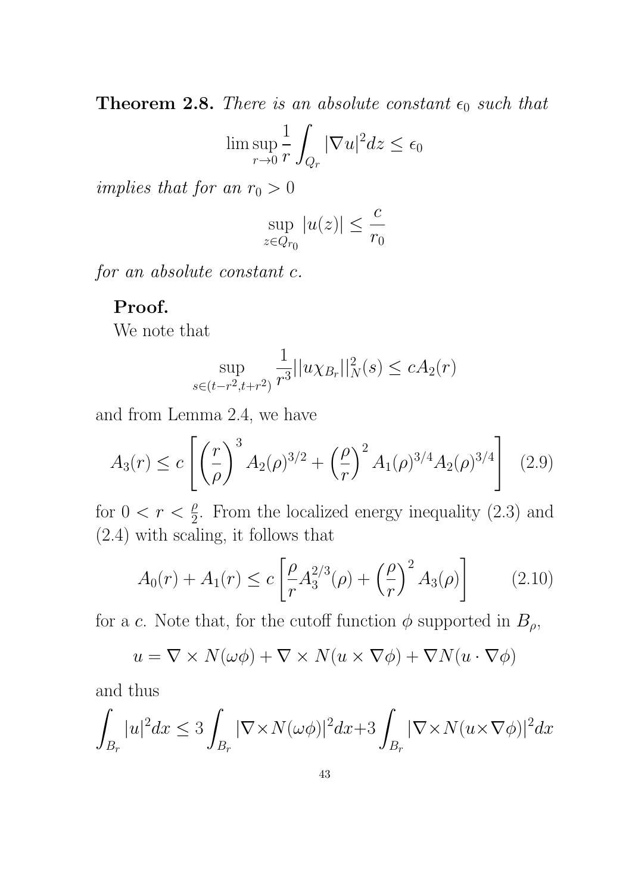**Theorem 2.8.** There is an absolute constant  $\epsilon_0$  such that

$$
\limsup_{r \to 0} \frac{1}{r} \int_{Q_r} |\nabla u|^2 dz \le \epsilon_0
$$

implies that for an  $r_0 > 0$ 

$$
\sup_{z \in Q_{r_0}} |u(z)| \leq \frac{c}{r_0}
$$

for an absolute constant c.

# Proof.

We note that

$$
\sup_{s \in (t - r^2, t + r^2)} \frac{1}{r^3} ||u \chi_{B_r}||_N^2(s) \le c A_2(r)
$$

and from Lemma 2.4, we have

$$
A_3(r) \le c \left[ \left( \frac{r}{\rho} \right)^3 A_2(\rho)^{3/2} + \left( \frac{\rho}{r} \right)^2 A_1(\rho)^{3/4} A_2(\rho)^{3/4} \right] \tag{2.9}
$$

for  $0 < r < \frac{\rho}{2}$ . From the localized energy inequality (2.3) and (2.4) with scaling, it follows that

$$
A_0(r) + A_1(r) \le c \left[ \frac{\rho}{r} A_3^{2/3}(\rho) + \left( \frac{\rho}{r} \right)^2 A_3(\rho) \right] \tag{2.10}
$$

for a c. Note that, for the cutoff function  $\phi$  supported in  $B_{\rho}$ ,

$$
u = \nabla \times N(\omega \phi) + \nabla \times N(u \times \nabla \phi) + \nabla N(u \cdot \nabla \phi)
$$

and thus

$$
\int_{B_r} |u|^2 dx \le 3 \int_{B_r} |\nabla \times N(\omega \phi)|^2 dx + 3 \int_{B_r} |\nabla \times N(u \times \nabla \phi)|^2 dx
$$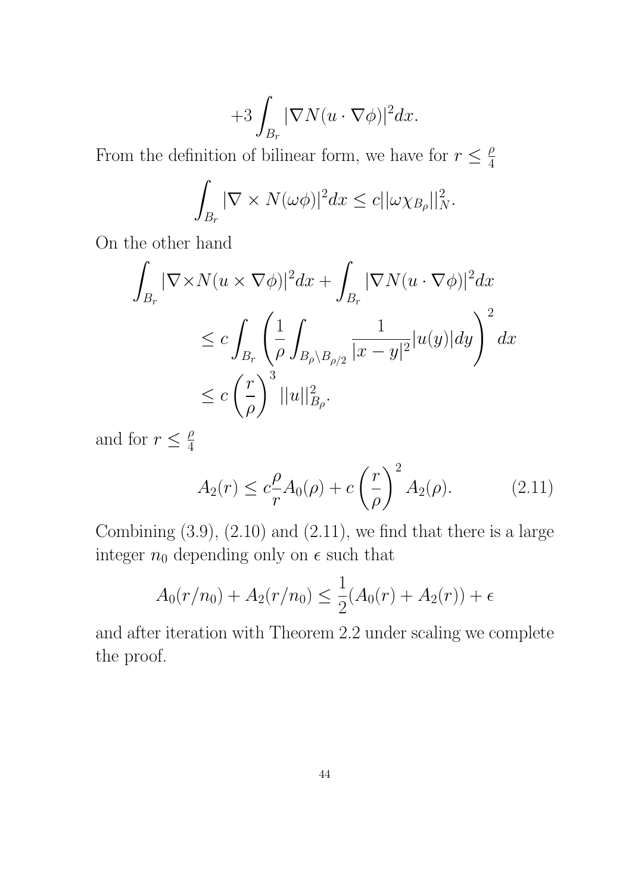$$
+ 3 \int_{B_r} |\nabla N(u\cdot \nabla \phi)|^2 dx.
$$

From the definition of bilinear form, we have for  $r \leq \frac{\rho}{4}$ 4

$$
\int_{B_r} |\nabla \times N(\omega \phi)|^2 dx \leq c ||\omega \chi_{B_\rho}||_N^2.
$$

On the other hand

$$
\int_{B_r} |\nabla \times N(u \times \nabla \phi)|^2 dx + \int_{B_r} |\nabla N(u \cdot \nabla \phi)|^2 dx
$$
  
\n
$$
\leq c \int_{B_r} \left( \frac{1}{\rho} \int_{B_\rho \setminus B_{\rho/2}} \frac{1}{|x - y|^2} |u(y)| dy \right)^2 dx
$$
  
\n
$$
\leq c \left( \frac{r}{\rho} \right)^3 ||u||_{B_\rho}^2.
$$

and for  $r \leq \frac{\rho}{4}$ 4

$$
A_2(r) \le c \frac{\rho}{r} A_0(\rho) + c \left(\frac{r}{\rho}\right)^2 A_2(\rho).
$$
 (2.11)

Combining  $(3.9)$ ,  $(2.10)$  and  $(2.11)$ , we find that there is a large integer  $n_0$  depending only on  $\epsilon$  such that

$$
A_0(r/n_0) + A_2(r/n_0) \le \frac{1}{2}(A_0(r) + A_2(r)) + \epsilon
$$

and after iteration with Theorem 2.2 under scaling we complete the proof.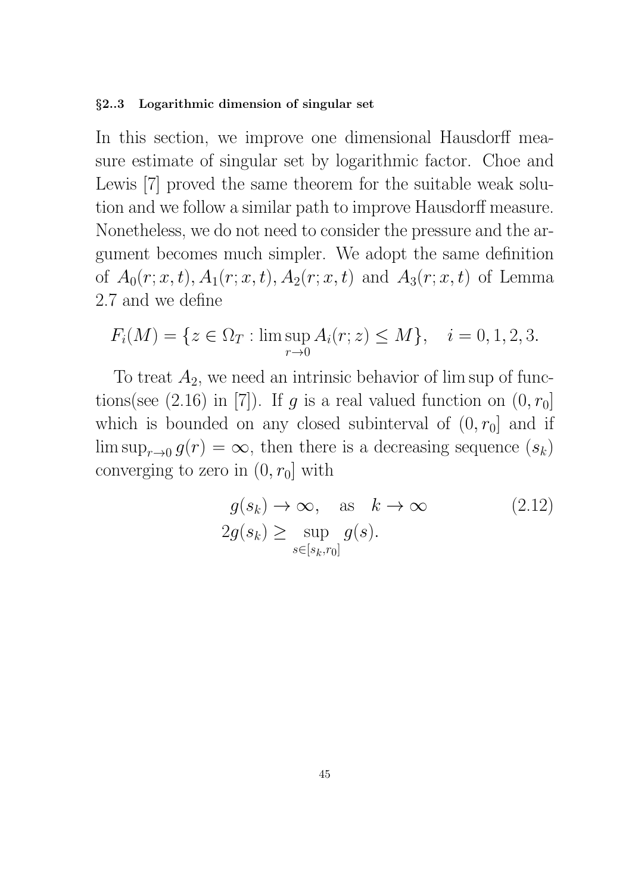#### §2..3 Logarithmic dimension of singular set

In this section, we improve one dimensional Hausdorff measure estimate of singular set by logarithmic factor. Choe and Lewis [7] proved the same theorem for the suitable weak solution and we follow a similar path to improve Hausdorff measure. Nonetheless, we do not need to consider the pressure and the argument becomes much simpler. We adopt the same definition of  $A_0(r; x, t)$ ,  $A_1(r; x, t)$ ,  $A_2(r; x, t)$  and  $A_3(r; x, t)$  of Lemma 2.7 and we define

$$
F_i(M) = \{ z \in \Omega_T : \limsup_{r \to 0} A_i(r; z) \le M \}, \quad i = 0, 1, 2, 3.
$$

To treat  $A_2$ , we need an intrinsic behavior of lim sup of functions(see  $(2.16)$  in [7]). If g is a real valued function on  $(0, r_0]$ which is bounded on any closed subinterval of  $(0, r_0]$  and if  $\limsup_{r\to 0} g(r) = \infty$ , then there is a decreasing sequence  $(s_k)$ converging to zero in  $(0, r_0]$  with

$$
g(s_k) \to \infty, \quad \text{as} \quad k \to \infty \tag{2.12}
$$
  

$$
2g(s_k) \ge \sup_{s \in [s_k, r_0]} g(s).
$$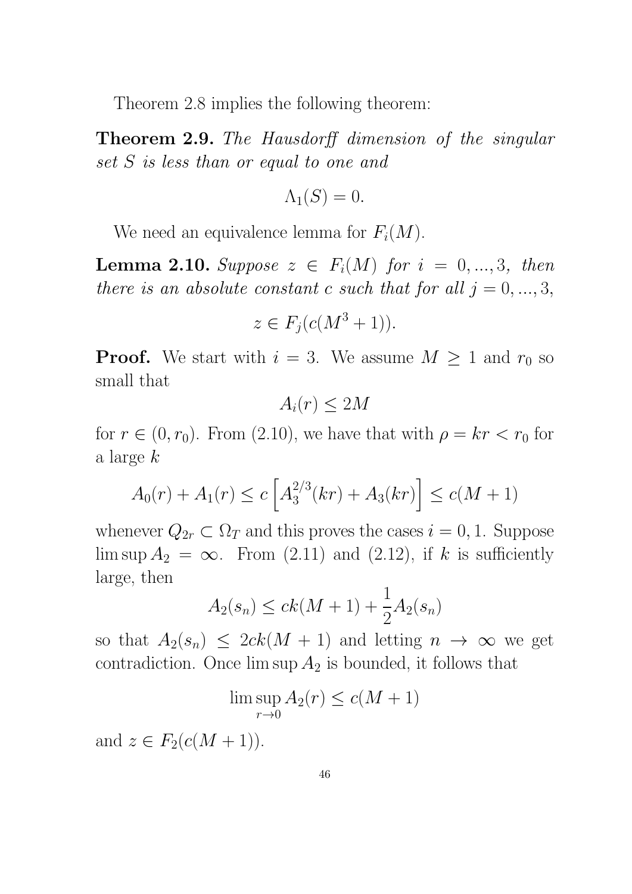Theorem 2.8 implies the following theorem:

Theorem 2.9. The Hausdorff dimension of the singular set S is less than or equal to one and

$$
\Lambda_1(S) = 0.
$$

We need an equivalence lemma for  $F_i(M)$ .

**Lemma 2.10.** Suppose  $z \in F_i(M)$  for  $i = 0, ..., 3$ , then there is an absolute constant c such that for all  $j = 0, ..., 3$ ,

$$
z \in F_j(c(M^3 + 1)).
$$

**Proof.** We start with  $i = 3$ . We assume  $M \geq 1$  and  $r_0$  so small that

$$
A_i(r) \le 2M
$$

for  $r \in (0, r_0)$ . From (2.10), we have that with  $\rho = kr < r_0$  for a large k

$$
A_0(r) + A_1(r) \le c \left[ A_3^{2/3}(kr) + A_3(kr) \right] \le c(M+1)
$$

whenever  $Q_{2r} \subset \Omega_T$  and this proves the cases  $i = 0, 1$ . Suppose lim sup  $A_2 = \infty$ . From (2.11) and (2.12), if k is sufficiently large, then

$$
A_2(s_n) \le ck(M+1) + \frac{1}{2}A_2(s_n)
$$

so that  $A_2(s_n) \leq 2ck(M + 1)$  and letting  $n \to \infty$  we get contradiction. Once  $\limsup A_2$  is bounded, it follows that

$$
\limsup_{r \to 0} A_2(r) \le c(M+1)
$$

and  $z \in F_2(c(M + 1))$ .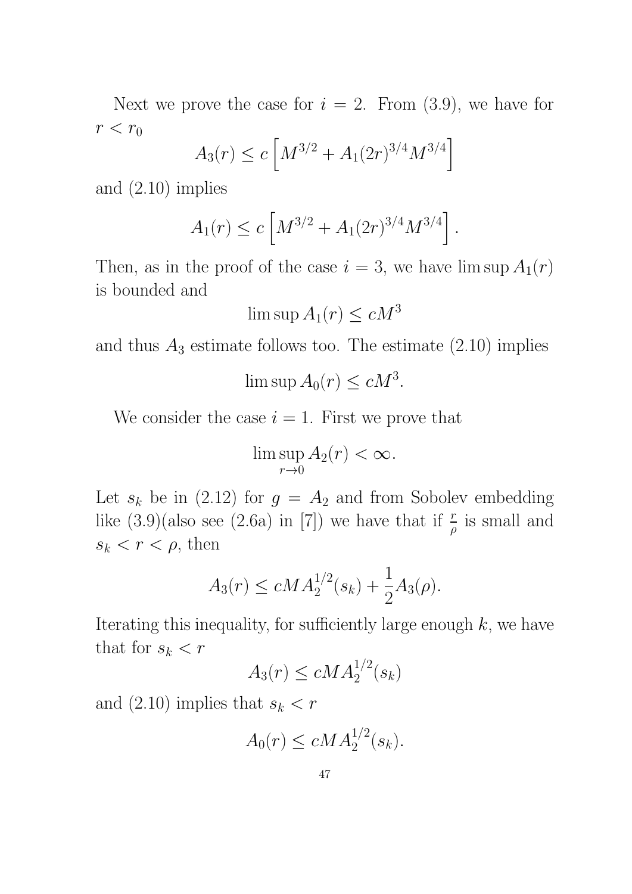Next we prove the case for  $i = 2$ . From  $(3.9)$ , we have for  $r < r_0$ 

$$
A_3(r) \le c \left[ M^{3/2} + A_1(2r)^{3/4} M^{3/4} \right]
$$

and (2.10) implies

$$
A_1(r) \le c \left[ M^{3/2} + A_1(2r)^{3/4} M^{3/4} \right].
$$

Then, as in the proof of the case  $i = 3$ , we have  $\limsup A_1(r)$ is bounded and

$$
\limsup A_1(r) \le cM^3
$$

and thus  $A_3$  estimate follows too. The estimate  $(2.10)$  implies

$$
\limsup A_0(r) \le cM^3.
$$

We consider the case  $i = 1$ . First we prove that

$$
\limsup_{r \to 0} A_2(r) < \infty.
$$

Let  $s_k$  be in (2.12) for  $g = A_2$  and from Sobolev embedding like  $(3.9)($ also see  $(2.6a)$  in [7]) we have that if  $\frac{r}{\rho}$  is small and  $s_k < r < \rho$ , then

$$
A_3(r) \le cMA_2^{1/2}(s_k) + \frac{1}{2}A_3(\rho).
$$

Iterating this inequality, for sufficiently large enough  $k$ , we have that for  $s_k < r$ 

$$
A_3(r) \le c M A_2^{1/2}(s_k)
$$

and (2.10) implies that  $s_k < r$ 

$$
A_0(r) \le c M A_2^{1/2}(s_k).
$$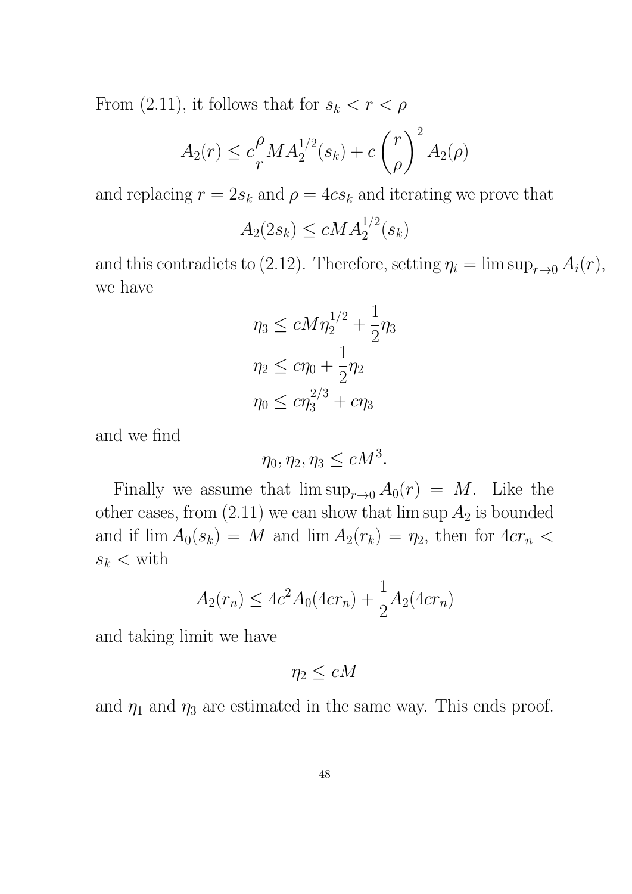From (2.11), it follows that for  $s_k < r < \rho$ 

$$
A_2(r) \le c \frac{\rho}{r} M A_2^{1/2}(s_k) + c \left(\frac{r}{\rho}\right)^2 A_2(\rho)
$$

and replacing  $r = 2s_k$  and  $\rho = 4cs_k$  and iterating we prove that

$$
A_2(2s_k) \le c M A_2^{1/2}(s_k)
$$

and this contradicts to (2.12). Therefore, setting  $\eta_i = \limsup_{r \to 0} A_i(r)$ , we have

$$
\eta_3 \le cM\eta_2^{1/2} + \frac{1}{2}\eta_3
$$
  

$$
\eta_2 \le c\eta_0 + \frac{1}{2}\eta_2
$$
  

$$
\eta_0 \le c\eta_3^{2/3} + c\eta_3
$$

and we find

$$
\eta_0, \eta_2, \eta_3 \le cM^3.
$$

Finally we assume that  $\limsup_{r\to 0} A_0(r) = M$ . Like the other cases, from  $(2.11)$  we can show that  $\limsup A_2$  is bounded and if  $\lim A_0(s_k) = M$  and  $\lim A_2(r_k) = \eta_2$ , then for  $4cr_n <$  $s_k <$  with

$$
A_2(r_n) \le 4c^2 A_0(4cr_n) + \frac{1}{2} A_2(4cr_n)
$$

and taking limit we have

$$
\eta_2 \leq cM
$$

and  $\eta_1$  and  $\eta_3$  are estimated in the same way. This ends proof.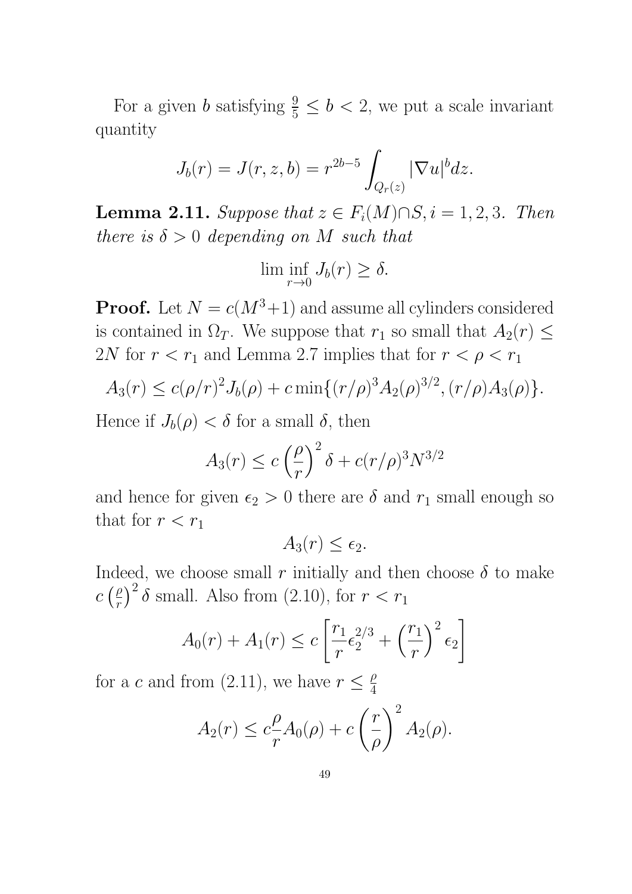For a given b satisfying  $\frac{9}{5} \le b < 2$ , we put a scale invariant quantity

$$
J_b(r) = J(r, z, b) = r^{2b-5} \int_{Q_r(z)} |\nabla u|^b dz.
$$

Lemma 2.11. Suppose that  $z \in F_i(M) \cap S, i = 1, 2, 3$ . Then there is  $\delta > 0$  depending on M such that

$$
\liminf_{r \to 0} J_b(r) \ge \delta.
$$

**Proof.** Let  $N = c(M^3+1)$  and assume all cylinders considered is contained in  $\Omega_T$ . We suppose that  $r_1$  so small that  $A_2(r) \leq$ 2N for  $r < r_1$  and Lemma 2.7 implies that for  $r < \rho < r_1$ 

$$
A_3(r) \le c(\rho/r)^2 J_b(\rho) + c \min\{(r/\rho)^3 A_2(\rho)^{3/2}, (r/\rho) A_3(\rho)\}.
$$

Hence if  $J_b(\rho) < \delta$  for a small  $\delta$ , then

$$
A_3(r) \le c \left(\frac{\rho}{r}\right)^2 \delta + c(r/\rho)^3 N^{3/2}
$$

and hence for given  $\epsilon_2 > 0$  there are  $\delta$  and  $r_1$  small enough so that for  $r < r_1$ 

 $A_3(r) \leq \epsilon_2.$ 

Indeed, we choose small r initially and then choose  $\delta$  to make  $c\left(\frac{\rho}{r}\right)$  $\left(\frac{\rho}{r}\right)^2 \delta$  small. Also from (2.10), for  $r < r_1$ 

$$
A_0(r) + A_1(r) \le c \left[ \frac{r_1}{r} \epsilon_2^{2/3} + \left(\frac{r_1}{r}\right)^2 \epsilon_2 \right]
$$

for a c and from (2.11), we have  $r \leq \frac{\rho}{4}$ 4

$$
A_2(r) \le c \frac{\rho}{r} A_0(\rho) + c \left(\frac{r}{\rho}\right)^2 A_2(\rho).
$$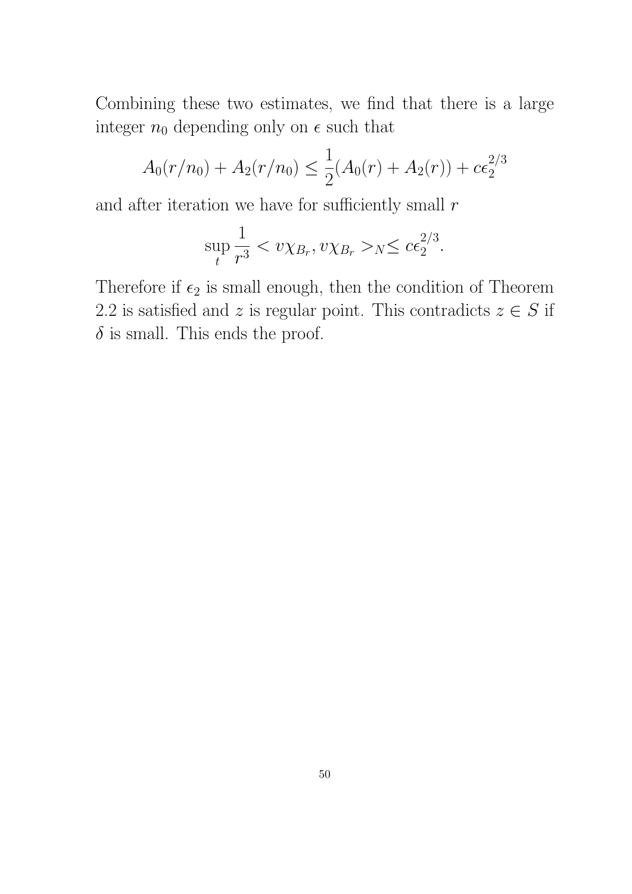Combining these two estimates, we find that there is a large integer  $n_0$  depending only on  $\epsilon$  such that

$$
A_0(r/n_0) + A_2(r/n_0) \le \frac{1}{2}(A_0(r) + A_2(r)) + c\epsilon_2^{2/3}
$$

and after iteration we have for sufficiently small  $r$ 

$$
\sup_{t} \frac{1}{r^3} < v \chi_{B_r}, v \chi_{B_r} >_{N} \leq c \epsilon_2^{2/3}.
$$

Therefore if  $\epsilon_2$  is small enough, then the condition of Theorem 2.2 is satisfied and z is regular point. This contradicts  $z \in S$  if  $\delta$  is small. This ends the proof.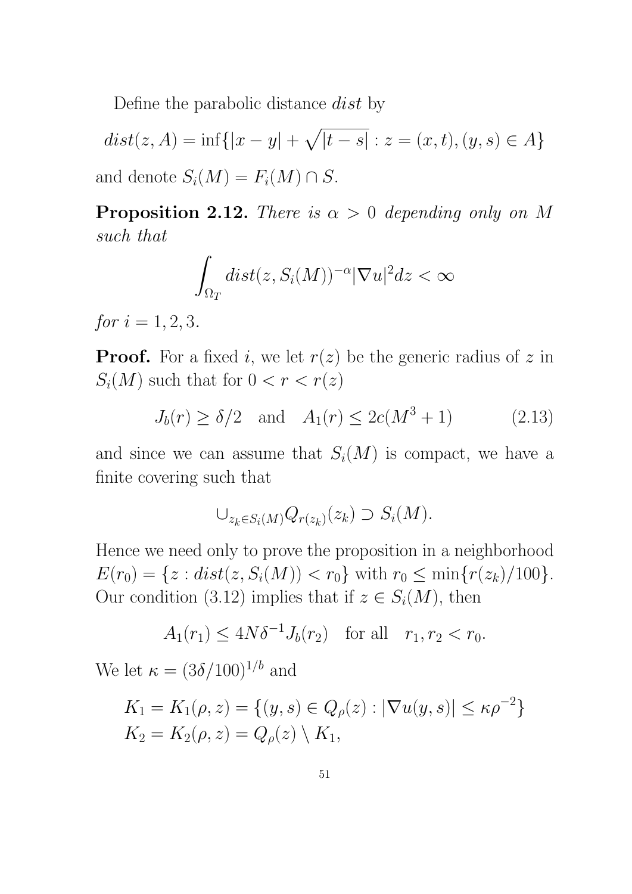Define the parabolic distance dist by

 $dist(z, A) = \inf\{|x - y| + \sqrt{|t - s|} : z = (x, t), (y, s) \in A\}$ and denote  $S_i(M) = F_i(M) \cap S$ .

**Proposition 2.12.** There is  $\alpha > 0$  depending only on M such that

$$
\int_{\Omega_T} dist(z, S_i(M))^{-\alpha} |\nabla u|^2 dz < \infty
$$

for  $i = 1, 2, 3$ .

**Proof.** For a fixed i, we let  $r(z)$  be the generic radius of z in  $S_i(M)$  such that for  $0 < r < r(z)$ 

$$
J_b(r) \ge \delta/2
$$
 and  $A_1(r) \le 2c(M^3 + 1)$  (2.13)

and since we can assume that  $S_i(M)$  is compact, we have a finite covering such that

$$
\cup_{z_k \in S_i(M)} Q_{r(z_k)}(z_k) \supset S_i(M).
$$

Hence we need only to prove the proposition in a neighborhood  $E(r_0) = \{z : dist(z, S_i(M)) < r_0\}$  with  $r_0 \le \min\{r(z_k)/100\}.$ Our condition (3.12) implies that if  $z \in S_i(M)$ , then

$$
A_1(r_1) \le 4N\delta^{-1}J_b(r_2)
$$
 for all  $r_1, r_2 < r_0$ .

We let  $\kappa = (3\delta/100)^{1/b}$  and

$$
K_1 = K_1(\rho, z) = \{ (y, s) \in Q_{\rho}(z) : |\nabla u(y, s)| \le \kappa \rho^{-2} \}
$$
  
\n
$$
K_2 = K_2(\rho, z) = Q_{\rho}(z) \setminus K_1,
$$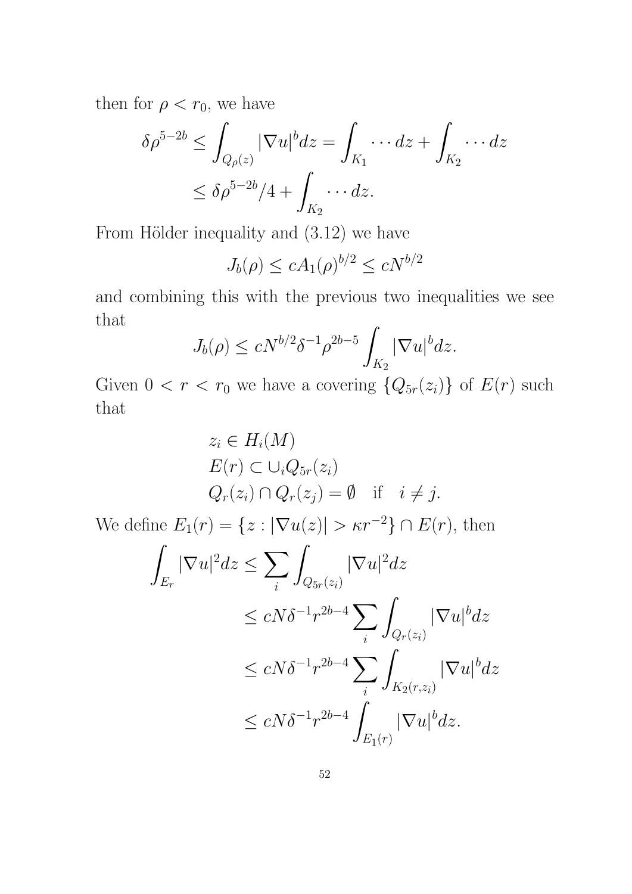then for  $\rho < r_0$ , we have

$$
\delta \rho^{5-2b} \le \int_{Q_{\rho}(z)} |\nabla u|^b dz = \int_{K_1} \cdots dz + \int_{K_2} \cdots dz
$$
  

$$
\le \delta \rho^{5-2b}/4 + \int_{K_2} \cdots dz.
$$

From Hölder inequality and  $(3.12)$  we have

$$
J_b(\rho) \le c A_1(\rho)^{b/2} \le cN^{b/2}
$$

and combining this with the previous two inequalities we see that  $\mathbf{r}$ 

$$
J_b(\rho) \le cN^{b/2}\delta^{-1}\rho^{2b-5} \int_{K_2} |\nabla u|^b dz.
$$

Given  $0 < r < r_0$  we have a covering  $\{Q_{5r}(z_i)\}\$  of  $E(r)$  such that

$$
z_i \in H_i(M)
$$
  
\n
$$
E(r) \subset \bigcup_i Q_{5r}(z_i)
$$
  
\n
$$
Q_r(z_i) \cap Q_r(z_j) = \emptyset \quad \text{if} \quad i \neq j.
$$

We define  $E_1(r) = \{z : |\nabla u(z)| > \kappa r^{-2}\} \cap E(r)$ , then

$$
\int_{E_r} |\nabla u|^2 dz \leq \sum_i \int_{Q_{5r}(z_i)} |\nabla u|^2 dz
$$
\n
$$
\leq cN\delta^{-1} r^{2b-4} \sum_i \int_{Q_r(z_i)} |\nabla u|^b dz
$$
\n
$$
\leq cN\delta^{-1} r^{2b-4} \sum_i \int_{K_2(r,z_i)} |\nabla u|^b dz
$$
\n
$$
\leq cN\delta^{-1} r^{2b-4} \int_{E_1(r)} |\nabla u|^b dz.
$$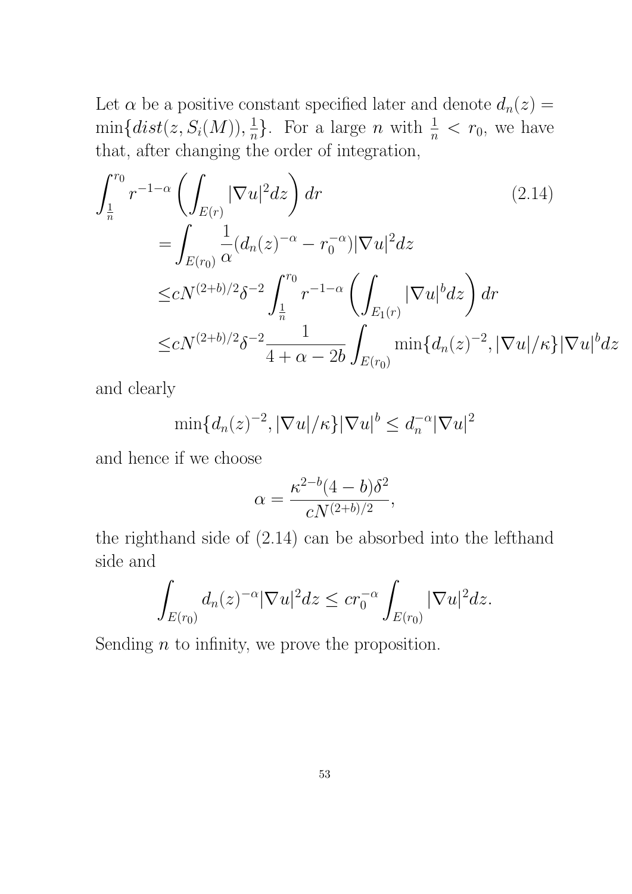Let  $\alpha$  be a positive constant specified later and denote  $d_n(z) =$  $\min\{dist(z,S_i(M)), \frac{1}{n}\}$  $\frac{1}{n}$ . For a large *n* with  $\frac{1}{n} < r_0$ , we have that, after changing the order of integration,

$$
\int_{\frac{1}{n}}^{r_0} r^{-1-\alpha} \left( \int_{E(r)} |\nabla u|^2 dz \right) dr \qquad (2.14)
$$
\n
$$
= \int_{E(r_0)} \frac{1}{\alpha} (d_n(z)^{-\alpha} - r_0^{-\alpha}) |\nabla u|^2 dz
$$
\n
$$
\leq c N^{(2+b)/2} \delta^{-2} \int_{\frac{1}{n}}^{r_0} r^{-1-\alpha} \left( \int_{E_1(r)} |\nabla u|^b dz \right) dr
$$
\n
$$
\leq c N^{(2+b)/2} \delta^{-2} \frac{1}{4+\alpha-2b} \int_{E(r_0)} \min\{d_n(z)^{-2}, |\nabla u|/\kappa\} |\nabla u|^b dz
$$

and clearly

 $\min\{d_n(z)^{-2},|\nabla u|/\kappa\}|\nabla u|^b\leq d_n^{-\alpha}$  $\int_{n}^{-\alpha} \lvert \nabla u \rvert^2$ 

and hence if we choose

$$
\alpha = \frac{\kappa^{2-b} (4-b) \delta^2}{c N^{(2+b)/2}},
$$

the righthand side of (2.14) can be absorbed into the lefthand side and

$$
\int_{E(r_0)} d_n(z)^{-\alpha} |\nabla u|^2 dz \leq c r_0^{-\alpha} \int_{E(r_0)} |\nabla u|^2 dz.
$$

Sending  $n$  to infinity, we prove the proposition.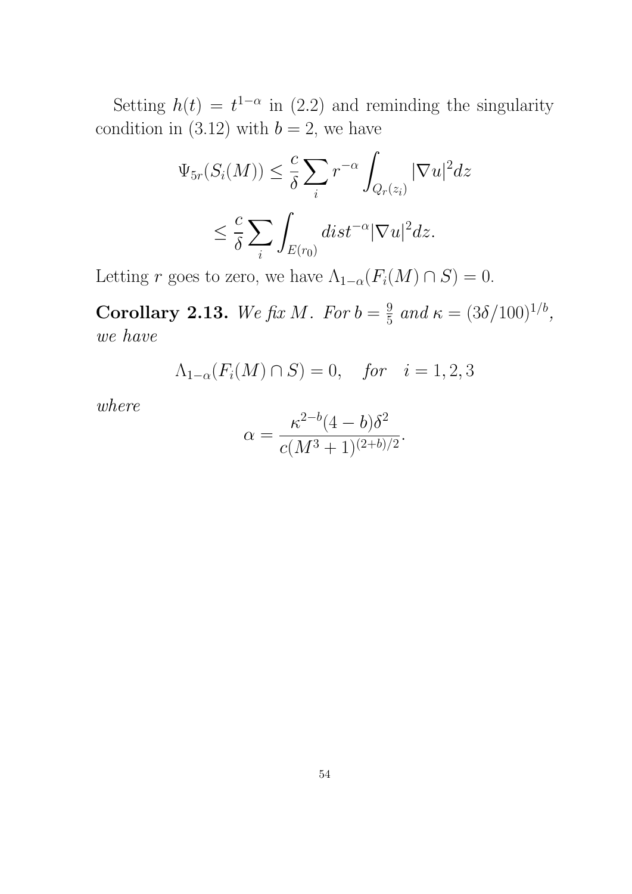Setting  $h(t) = t^{1-\alpha}$  in (2.2) and reminding the singularity condition in (3.12) with  $b = 2$ , we have

$$
\Psi_{5r}(S_i(M)) \leq \frac{c}{\delta} \sum_i r^{-\alpha} \int_{Q_r(z_i)} |\nabla u|^2 dz
$$
  

$$
\leq \frac{c}{\delta} \sum_i \int_{E(r_0)} dist^{-\alpha} |\nabla u|^2 dz.
$$

Letting r goes to zero, we have  $\Lambda_{1-\alpha}(F_i(M) \cap S) = 0$ .

Corollary 2.13. We fix M. For  $b=\frac{9}{5}$  $\frac{9}{5}$  and  $\kappa = (3\delta/100)^{1/b}$ , we have

 $\Lambda_{1-\alpha}(F_i(M) \cap S) = 0$ , for  $i = 1, 2, 3$ 

where

$$
\alpha = \frac{\kappa^{2-b} (4-b) \delta^2}{c(M^3+1)^{(2+b)/2}}.
$$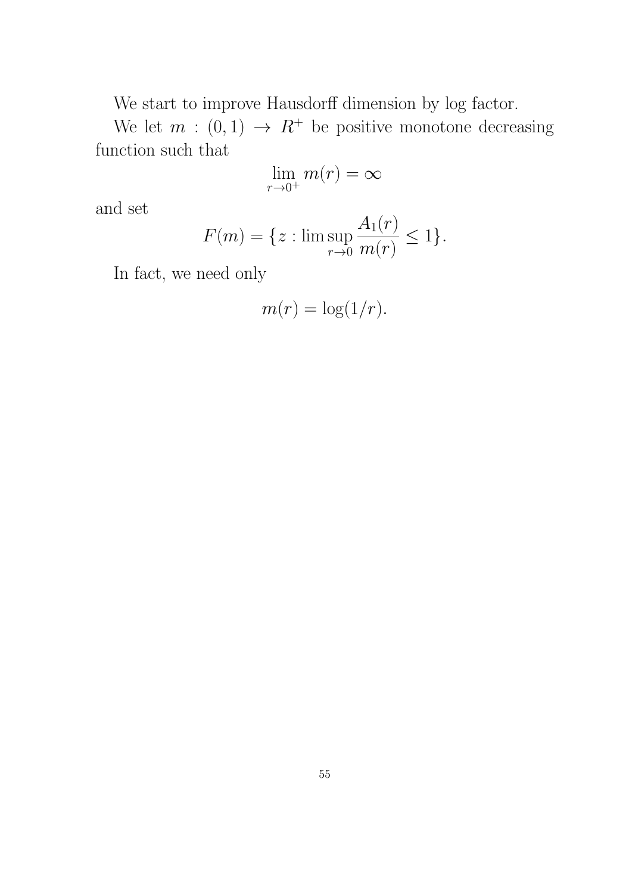We start to improve Hausdorff dimension by log factor.

We let  $m : (0,1) \rightarrow R^+$  be positive monotone decreasing function such that

$$
\lim_{r \to 0^+} m(r) = \infty
$$

and set

$$
F(m) = \{ z : \limsup_{r \to 0} \frac{A_1(r)}{m(r)} \le 1 \}.
$$

In fact, we need only

$$
m(r) = \log(1/r).
$$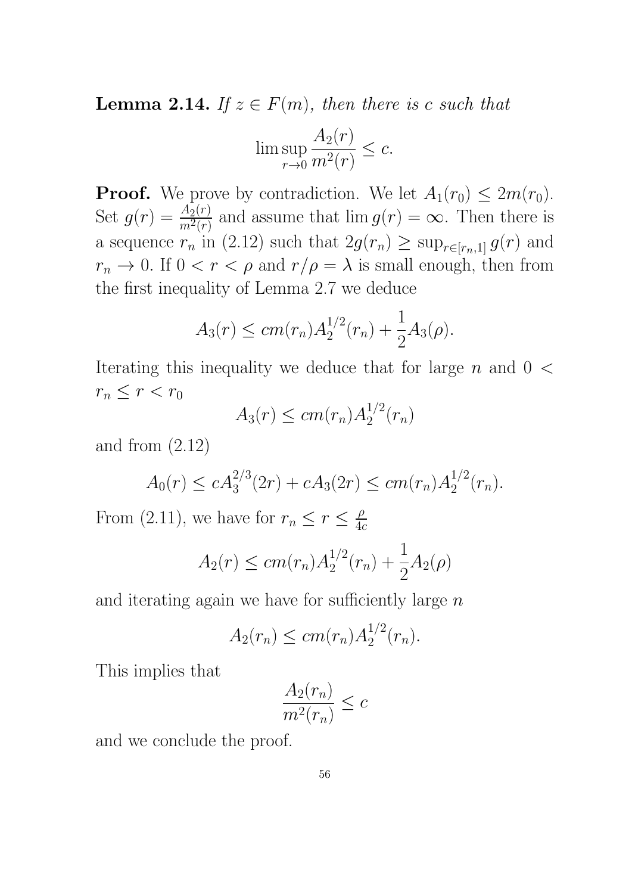**Lemma 2.14.** If  $z \in F(m)$ , then there is c such that

$$
\limsup_{r \to 0} \frac{A_2(r)}{m^2(r)} \le c.
$$

**Proof.** We prove by contradiction. We let  $A_1(r_0) \leq 2m(r_0)$ . Set  $g(r) = \frac{A_2(r)}{m^2(r)}$  and assume that  $\lim g(r) = \infty$ . Then there is a sequence  $r_n$  in (2.12) such that  $2g(r_n) \ge \sup_{r \in [r_n,1]} g(r)$  and  $r_n \to 0$ . If  $0 < r < \rho$  and  $r/\rho = \lambda$  is small enough, then from the first inequality of Lemma 2.7 we deduce

$$
A_3(r) \le cm(r_n)A_2^{1/2}(r_n) + \frac{1}{2}A_3(\rho).
$$

Iterating this inequality we deduce that for large  $n$  and  $0 <$  $r_n \leq r < r_0$ 

$$
A_3(r) \le cm(r_n)A_2^{1/2}(r_n)
$$

and from  $(2.12)$ 

$$
A_0(r) \le c A_3^{2/3}(2r) + c A_3(2r) \le c m(r_n) A_2^{1/2}(r_n).
$$

From (2.11), we have for  $r_n \leq r \leq \frac{\rho}{4\rho}$  $4c$ 

$$
A_2(r) \le cm(r_n)A_2^{1/2}(r_n) + \frac{1}{2}A_2(\rho)
$$

and iterating again we have for sufficiently large  $n$ 

$$
A_2(r_n) \le cm(r_n) A_2^{1/2}(r_n).
$$

This implies that

$$
\frac{A_2(r_n)}{m^2(r_n)} \le c
$$

and we conclude the proof.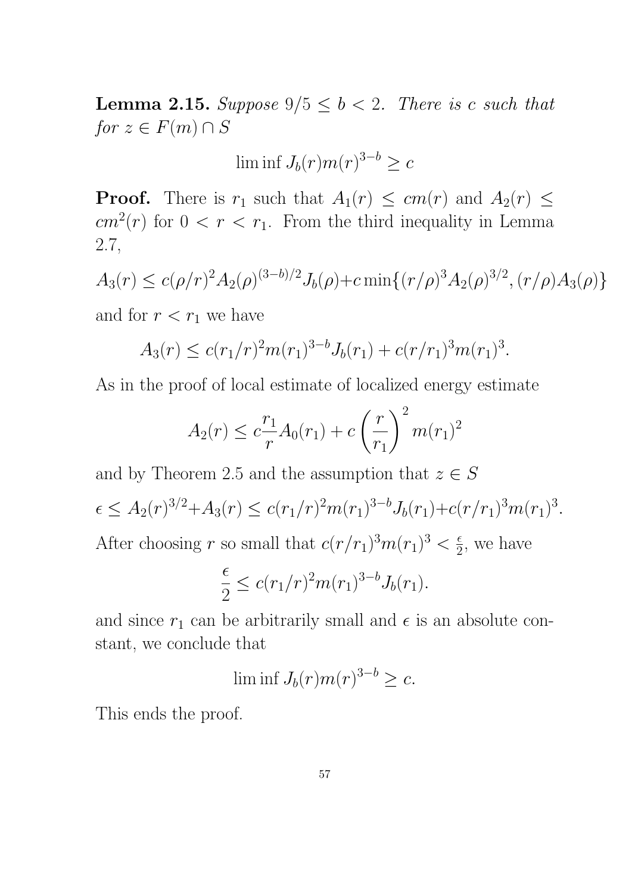**Lemma 2.15.** Suppose  $9/5 \le b < 2$ . There is c such that  $for z \in F(m) \cap S$ 

$$
\liminf J_b(r)m(r)^{3-b}\geq c
$$

**Proof.** There is  $r_1$  such that  $A_1(r) \le cm(r)$  and  $A_2(r) \le$  $cm<sup>2</sup>(r)$  for  $0 < r < r<sub>1</sub>$ . From the third inequality in Lemma 2.7,

$$
A_3(r) \le c(\rho/r)^2 A_2(\rho)^{(3-b)/2} J_b(\rho) + c \min\{(r/\rho)^3 A_2(\rho)^{3/2}, (r/\rho) A_3(\rho)\}
$$

and for  $r < r_1$  we have

$$
A_3(r) \le c(r_1/r)^2 m(r_1)^{3-b} J_b(r_1) + c(r/r_1)^3 m(r_1)^3.
$$

As in the proof of local estimate of localized energy estimate

$$
A_2(r) \le c \frac{r_1}{r} A_0(r_1) + c \left(\frac{r}{r_1}\right)^2 m(r_1)^2
$$

and by Theorem 2.5 and the assumption that  $z \in S$ 

$$
\epsilon \le A_2(r)^{3/2} + A_3(r) \le c(r_1/r)^2 m(r_1)^{3-b} J_b(r_1) + c(r/r_1)^3 m(r_1)^3.
$$

After choosing r so small that  $c(r/r_1)^3 m(r_1)^3 < \frac{\epsilon}{2}$  $\frac{\epsilon}{2}$ , we have

$$
\frac{\epsilon}{2} \le c (r_1/r)^2 m(r_1)^{3-b} J_b(r_1).
$$

and since  $r_1$  can be arbitrarily small and  $\epsilon$  is an absolute constant, we conclude that

$$
\liminf J_b(r)m(r)^{3-b}\geq c.
$$

This ends the proof.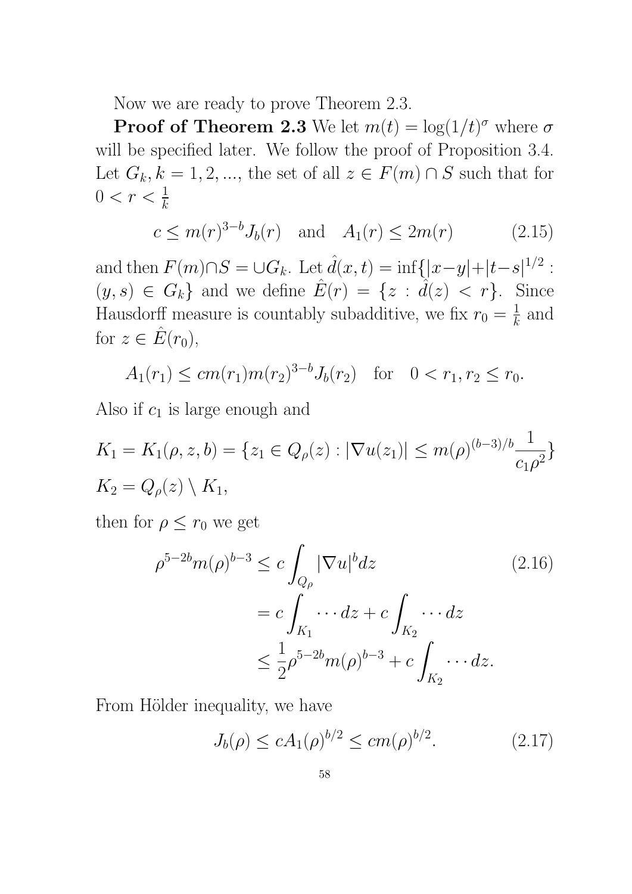Now we are ready to prove Theorem 2.3.

**Proof of Theorem 2.3** We let  $m(t) = \log(1/t)^{\sigma}$  where  $\sigma$ will be specified later. We follow the proof of Proposition 3.4. Let  $G_k, k = 1, 2, \ldots$ , the set of all  $z \in F(m) \cap S$  such that for  $0 < r < \frac{1}{k}$ 

$$
c \le m(r)^{3-b} J_b(r)
$$
 and  $A_1(r) \le 2m(r)$  (2.15)

and then  $F(m) \cap S = \cup G_k$ . Let  $\hat{d}(x,t) = \inf\{|x-y|+|t-s|^{1/2}$ :  $(y, s) \in G_k$  and we define  $\hat{E}(r) = \{z : \hat{d}(z) < r\}$ . Since Hausdorff measure is countably subadditive, we fix  $r_0 = \frac{1}{k}$  $\frac{1}{k}$  and for  $z \in \hat{E}(r_0)$ ,

$$
A_1(r_1) \le cm(r_1)m(r_2)^{3-b}J_b(r_2) \text{ for } 0 < r_1, r_2 \le r_0.
$$

Also if  $c_1$  is large enough and

$$
K_1 = K_1(\rho, z, b) = \{z_1 \in Q_{\rho}(z) : |\nabla u(z_1)| \le m(\rho)^{(b-3)/b} \frac{1}{c_1 \rho^2}\}
$$
  

$$
K_2 = Q_{\rho}(z) \setminus K_1,
$$

then for  $\rho \leq r_0$  we get

$$
\rho^{5-2b}m(\rho)^{b-3} \le c \int_{Q_{\rho}} |\nabla u|^b dz \qquad (2.16)
$$

$$
= c \int_{K_1} \cdots dz + c \int_{K_2} \cdots dz
$$

$$
\le \frac{1}{2} \rho^{5-2b}m(\rho)^{b-3} + c \int_{K_2} \cdots dz.
$$

From Hölder inequality, we have

$$
J_b(\rho) \le c A_1(\rho)^{b/2} \le cm(\rho)^{b/2}.
$$
 (2.17)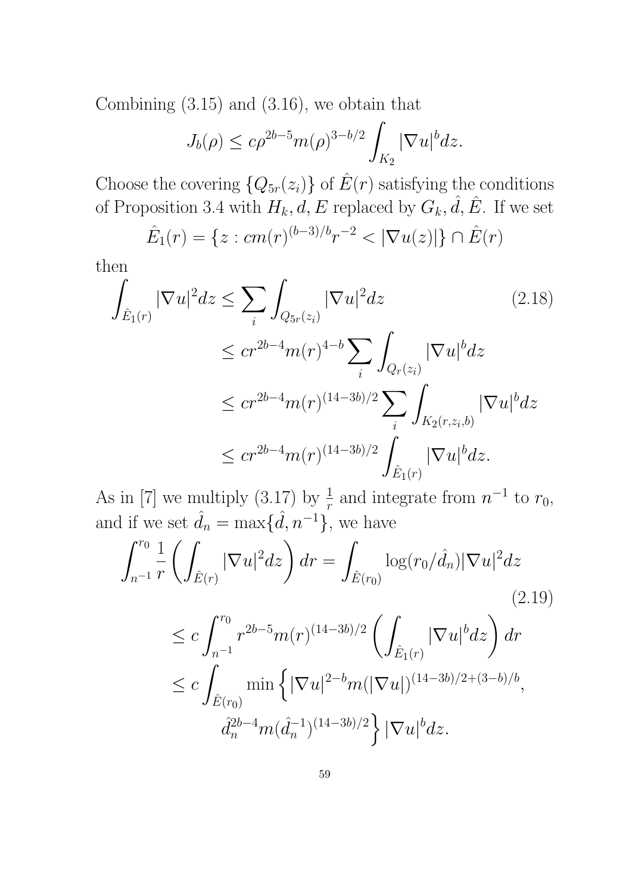Combining (3.15) and (3.16), we obtain that

$$
J_b(\rho) \le c\rho^{2b-5}m(\rho)^{3-b/2}\int_{K_2}|\nabla u|^b dz.
$$

Choose the covering  $\{Q_{5r}(z_i)\}\$  of  $\hat{E}(r)$  satisfying the conditions of Proposition 3.4 with  $H_k$ ,  $d$ ,  $E$  replaced by  $G_k$ ,  $\hat{d}$ ,  $\hat{E}$ . If we set

$$
\hat{E}_1(r) = \{ z : cm(r)^{(b-3)/b} r^{-2} < |\nabla u(z)| \} \cap \hat{E}(r)
$$

then

$$
\int_{\hat{E}_1(r)} |\nabla u|^2 dz \le \sum_i \int_{Q_{5r}(z_i)} |\nabla u|^2 dz \qquad (2.18)
$$
\n
$$
\le c r^{2b-4} m(r)^{4-b} \sum_i \int_{Q_r(z_i)} |\nabla u|^b dz
$$
\n
$$
\le c r^{2b-4} m(r)^{(14-3b)/2} \sum_i \int_{K_2(r,z_i,b)} |\nabla u|^b dz
$$
\n
$$
\le c r^{2b-4} m(r)^{(14-3b)/2} \int_{\hat{E}_1(r)} |\nabla u|^b dz.
$$

As in [7] we multiply (3.17) by  $\frac{1}{r}$  and integrate from  $n^{-1}$  to  $r_0$ , and if we set  $\hat{d}_n = \max{\{\hat{d}, n^{-1}\}}$ , we have

$$
\int_{n^{-1}}^{r_0} \frac{1}{r} \left( \int_{\hat{E}(r)} |\nabla u|^2 dz \right) dr = \int_{\hat{E}(r_0)} \log(r_0/\hat{d}_n) |\nabla u|^2 dz
$$
\n
$$
\leq c \int_{n^{-1}}^{r_0} r^{2b-5} m(r)^{(14-3b)/2} \left( \int_{\hat{E}_1(r)} |\nabla u|^b dz \right) dr
$$
\n
$$
\leq c \int_{\hat{E}(r_0)} \min \left\{ |\nabla u|^{2-b} m(|\nabla u|)^{(14-3b)/2 + (3-b)/b}, \right\}
$$
\n(2.19)

$$
\left\{\begin{array}{l}d_{n}^{(1)}\widetilde{d}_{n}^{(2b-4)}(14-3b)/2\end{array}\right\}\left|\nabla u\right|^{b}dz.
$$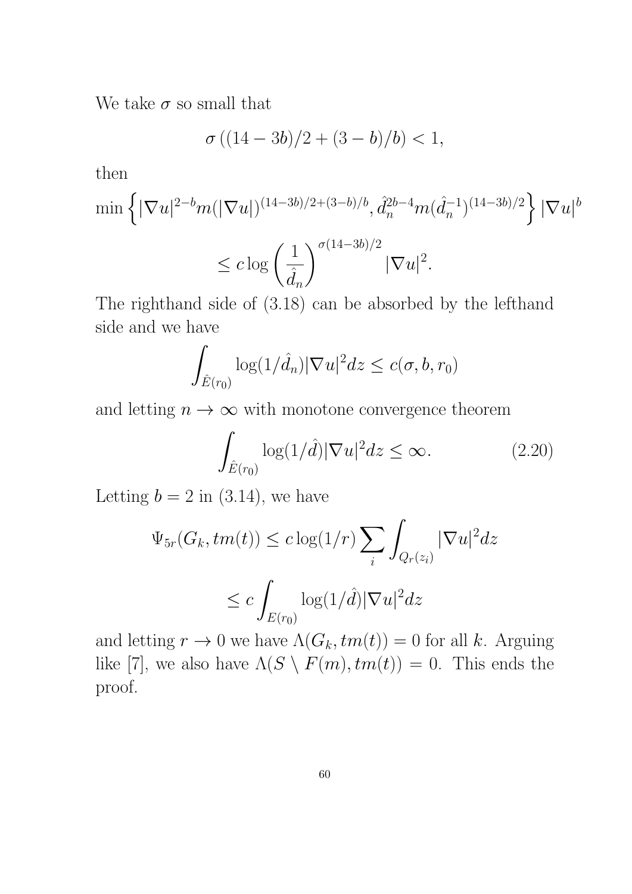We take  $\sigma$  so small that

$$
\sigma ((14-3b)/2 + (3-b)/b) < 1,
$$

then

$$
\min \left\{ |\nabla u|^{2-b} m (|\nabla u|)^{(14-3b)/2 + (3-b)/b}, \hat{d}_n^{2b-4} m (\hat{d}_n^{-1})^{(14-3b)/2} \right\} |\nabla u|^b
$$
  

$$
\leq c \log \left( \frac{1}{\hat{d}_n} \right)^{\sigma (14-3b)/2} |\nabla u|^2.
$$

The righthand side of (3.18) can be absorbed by the lefthand side and we have

$$
\int_{\hat{E}(r_0)} \log(1/\hat{d}_n) |\nabla u|^2 dz \le c(\sigma, b, r_0)
$$

and letting  $n \to \infty$  with monotone convergence theorem

$$
\int_{\hat{E}(r_0)} \log(1/\hat{d}) |\nabla u|^2 dz \le \infty.
$$
 (2.20)

Letting  $b = 2$  in (3.14), we have

$$
\Psi_{5r}(G_k,tm(t)) \leq c \log(1/r) \sum_i \int_{Q_r(z_i)} |\nabla u|^2 dz
$$
  

$$
\leq c \int_{E(r_0)} \log(1/\hat{d}) |\nabla u|^2 dz
$$

and letting  $r \to 0$  we have  $\Lambda(G_k, tm(t)) = 0$  for all k. Arguing like [7], we also have  $\Lambda(S \setminus F(m), tm(t)) = 0$ . This ends the proof.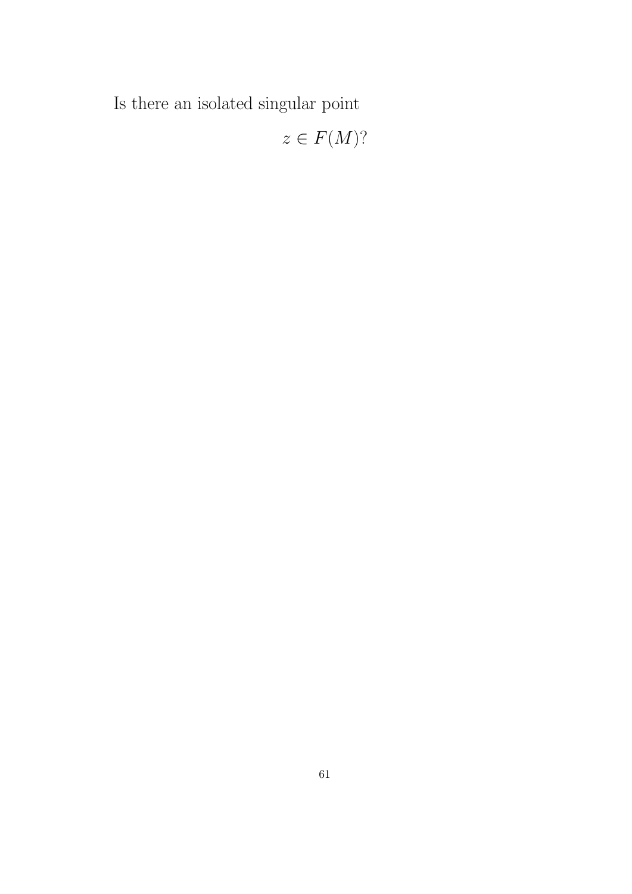Is there an isolated singular point

 $z \in F(M)$ ?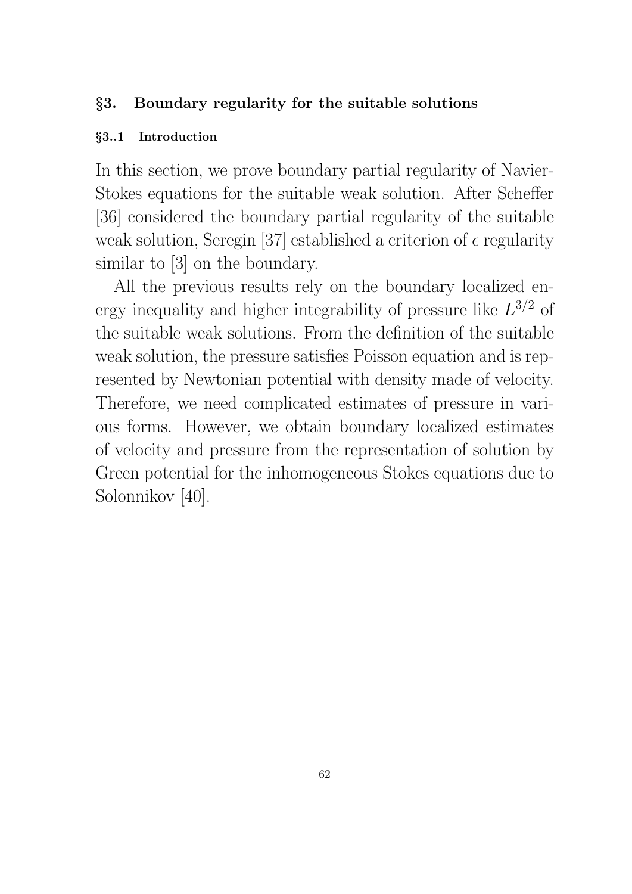# §3. Boundary regularity for the suitable solutions

## §3..1 Introduction

In this section, we prove boundary partial regularity of Navier-Stokes equations for the suitable weak solution. After Scheffer [36] considered the boundary partial regularity of the suitable weak solution, Seregin [37] established a criterion of  $\epsilon$  regularity similar to [3] on the boundary.

All the previous results rely on the boundary localized energy inequality and higher integrability of pressure like  $L^{3/2}$  of the suitable weak solutions. From the definition of the suitable weak solution, the pressure satisfies Poisson equation and is represented by Newtonian potential with density made of velocity. Therefore, we need complicated estimates of pressure in various forms. However, we obtain boundary localized estimates of velocity and pressure from the representation of solution by Green potential for the inhomogeneous Stokes equations due to Solonnikov [40].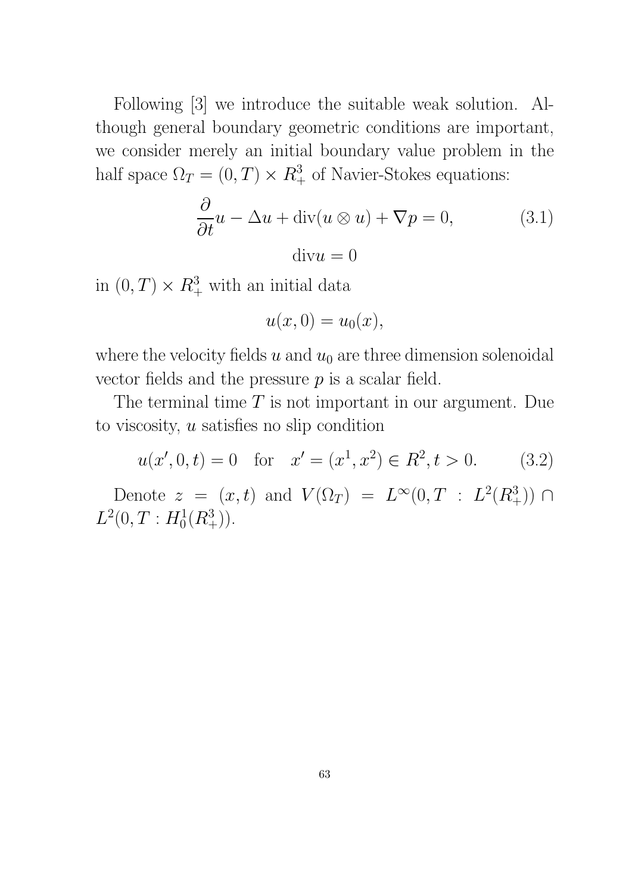Following [3] we introduce the suitable weak solution. Although general boundary geometric conditions are important, we consider merely an initial boundary value problem in the half space  $\Omega_T = (0, T) \times R^3_+$  of Navier-Stokes equations:

$$
\frac{\partial}{\partial t}u - \Delta u + \text{div}(u \otimes u) + \nabla p = 0,
$$
\n(3.1)\n
$$
\text{div}u = 0
$$

in  $(0, T) \times R^3_+$  with an initial data

$$
u(x,0) = u_0(x),
$$

where the velocity fields u and  $u_0$  are three dimension solenoidal vector fields and the pressure  $p$  is a scalar field.

The terminal time  $T$  is not important in our argument. Due to viscosity, u satisfies no slip condition

$$
u(x', 0, t) = 0
$$
 for  $x' = (x^1, x^2) \in R^2, t > 0.$  (3.2)

Denote  $z = (x, t)$  and  $V(\Omega_T) = L^{\infty}(0, T : L^2(R_+^3)) \cap$  $L^2(0,T: H_0^1(R_+^3)).$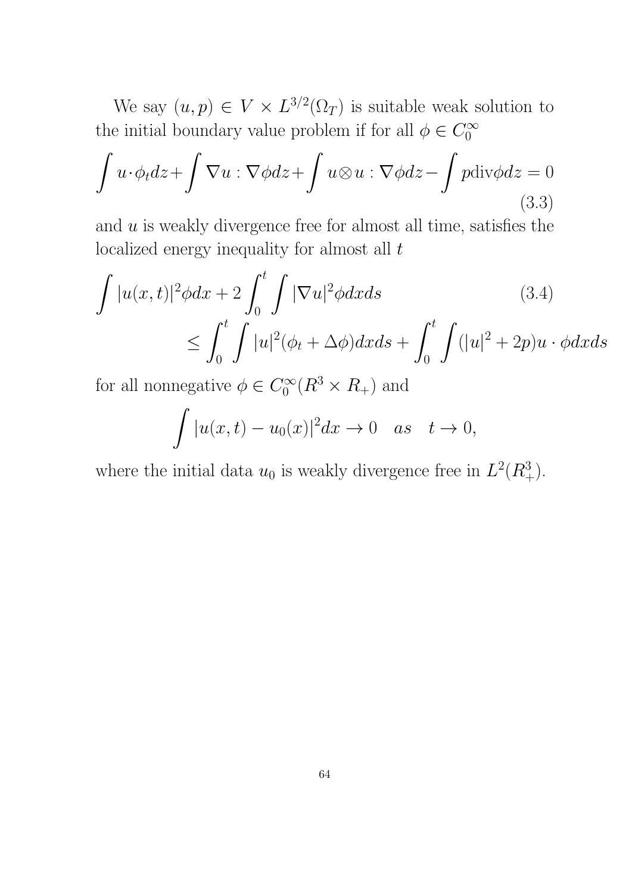We say  $(u, p) \in V \times L^{3/2}(\Omega_T)$  is suitable weak solution to the initial boundary value problem if for all  $\phi \in C_0^{\infty}$ 0

$$
\int u \cdot \phi_t dz + \int \nabla u : \nabla \phi dz + \int u \otimes u : \nabla \phi dz - \int p \text{div} \phi dz = 0
$$
\n(3.3)

and  $u$  is weakly divergence free for almost all time, satisfies the localized energy inequality for almost all  $t$ 

$$
\int |u(x,t)|^2 \phi dx + 2 \int_0^t \int |\nabla u|^2 \phi dx ds \qquad (3.4)
$$
  

$$
\leq \int_0^t \int |u|^2 (\phi_t + \Delta \phi) dx ds + \int_0^t \int (|u|^2 + 2p) u \cdot \phi dx ds
$$

for all nonnegative  $\phi \in C_0^{\infty}$  $C_0^{\infty}(R^3 \times R_+)$  and

$$
\int |u(x,t) - u_0(x)|^2 dx \to 0 \quad as \quad t \to 0,
$$

where the initial data  $u_0$  is weakly divergence free in  $L^2(R_+^3)$ .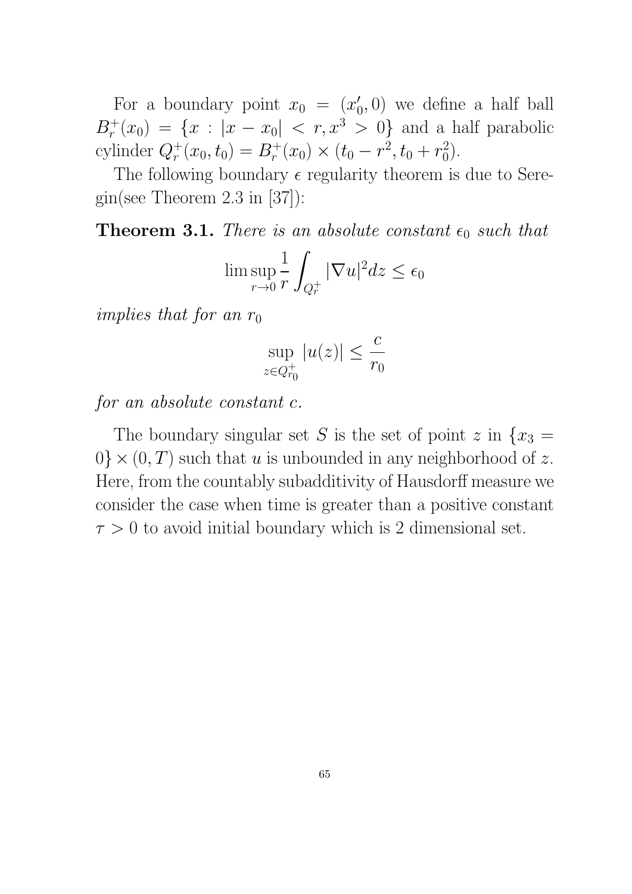For a boundary point  $x_0 = (x_0')$  $(0,0)$  we define a half ball  $B_r^+(x_0) = \{x : |x - x_0| < r, x^3 > 0\}$  and a half parabolic cylinder  $Q_r^+(x_0, t_0) = B_r^+(x_0) \times (t_0 - r^2, t_0 + r_0^2)$  $\binom{2}{0}$ .

The following boundary  $\epsilon$  regularity theorem is due to Seregin(see Theorem 2.3 in [37]):

**Theorem 3.1.** There is an absolute constant  $\epsilon_0$  such that

$$
\limsup_{r \to 0} \frac{1}{r} \int_{Q_r^+} |\nabla u|^2 dz \le \epsilon_0
$$

implies that for an  $r_0$ 

$$
\sup_{z \in Q_{r_0}^+} |u(z)| \le \frac{c}{r_0}
$$

for an absolute constant c.

The boundary singular set S is the set of point z in  $\{x_3 =$  $0\} \times (0, T)$  such that u is unbounded in any neighborhood of z. Here, from the countably subadditivity of Hausdorff measure we consider the case when time is greater than a positive constant  $\tau > 0$  to avoid initial boundary which is 2 dimensional set.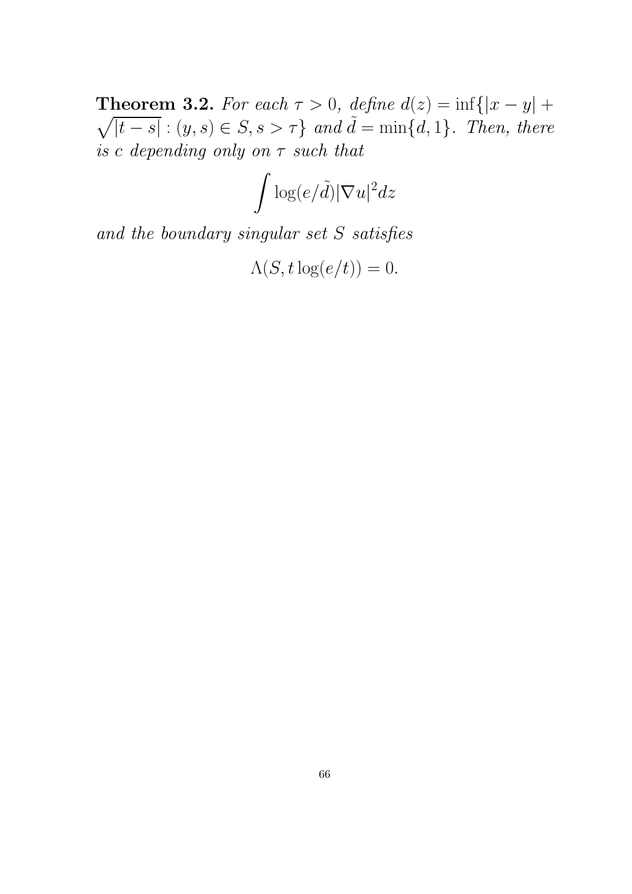**Theorem 3.2.** For each  $\tau > 0$ , define  $d(z) = \inf\{|x - y| +$  $\sqrt{|t-s|}$ :  $(y, s) \in S, s > \tau$  and  $\tilde{d} = \min\{d, 1\}$ . Then, there is c depending only on  $\tau$  such that

$$
\int \log(e/\tilde{d})|\nabla u|^2dz
$$

and the boundary singular set S satisfies

$$
\Lambda(S, t \log(e/t)) = 0.
$$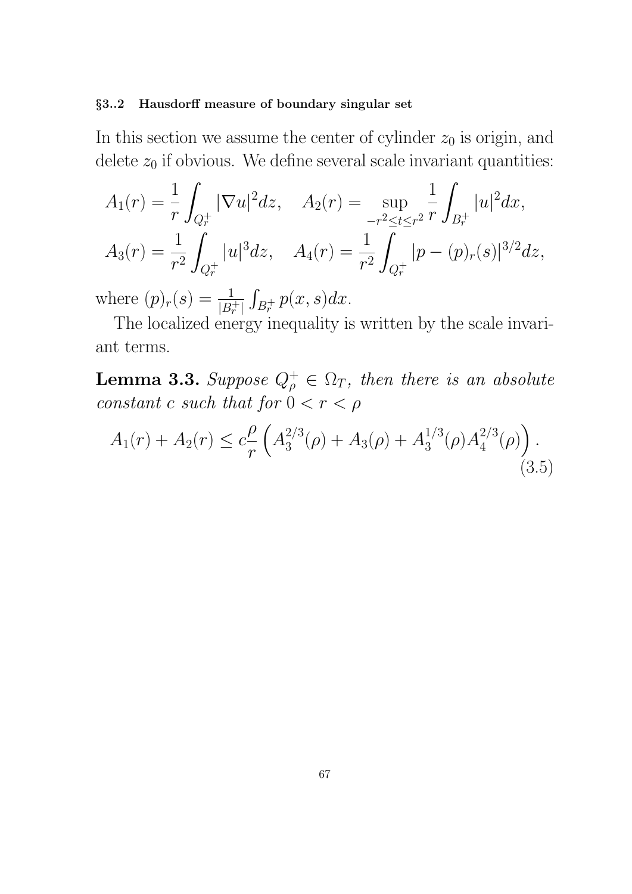### §3..2 Hausdorff measure of boundary singular set

In this section we assume the center of cylinder  $z_0$  is origin, and delete  $z_0$  if obvious. We define several scale invariant quantities:

$$
A_1(r) = \frac{1}{r} \int_{Q_r^+} |\nabla u|^2 dz, \quad A_2(r) = \sup_{-r^2 \le t \le r^2} \frac{1}{r} \int_{B_r^+} |u|^2 dx,
$$
  

$$
A_3(r) = \frac{1}{r^2} \int_{Q_r^+} |u|^3 dz, \quad A_4(r) = \frac{1}{r^2} \int_{Q_r^+} |p - (p)_r(s)|^{3/2} dz,
$$

where  $(p)_r(s) = \frac{1}{|B_r^+|}$  $\int_{B_r^+} p(x, s) dx$ .

The localized energy inequality is written by the scale invariant terms.

**Lemma 3.3.** Suppose  $Q_{\rho}^+ \in \Omega_T$ , then there is an absolute constant c such that for  $0 < r < \rho$ 

$$
A_1(r) + A_2(r) \le c \frac{\rho}{r} \left( A_3^{2/3}(\rho) + A_3(\rho) + A_3^{1/3}(\rho) A_4^{2/3}(\rho) \right). \tag{3.5}
$$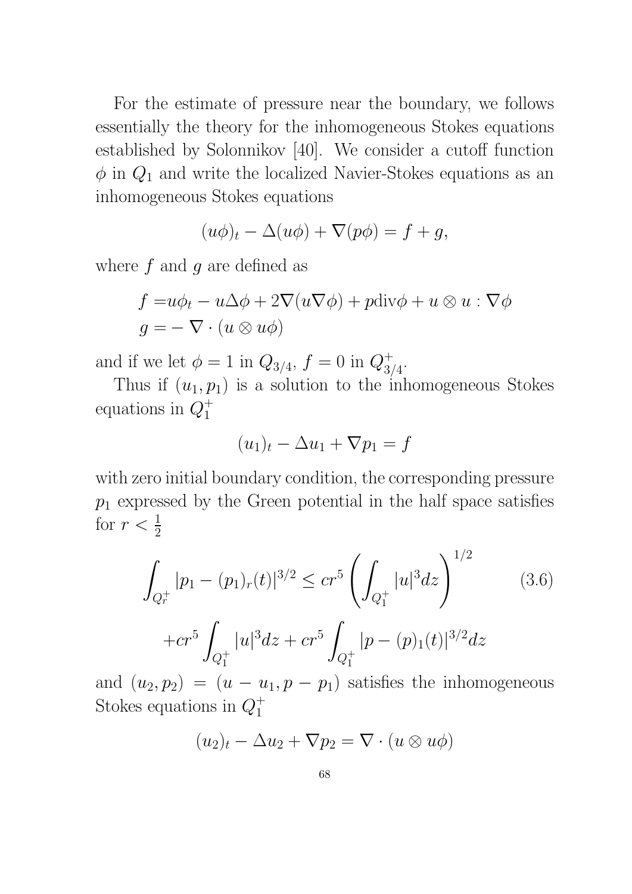For the estimate of pressure near the boundary, we follows essentially the theory for the inhomogeneous Stokes equations established by Solonnikov [40]. We consider a cutoff function  $\phi$  in  $Q_1$  and write the localized Navier-Stokes equations as an inhomogeneous Stokes equations

$$
(u\phi)_t - \Delta(u\phi) + \nabla(p\phi) = f + g,
$$

where  $f$  and  $g$  are defined as

$$
f = u\phi_t - u\Delta\phi + 2\nabla(u\nabla\phi) + p\text{div}\phi + u\otimes u : \nabla\phi
$$

$$
g = -\nabla \cdot (u \otimes u\phi)
$$

and if we let  $\phi = 1$  in  $Q_{3/4}$ ,  $f = 0$  in  $Q_{3/4}^+$  $\frac{+}{3/4}$ .

Thus if  $(u_1, p_1)$  is a solution to the inhomogeneous Stokes equations in  $Q_1^+$ 1

$$
(u_1)_t - \Delta u_1 + \nabla p_1 = f
$$

with zero initial boundary condition, the corresponding pressure  $p_1$  expressed by the Green potential in the half space satisfies for  $r < \frac{1}{2}$ 

$$
\int_{Q_r^+} |p_1 - (p_1)_r(t)|^{3/2} \le cr^5 \left( \int_{Q_1^+} |u|^3 dz \right)^{1/2}
$$
\n
$$
+ cr^5 \int_{Q_1^+} |u|^3 dz + cr^5 \int_{Q_1^+} |p - (p)_1(t)|^{3/2} dz
$$
\n(3.6)

and  $(u_2, p_2) = (u - u_1, p - p_1)$  satisfies the inhomogeneous Stokes equations in  $Q_1^+$ 1

$$
(u_2)_t - \Delta u_2 + \nabla p_2 = \nabla \cdot (u \otimes u\phi)
$$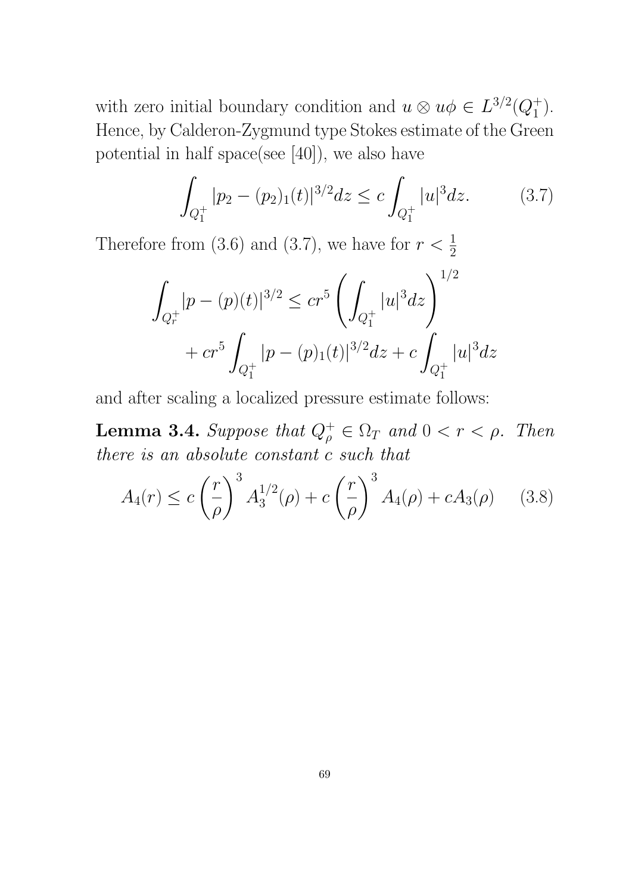with zero initial boundary condition and  $u \otimes u\phi \in L^{3/2}(Q_1^+$  $\begin{pmatrix} + \\ 1 \end{pmatrix}$ . Hence, by Calderon-Zygmund type Stokes estimate of the Green potential in half space(see [40]), we also have

$$
\int_{Q_1^+} |p_2 - (p_2)_1(t)|^{3/2} dz \le c \int_{Q_1^+} |u|^3 dz. \tag{3.7}
$$

Therefore from (3.6) and (3.7), we have for  $r < \frac{1}{2}$ 

$$
\int_{Q_r^+} |p - (p)(t)|^{3/2} \le cr^5 \left( \int_{Q_1^+} |u|^3 dz \right)^{1/2} + cr^5 \int_{Q_1^+} |p - (p)_1(t)|^{3/2} dz + c \int_{Q_1^+} |u|^3 dz
$$

and after scaling a localized pressure estimate follows:

**Lemma 3.4.** Suppose that  $Q_{\rho}^+ \in \Omega_T$  and  $0 < r < \rho$ . Then there is an absolute constant c such that

$$
A_4(r) \le c \left(\frac{r}{\rho}\right)^3 A_3^{1/2}(\rho) + c \left(\frac{r}{\rho}\right)^3 A_4(\rho) + c A_3(\rho) \tag{3.8}
$$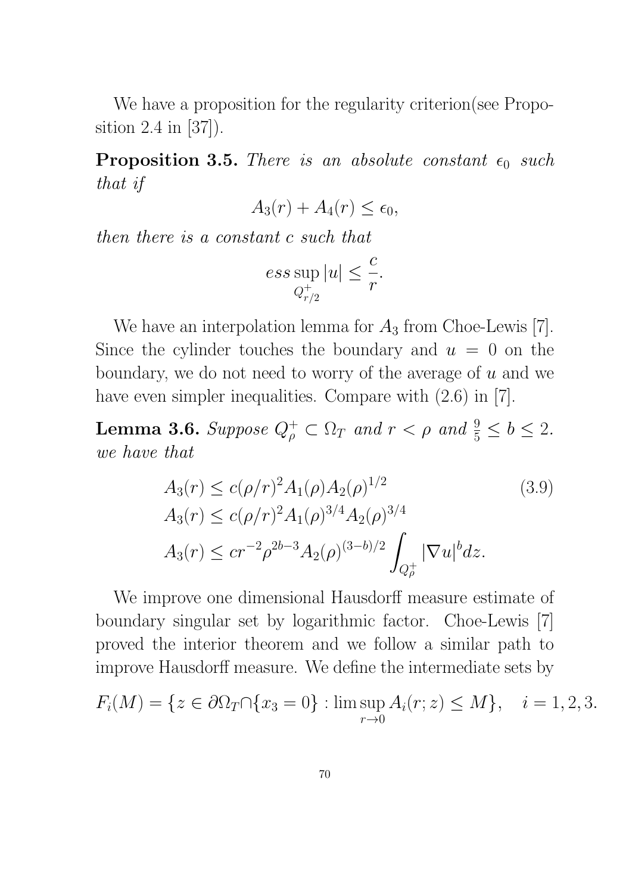We have a proposition for the regularity criterion (see Proposition 2.4 in [37]).

**Proposition 3.5.** There is an absolute constant  $\epsilon_0$  such that if

$$
A_3(r) + A_4(r) \le \epsilon_0,
$$

then there is a constant c such that

$$
ess \sup_{Q_{r/2}^+} |u| \leq \frac{c}{r}.
$$

We have an interpolation lemma for  $A_3$  from Choe-Lewis [7]. Since the cylinder touches the boundary and  $u = 0$  on the boundary, we do not need to worry of the average of  $u$  and we have even simpler inequalities. Compare with  $(2.6)$  in [7].

**Lemma 3.6.** Suppose  $Q_{\rho}^+ \subset \Omega_T$  and  $r < \rho$  and  $\frac{9}{5} \le b \le 2$ . we have that

$$
A_3(r) \le c(\rho/r)^2 A_1(\rho) A_2(\rho)^{1/2}
$$
(3.9)  
\n
$$
A_3(r) \le c(\rho/r)^2 A_1(\rho)^{3/4} A_2(\rho)^{3/4}
$$
  
\n
$$
A_3(r) \le c r^{-2} \rho^{2b-3} A_2(\rho)^{(3-b)/2} \int_{Q_\rho^+} |\nabla u|^b dz.
$$

We improve one dimensional Hausdorff measure estimate of boundary singular set by logarithmic factor. Choe-Lewis [7] proved the interior theorem and we follow a similar path to improve Hausdorff measure. We define the intermediate sets by

$$
F_i(M) = \{ z \in \partial \Omega_T \cap \{ x_3 = 0 \} : \limsup_{r \to 0} A_i(r; z) \le M \}, \quad i = 1, 2, 3.
$$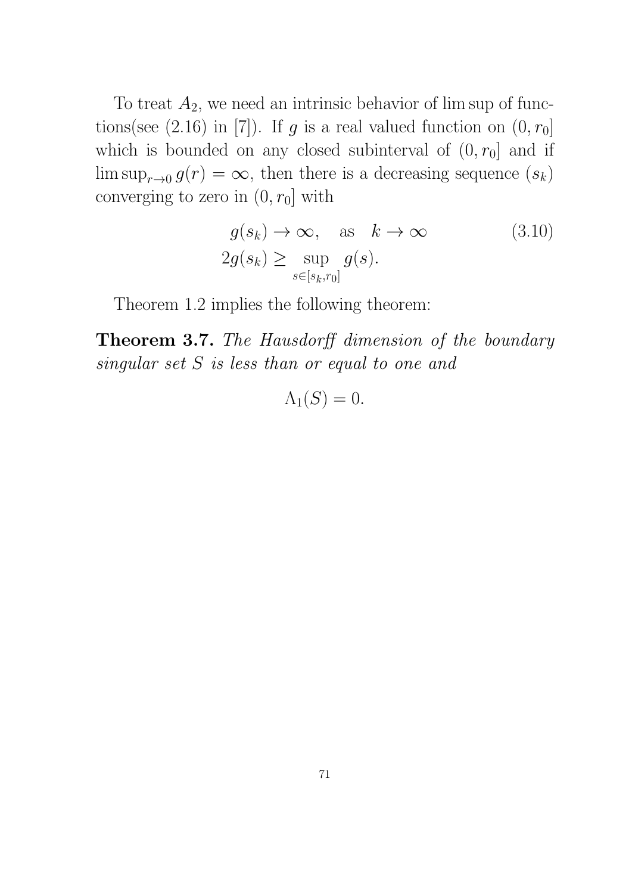To treat  $A_2$ , we need an intrinsic behavior of lim sup of functions(see (2.16) in [7]). If g is a real valued function on  $(0, r_0]$ which is bounded on any closed subinterval of  $(0, r_0]$  and if  $\limsup_{r\to 0} g(r) = \infty$ , then there is a decreasing sequence  $(s_k)$ converging to zero in  $(0, r_0]$  with

$$
g(s_k) \to \infty, \quad \text{as} \quad k \to \infty \tag{3.10}
$$
  

$$
2g(s_k) \ge \sup_{s \in [s_k, r_0]} g(s).
$$

Theorem 1.2 implies the following theorem:

Theorem 3.7. The Hausdorff dimension of the boundary singular set S is less than or equal to one and

 $\Lambda_1(S) = 0.$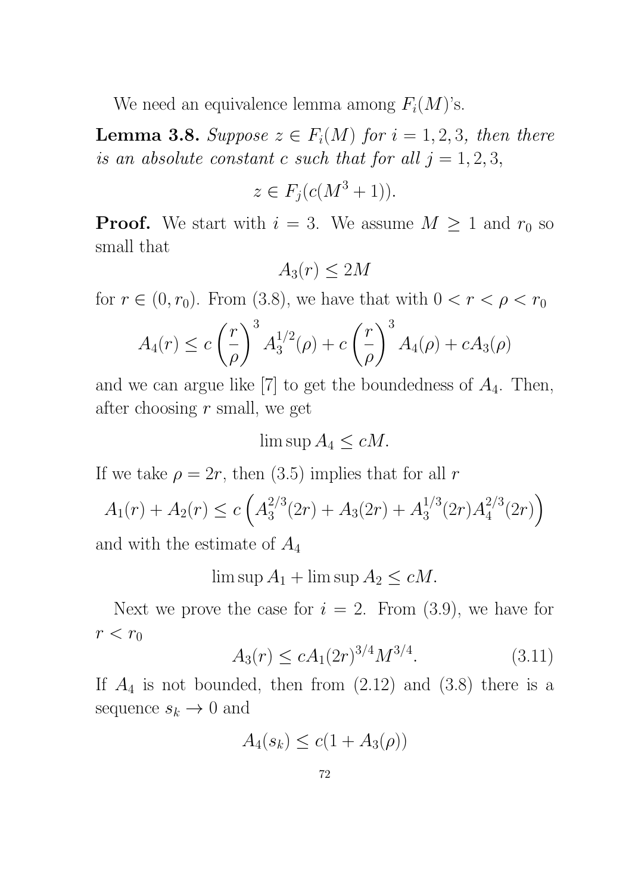We need an equivalence lemma among  $F_i(M)$ 's.

**Lemma 3.8.** Suppose  $z \in F_i(M)$  for  $i = 1, 2, 3$ , then there is an absolute constant c such that for all  $j = 1, 2, 3$ ,

$$
z \in F_j(c(M^3 + 1)).
$$

**Proof.** We start with  $i = 3$ . We assume  $M \geq 1$  and  $r_0$  so small that

$$
A_3(r) \le 2M
$$

for  $r \in (0, r_0)$ . From (3.8), we have that with  $0 < r < \rho < r_0$ 

$$
A_4(r) \le c \left(\frac{r}{\rho}\right)^3 A_3^{1/2}(\rho) + c \left(\frac{r}{\rho}\right)^3 A_4(\rho) + c A_3(\rho)
$$

and we can argue like  $[7]$  to get the boundedness of  $A_4$ . Then, after choosing  $r$  small, we get

$$
\limsup A_4 \le cM.
$$

If we take  $\rho = 2r$ , then (3.5) implies that for all r

$$
A_1(r) + A_2(r) \le c \left( A_3^{2/3}(2r) + A_3(2r) + A_3^{1/3}(2r) A_4^{2/3}(2r) \right)
$$
  
and with the estimate of  $A_4$ 

 $\limsup A_1 + \limsup A_2 \leq cM$ .

Next we prove the case for  $i = 2$ . From  $(3.9)$ , we have for  $r < r_0$ 

$$
A_3(r) \le c A_1 (2r)^{3/4} M^{3/4}.
$$
 (3.11)

If  $A_4$  is not bounded, then from  $(2.12)$  and  $(3.8)$  there is a sequence  $s_k \to 0$  and

$$
A_4(s_k) \le c(1 + A_3(\rho))
$$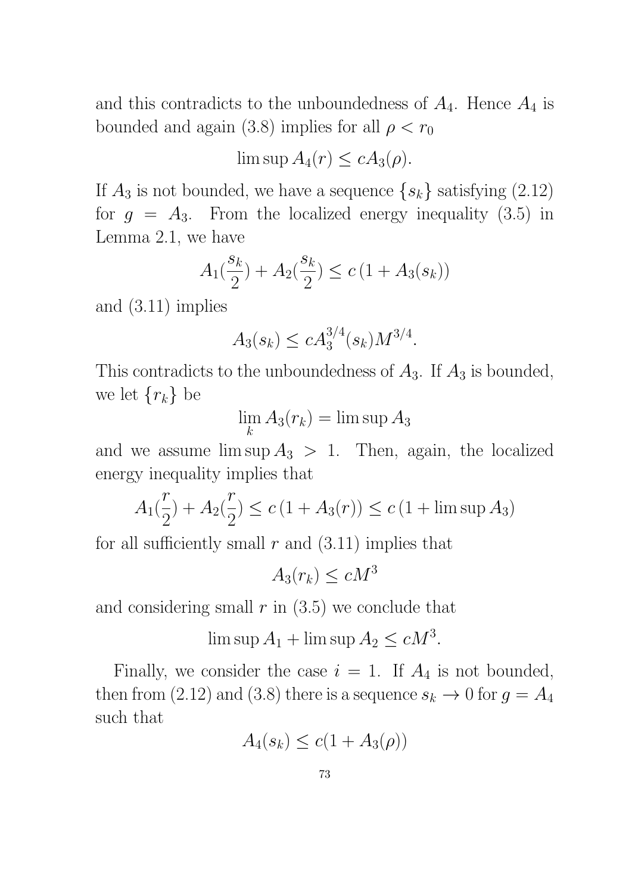and this contradicts to the unboundedness of  $A_4$ . Hence  $A_4$  is bounded and again (3.8) implies for all  $\rho < r_0$ 

 $\limsup A_4(r) \leq c A_3(\rho).$ 

If  $A_3$  is not bounded, we have a sequence  $\{s_k\}$  satisfying  $(2.12)$ for  $g = A_3$ . From the localized energy inequality (3.5) in Lemma 2.1, we have

$$
A_1(\frac{s_k}{2}) + A_2(\frac{s_k}{2}) \le c \left(1 + A_3(s_k)\right)
$$

and (3.11) implies

$$
A_3(s_k) \le c A_3^{3/4}(s_k) M^{3/4}.
$$

This contradicts to the unboundedness of  $A_3$ . If  $A_3$  is bounded, we let  $\{r_k\}$  be

> lim k  $A_3(r_k) = \limsup A_3$

and we assume  $\limsup A_3 > 1$ . Then, again, the localized energy inequality implies that

$$
A_1(\frac{r}{2}) + A_2(\frac{r}{2}) \le c \left(1 + A_3(r)\right) \le c \left(1 + \limsup A_3\right)
$$

for all sufficiently small  $r$  and  $(3.11)$  implies that

 $A_3(r_k) \le c M^3$ 

and considering small  $r$  in  $(3.5)$  we conclude that

 $\limsup A_1 + \limsup A_2 \leq cM^3$ .

Finally, we consider the case  $i = 1$ . If  $A_4$  is not bounded, then from (2.12) and (3.8) there is a sequence  $s_k \to 0$  for  $g = A_4$ such that

$$
A_4(s_k) \le c(1 + A_3(\rho))
$$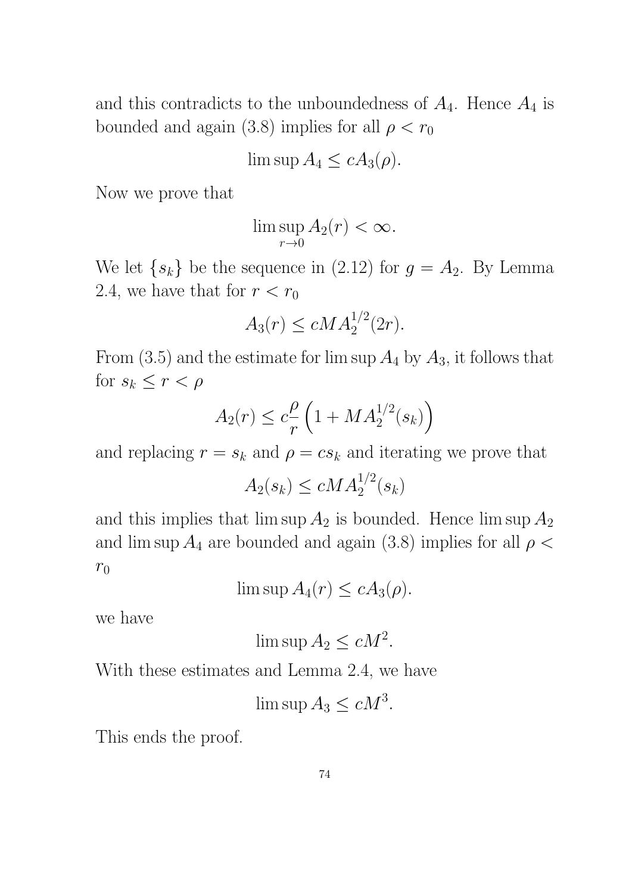and this contradicts to the unboundedness of  $A_4$ . Hence  $A_4$  is bounded and again (3.8) implies for all  $\rho < r_0$ 

$$
\limsup A_4 \le c A_3(\rho).
$$

Now we prove that

$$
\limsup_{r \to 0} A_2(r) < \infty.
$$

We let  $\{s_k\}$  be the sequence in (2.12) for  $g = A_2$ . By Lemma 2.4, we have that for  $r < r_0$ 

$$
A_3(r) \le c M A_2^{1/2}(2r).
$$

From  $(3.5)$  and the estimate for lim sup  $A_4$  by  $A_3$ , it follows that for  $s_k \leq r < \rho$ 

$$
A_2(r) \le c \frac{\rho}{r} \left( 1 + MA_2^{1/2}(s_k) \right)
$$

and replacing  $r = s_k$  and  $\rho = cs_k$  and iterating we prove that

$$
A_2(s_k) \le c M A_2^{1/2}(s_k)
$$

and this implies that  $\limsup A_2$  is bounded. Hence  $\limsup A_2$ and lim sup  $A_4$  are bounded and again (3.8) implies for all  $\rho$  <  $r_0$ 

 $\limsup A_4(r) \leq c A_3(\rho).$ 

we have

$$
\limsup A_2 \le cM^2.
$$

With these estimates and Lemma 2.4, we have

 $\limsup A_3 \leq cM^3$ .

This ends the proof.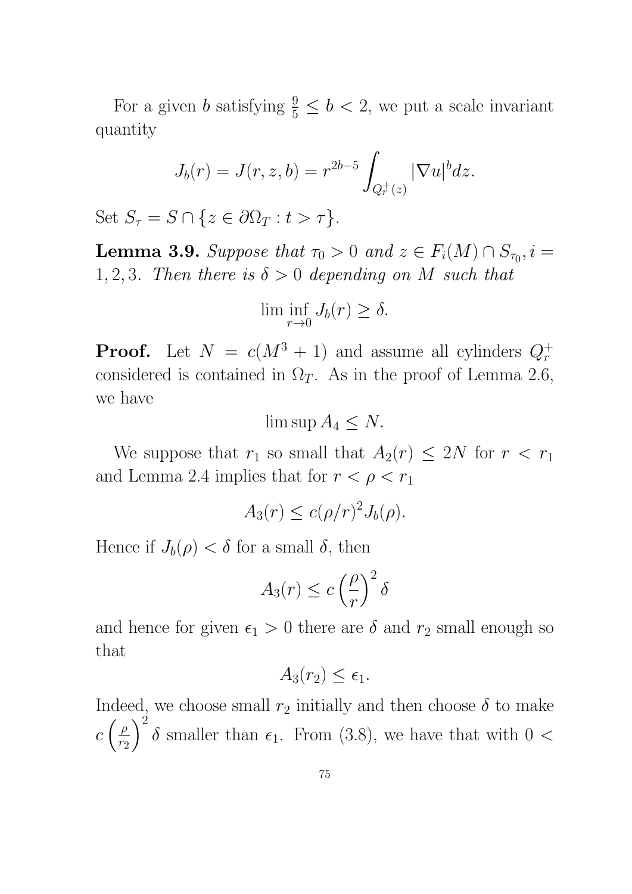For a given b satisfying  $\frac{9}{5} \le b < 2$ , we put a scale invariant quantity

$$
J_b(r)=J(r,z,b)=r^{2b-5}\int_{Q_r^+(z)}|\nabla u|^b dz.
$$

Set  $S_{\tau} = S \cap \{z \in \partial \Omega_T : t > \tau\}.$ 

**Lemma 3.9.** Suppose that  $\tau_0 > 0$  and  $z \in F_i(M) \cap S_{\tau_0}$ ,  $i =$ 1, 2, 3. Then there is  $\delta > 0$  depending on M such that

$$
\liminf_{r \to 0} J_b(r) \ge \delta.
$$

**Proof.** Let  $N = c(M^3 + 1)$  and assume all cylinders  $Q_r^+$ considered is contained in  $\Omega_T$ . As in the proof of Lemma 2.6, we have

 $\limsup A_4 \leq N$ .

We suppose that  $r_1$  so small that  $A_2(r) \leq 2N$  for  $r < r_1$ and Lemma 2.4 implies that for  $r < \rho < r_1$ 

$$
A_3(r) \le c(\rho/r)^2 J_b(\rho).
$$

Hence if  $J_b(\rho) < \delta$  for a small  $\delta$ , then

$$
A_3(r) \le c \left(\frac{\rho}{r}\right)^2 \delta
$$

and hence for given  $\epsilon_1 > 0$  there are  $\delta$  and  $r_2$  small enough so that

$$
A_3(r_2) \le \epsilon_1.
$$

Indeed, we choose small  $r_2$  initially and then choose  $\delta$  to make  $c\left(\frac{\rho}{r_c}\right)$  $r<sub>2</sub>$  $\setminus^2$  $\delta$  smaller than  $\epsilon_1$ . From (3.8), we have that with 0 <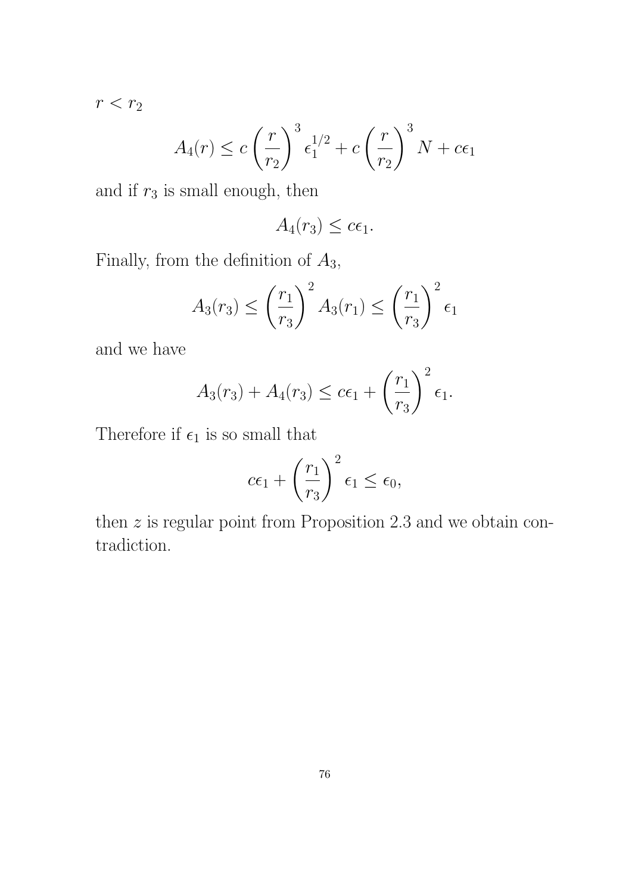$r < r_2$ 

$$
A_4(r) \le c \left(\frac{r}{r_2}\right)^3 \epsilon_1^{1/2} + c \left(\frac{r}{r_2}\right)^3 N + c\epsilon_1
$$

and if  $r_3$  is small enough, then

$$
A_4(r_3) \leq c\epsilon_1.
$$

Finally, from the definition of  $A_3$ ,

$$
A_3(r_3) \le \left(\frac{r_1}{r_3}\right)^2 A_3(r_1) \le \left(\frac{r_1}{r_3}\right)^2 \epsilon_1
$$

and we have

$$
A_3(r_3) + A_4(r_3) \leq c\epsilon_1 + \left(\frac{r_1}{r_3}\right)^2 \epsilon_1.
$$

Therefore if  $\epsilon_1$  is so small that

$$
c\epsilon_1 + \left(\frac{r_1}{r_3}\right)^2 \epsilon_1 \le \epsilon_0,
$$

then  $z$  is regular point from Proposition 2.3 and we obtain contradiction.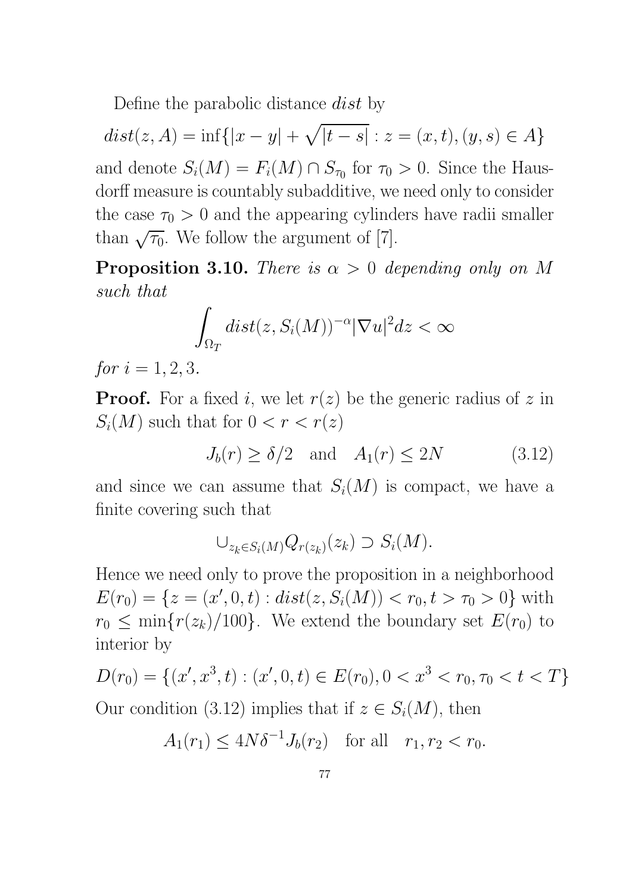Define the parabolic distance dist by

 $dist(z, A) = \inf\{|x - y| + \sqrt{|t - s}| : z = (x, t), (y, s) \in A\}$ and denote  $S_i(M) = F_i(M) \cap S_{\tau_0}$  for  $\tau_0 > 0$ . Since the Hausdorff measure is countably subadditive, we need only to consider the case  $\tau_0 > 0$  and the appearing cylinders have radii smaller than  $\sqrt{\tau_0}$ . We follow the argument of [7].

**Proposition 3.10.** There is  $\alpha > 0$  depending only on M such that

$$
\int_{\Omega_T} dist(z, S_i(M))^{-\alpha} |\nabla u|^2 dz < \infty
$$

for  $i = 1, 2, 3$ .

**Proof.** For a fixed i, we let  $r(z)$  be the generic radius of z in  $S_i(M)$  such that for  $0 < r < r(z)$ 

$$
J_b(r) \ge \delta/2 \quad \text{and} \quad A_1(r) \le 2N \tag{3.12}
$$

and since we can assume that  $S_i(M)$  is compact, we have a finite covering such that

$$
\cup_{z_k \in S_i(M)} Q_{r(z_k)}(z_k) \supset S_i(M).
$$

Hence we need only to prove the proposition in a neighborhood  $E(r_0) = \{z = (x', 0, t) : dist(z, S_i(M)) < r_0, t > r_0 > 0\}$  with  $r_0 \leq \min\{r(z_k)/100\}$ . We extend the boundary set  $E(r_0)$  to interior by

$$
D(r_0) = \{(x', x^3, t) : (x', 0, t) \in E(r_0), 0 < x^3 < r_0, \tau_0 < t < T\}
$$
\nOur condition (3.12) implies that if  $z \in S_i(M)$ , then

$$
A_1(r_1) \le 4N\delta^{-1}J_b(r_2)
$$
 for all  $r_1, r_2 < r_0$ .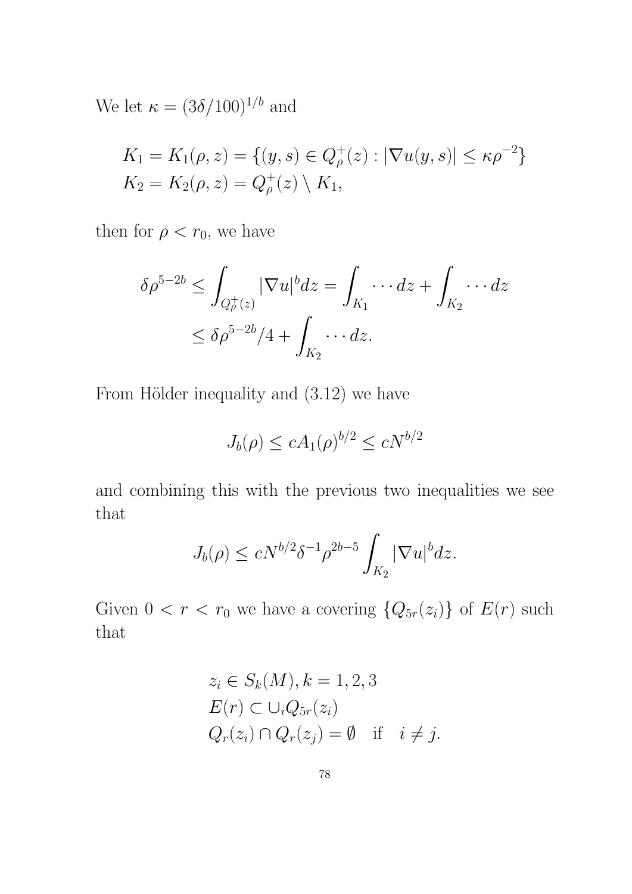We let  $\kappa = (3\delta/100)^{1/b}$  and

$$
K_1 = K_1(\rho, z) = \{ (y, s) \in Q_{\rho}^+(z) : |\nabla u(y, s)| \le \kappa \rho^{-2} \}
$$
  

$$
K_2 = K_2(\rho, z) = Q_{\rho}^+(z) \setminus K_1,
$$

then for  $\rho < r_0$ , we have

$$
\delta \rho^{5-2b} \le \int_{Q^+_{\rho}(z)} |\nabla u|^b dz = \int_{K_1} \cdots dz + \int_{K_2} \cdots dz
$$
  

$$
\le \delta \rho^{5-2b}/4 + \int_{K_2} \cdots dz.
$$

From Hölder inequality and  $(3.12)$  we have

$$
J_b(\rho) \le c A_1(\rho)^{b/2} \le cN^{b/2}
$$

and combining this with the previous two inequalities we see that

$$
J_b(\rho) \le cN^{b/2}\delta^{-1}\rho^{2b-5} \int_{K_2} |\nabla u|^b dz.
$$

Given  $0 < r < r_0$  we have a covering  $\{Q_{5r}(z_i)\}\$  of  $E(r)$  such that

$$
z_i \in S_k(M), k = 1, 2, 3
$$
  
\n
$$
E(r) \subset \bigcup_i Q_{5r}(z_i)
$$
  
\n
$$
Q_r(z_i) \cap Q_r(z_j) = \emptyset \quad \text{if} \quad i \neq j.
$$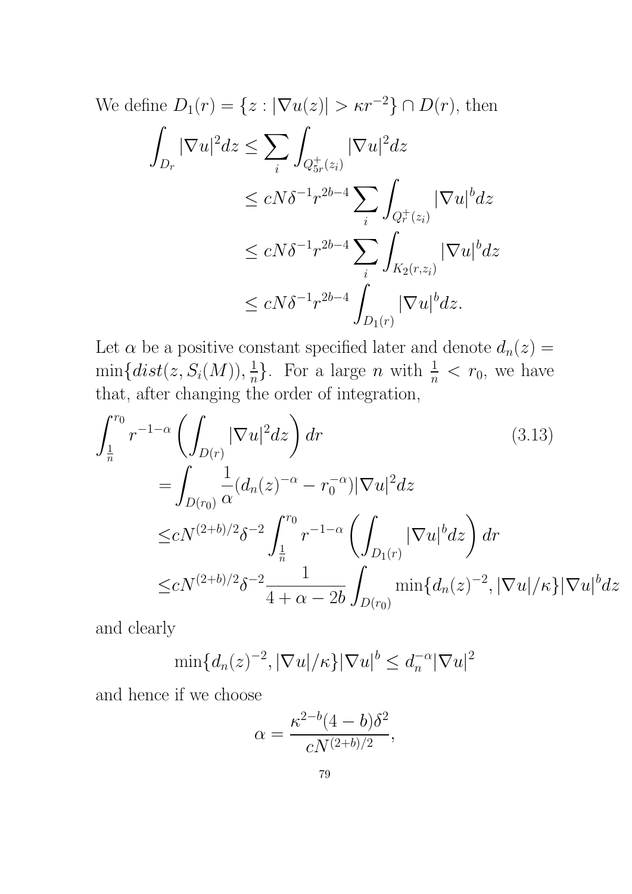We define 
$$
D_1(r) = \{z : |\nabla u(z)| > \kappa r^{-2}\} \cap D(r)
$$
, then  
\n
$$
\int_{D_r} |\nabla u|^2 dz \le \sum_i \int_{Q_{5r}^+(z_i)} |\nabla u|^2 dz
$$
\n
$$
\le cN\delta^{-1}r^{2b-4} \sum_i \int_{Q_r^+(z_i)} |\nabla u|^b dz
$$
\n
$$
\le cN\delta^{-1}r^{2b-4} \sum_i \int_{K_2(r,z_i)} |\nabla u|^b dz
$$
\n
$$
\le cN\delta^{-1}r^{2b-4} \int_{D_1(r)} |\nabla u|^b dz.
$$

Let  $\alpha$  be a positive constant specified later and denote  $d_n(z) =$  $\min\{dist(z,S_i(M)), \frac{1}{n}\}$  $\frac{1}{n}$ . For a large *n* with  $\frac{1}{n} < r_0$ , we have that, after changing the order of integration,

$$
\int_{\frac{1}{n}}^{r_0} r^{-1-\alpha} \left( \int_{D(r)} |\nabla u|^2 dz \right) dr \qquad (3.13)
$$
  
\n
$$
= \int_{D(r_0)} \frac{1}{\alpha} (d_n(z)^{-\alpha} - r_0^{-\alpha}) |\nabla u|^2 dz
$$
  
\n
$$
\leq c N^{(2+b)/2} \delta^{-2} \int_{\frac{1}{n}}^{r_0} r^{-1-\alpha} \left( \int_{D_1(r)} |\nabla u|^b dz \right) dr
$$
  
\n
$$
\leq c N^{(2+b)/2} \delta^{-2} \frac{1}{4+\alpha-2b} \int_{D(r_0)} \min\{d_n(z)^{-2}, |\nabla u|/\kappa\} |\nabla u|^b dz
$$

and clearly

$$
\min\{d_n(z)^{-2}, |\nabla u|/\kappa\}|\nabla u|^b \leq d_n^{-\alpha}|\nabla u|^2
$$

and hence if we choose

$$
\alpha = \frac{\kappa^{2-b} (4-b) \delta^2}{c N^{(2+b)/2}},
$$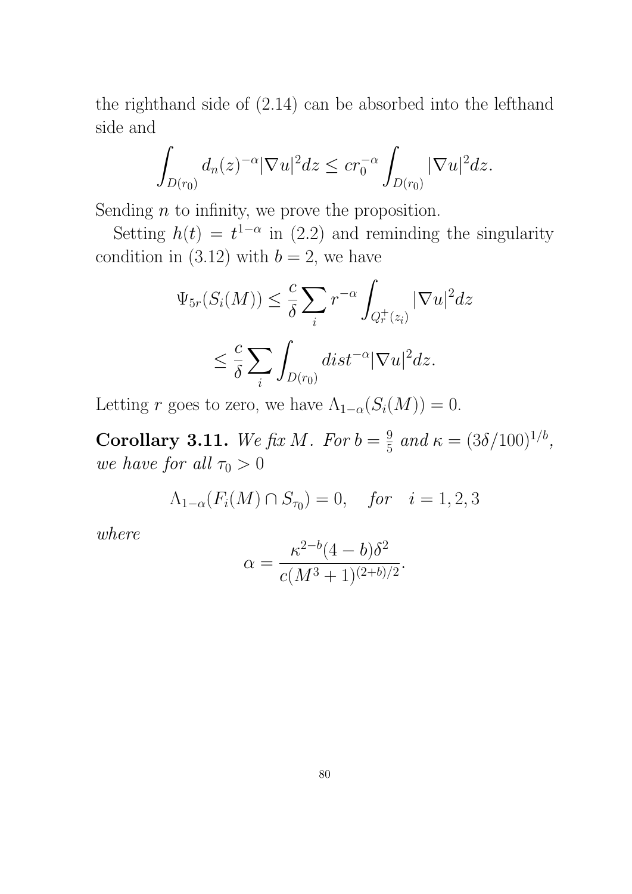the righthand side of (2.14) can be absorbed into the lefthand side and

$$
\int_{D(r_0)} d_n(z)^{-\alpha} |\nabla u|^2 dz \le c r_0^{-\alpha} \int_{D(r_0)} |\nabla u|^2 dz.
$$

Sending  $n$  to infinity, we prove the proposition.

Setting  $h(t) = t^{1-\alpha}$  in (2.2) and reminding the singularity condition in (3.12) with  $b = 2$ , we have

$$
\Psi_{5r}(S_i(M)) \leq \frac{c}{\delta} \sum_i r^{-\alpha} \int_{Q_r^+(z_i)} |\nabla u|^2 dz
$$
  

$$
\leq \frac{c}{\delta} \sum_i \int_{D(r_0)} dist^{-\alpha} |\nabla u|^2 dz.
$$

Letting r goes to zero, we have  $\Lambda_{1-\alpha}(S_i(M)) = 0$ .

Corollary 3.11. We fix M. For  $b=\frac{9}{5}$  $\frac{9}{5}$  and  $\kappa = (3\delta/100)^{1/b}$ , we have for all  $\tau_0 > 0$ 

$$
\Lambda_{1-\alpha}(F_i(M) \cap S_{\tau_0}) = 0
$$
, for  $i = 1, 2, 3$ 

where

$$
\alpha = \frac{\kappa^{2-b} (4-b) \delta^2}{c(M^3+1)^{(2+b)/2}}.
$$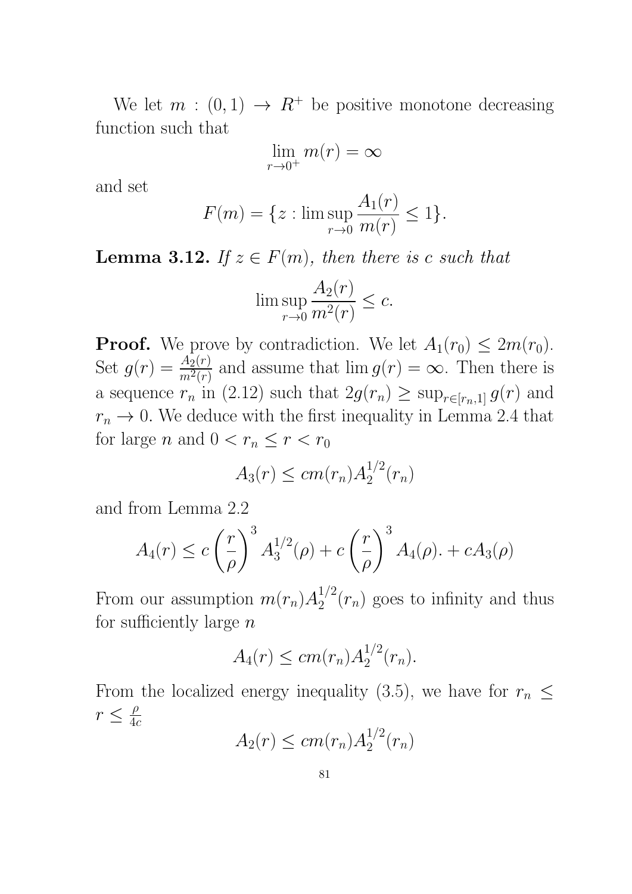We let  $m : (0,1) \rightarrow R^+$  be positive monotone decreasing function such that

$$
\lim_{r \to 0^+} m(r) = \infty
$$

and set

$$
F(m) = \{ z : \limsup_{r \to 0} \frac{A_1(r)}{m(r)} \le 1 \}.
$$

**Lemma 3.12.** If  $z \in F(m)$ , then there is c such that

$$
\limsup_{r \to 0} \frac{A_2(r)}{m^2(r)} \le c.
$$

**Proof.** We prove by contradiction. We let  $A_1(r_0) \leq 2m(r_0)$ . Set  $g(r) = \frac{A_2(r)}{m^2(r)}$  and assume that  $\lim g(r) = \infty$ . Then there is a sequence  $r_n$  in (2.12) such that  $2g(r_n) \ge \sup_{r \in [r_n,1]} g(r)$  and  $r_n \to 0$ . We deduce with the first inequality in Lemma 2.4 that for large *n* and  $0 < r_n \le r < r_0$ 

$$
A_3(r) \le cm(r_n)A_2^{1/2}(r_n)
$$

and from Lemma 2.2

$$
A_4(r) \le c \left(\frac{r}{\rho}\right)^3 A_3^{1/2}(\rho) + c \left(\frac{r}{\rho}\right)^3 A_4(\rho) + c A_3(\rho)
$$

From our assumption  $m(r_n)A_2^{1/2}$  $2^{1/2}(r_n)$  goes to infinity and thus for sufficiently large  $n$ 

$$
A_4(r) \leq c m(r_n) A_2^{1/2}(r_n).
$$

From the localized energy inequality (3.5), we have for  $r_n \leq$  $r \leq \frac{\rho}{4\epsilon}$  $4c$ 

$$
A_2(r) \le cm(r_n)A_2^{1/2}(r_n)
$$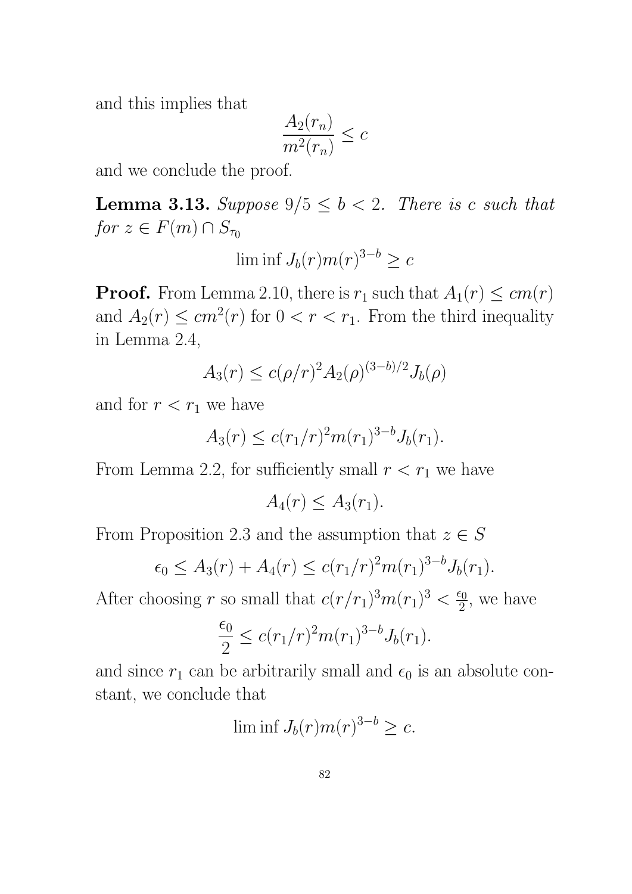and this implies that

$$
\frac{A_2(r_n)}{m^2(r_n)} \leq c
$$

and we conclude the proof.

**Lemma 3.13.** Suppose  $9/5 \leq b < 2$ . There is c such that for  $z \in F(m) \cap S_{\tau_0}$ 

$$
\liminf J_b(r)m(r)^{3-b}\geq c
$$

**Proof.** From Lemma 2.10, there is  $r_1$  such that  $A_1(r) \leq cm(r)$ and  $A_2(r) \leq cm^2(r)$  for  $0 < r < r_1$ . From the third inequality in Lemma 2.4,

$$
A_3(r) \le c(\rho/r)^2 A_2(\rho)^{(3-b)/2} J_b(\rho)
$$

and for  $r < r_1$  we have

$$
A_3(r) \le c(r_1/r)^2 m(r_1)^{3-b} J_b(r_1).
$$

From Lemma 2.2, for sufficiently small  $r < r_1$  we have

$$
A_4(r) \le A_3(r_1).
$$

From Proposition 2.3 and the assumption that  $z \in S$ 

$$
\epsilon_0 \le A_3(r) + A_4(r) \le c(r_1/r)^2 m(r_1)^{3-b} J_b(r_1).
$$

After choosing r so small that  $c(r/r_1)^3 m(r_1)^3 < \frac{\epsilon_0}{2}$  $\frac{\epsilon_0}{2}$ , we have

$$
\frac{\epsilon_0}{2} \le c (r_1/r)^2 m(r_1)^{3-b} J_b(r_1).
$$

and since  $r_1$  can be arbitrarily small and  $\epsilon_0$  is an absolute constant, we conclude that

 $\liminf J_b(r)m(r)^{3-b}\geq c.$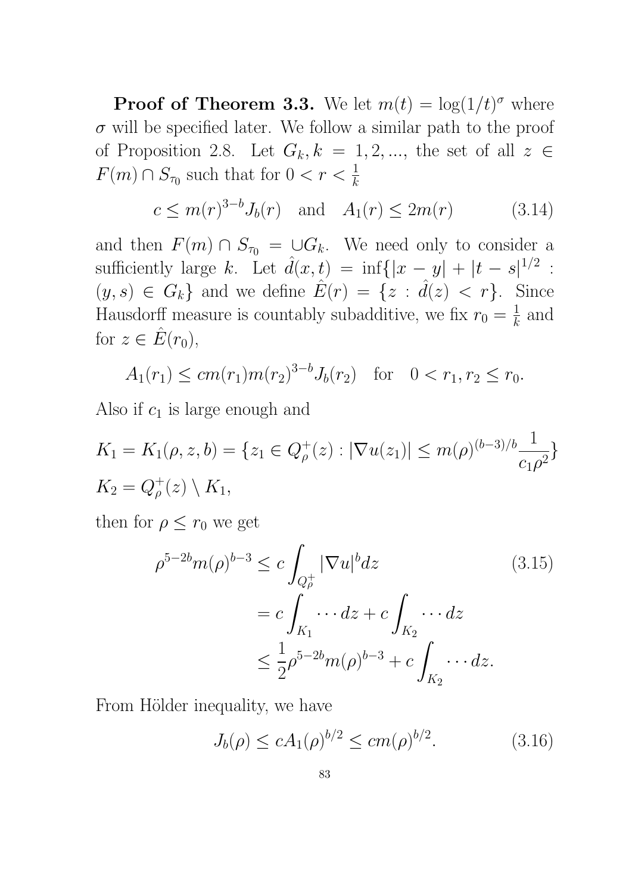**Proof of Theorem 3.3.** We let  $m(t) = \log(1/t)^{\sigma}$  where  $\sigma$  will be specified later. We follow a similar path to the proof of Proposition 2.8. Let  $G_k, k = 1, 2, \dots$ , the set of all  $z \in$  $F(m) \cap S_{\tau_0}$  such that for  $0 < r < \frac{1}{k}$ 

$$
c \le m(r)^{3-b} J_b(r)
$$
 and  $A_1(r) \le 2m(r)$  (3.14)

and then  $F(m) \cap S_{\tau_0} = \bigcup G_k$ . We need only to consider a sufficiently large k. Let  $\hat{d}(x,t) = \inf\{|x-y| + |t-s|^{1/2}$ :  $(y, s) \in G_k$  and we define  $\hat{E}(r) = \{z : \hat{d}(z) < r\}$ . Since Hausdorff measure is countably subadditive, we fix  $r_0 = \frac{1}{k}$  $\frac{1}{k}$  and for  $z \in \hat{E}(r_0)$ ,

$$
A_1(r_1) \le cm(r_1)m(r_2)^{3-b}J_b(r_2)
$$
 for  $0 < r_1, r_2 \le r_0$ .

Also if  $c_1$  is large enough and

$$
K_1 = K_1(\rho, z, b) = \{z_1 \in Q_{\rho}^+(z) : |\nabla u(z_1)| \le m(\rho)^{(b-3)/b} \frac{1}{c_1 \rho^2}\}
$$
  

$$
K_2 = Q_{\rho}^+(z) \setminus K_1,
$$

then for  $\rho \leq r_0$  we get

$$
\rho^{5-2b} m(\rho)^{b-3} \le c \int_{Q_{\rho}^{+}} |\nabla u|^{b} dz
$$
\n
$$
= c \int_{K_{1}} \cdots dz + c \int_{K_{2}} \cdots dz
$$
\n
$$
\le \frac{1}{2} \rho^{5-2b} m(\rho)^{b-3} + c \int_{K_{2}} \cdots dz.
$$
\n(3.15)

From Hölder inequality, we have

$$
J_b(\rho) \le c A_1(\rho)^{b/2} \le cm(\rho)^{b/2}.
$$
 (3.16)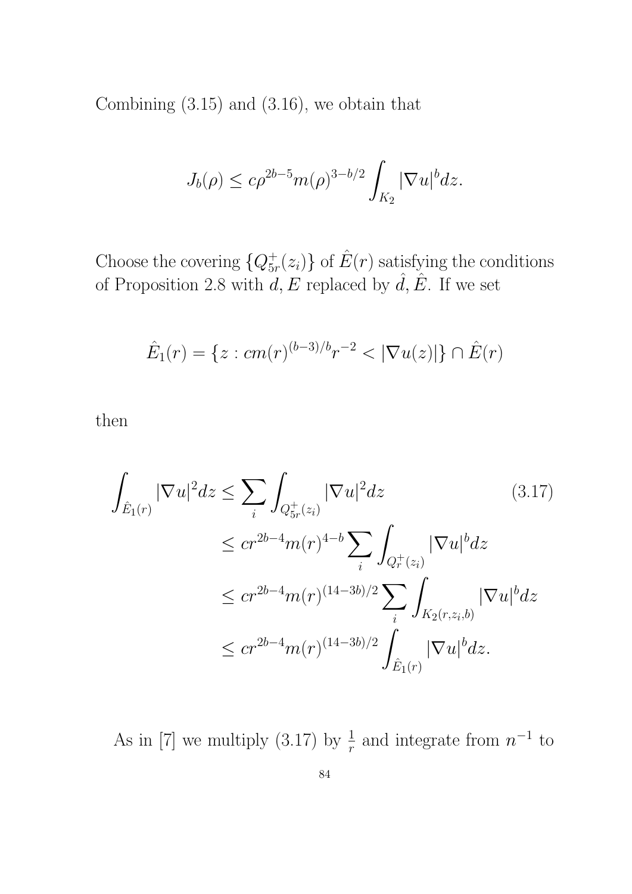Combining (3.15) and (3.16), we obtain that

$$
J_b(\rho) \le c\rho^{2b-5}m(\rho)^{3-b/2}\int_{K_2}|\nabla u|^b dz.
$$

Choose the covering  $\{Q_{5i}^+\}$  $\hat{f}_{5r}(z_i)$  of  $\hat{E}(r)$  satisfying the conditions of Proposition 2.8 with  $\tilde{d}$ ,  $\tilde{E}$  replaced by  $\hat{d}$ ,  $\hat{E}$ . If we set

$$
\hat{E}_1(r) = \{ z : cm(r)^{(b-3)/b}r^{-2} < |\nabla u(z)| \} \cap \hat{E}(r)
$$

then

$$
\int_{\hat{E}_1(r)} |\nabla u|^2 dz \le \sum_i \int_{Q_{5r}^+(z_i)} |\nabla u|^2 dz \qquad (3.17)
$$
\n
$$
\le c r^{2b-4} m(r)^{4-b} \sum_i \int_{Q_r^+(z_i)} |\nabla u|^b dz
$$
\n
$$
\le c r^{2b-4} m(r)^{(14-3b)/2} \sum_i \int_{K_2(r,z_i,b)} |\nabla u|^b dz
$$
\n
$$
\le c r^{2b-4} m(r)^{(14-3b)/2} \int_{\hat{E}_1(r)} |\nabla u|^b dz.
$$

As in [7] we multiply (3.17) by  $\frac{1}{r}$  and integrate from  $n^{-1}$  to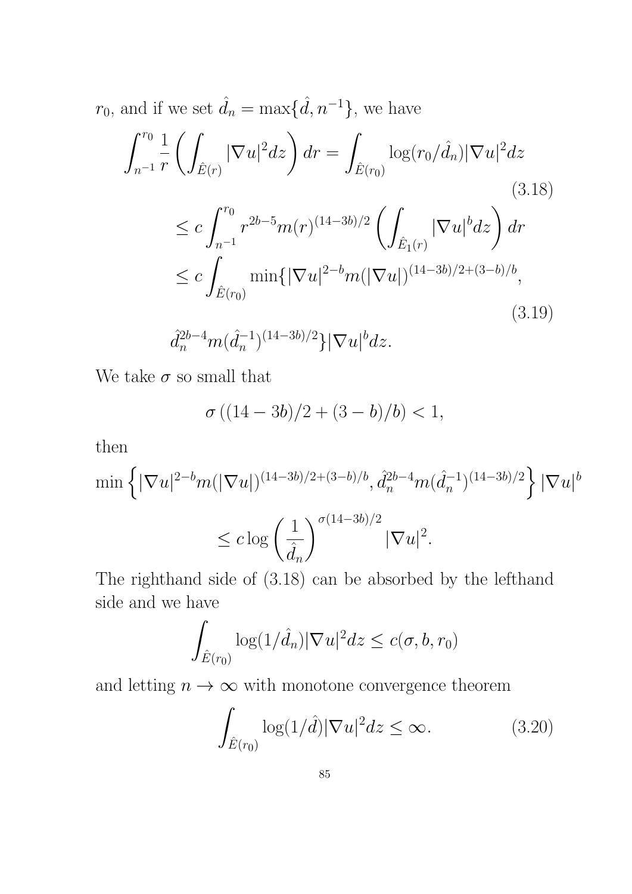$r_0$ , and if we set  $\hat{d}_n = \max{\{\hat{d}, n^{-1}\}}$ , we have

$$
\int_{n^{-1}}^{r_0} \frac{1}{r} \left( \int_{\hat{E}(r)} |\nabla u|^2 dz \right) dr = \int_{\hat{E}(r_0)} \log(r_0/\hat{d}_n) |\nabla u|^2 dz
$$
\n(3.18)\n
$$
\leq c \int_{n^{-1}}^{r_0} r^{2b-5} m(r)^{(14-3b)/2} \left( \int_{\hat{E}_1(r)} |\nabla u|^b dz \right) dr
$$
\n
$$
\leq c \int_{\hat{E}(r_0)} \min\{ |\nabla u|^{2-b} m(|\nabla u|)^{(14-3b)/2+(3-b)/b},
$$
\n(3.19)\n
$$
\hat{d}_n^{2b-4} m(\hat{d}_n^{-1})^{(14-3b)/2} \} |\nabla u|^b dz.
$$

We take  $\sigma$  so small that

$$
\sigma ((14-3b)/2 + (3-b)/b) < 1,
$$

then

$$
\min \left\{ |\nabla u|^{2-b} m (|\nabla u|)^{(14-3b)/2 + (3-b)/b}, \hat{d}_n^{2b-4} m (\hat{d}_n^{-1})^{(14-3b)/2} \right\} |\nabla u|^b
$$
  

$$
\leq c \log \left( \frac{1}{\hat{d}_n} \right)^{\sigma (14-3b)/2} |\nabla u|^2.
$$

The righthand side of (3.18) can be absorbed by the lefthand side and we have

$$
\int_{\hat{E}(r_0)} \log(1/\hat{d}_n) |\nabla u|^2 dz \le c(\sigma, b, r_0)
$$

and letting  $n\to\infty$  with monotone convergence theorem

$$
\int_{\hat{E}(r_0)} \log(1/\hat{d}) |\nabla u|^2 dz \le \infty.
$$
 (3.20)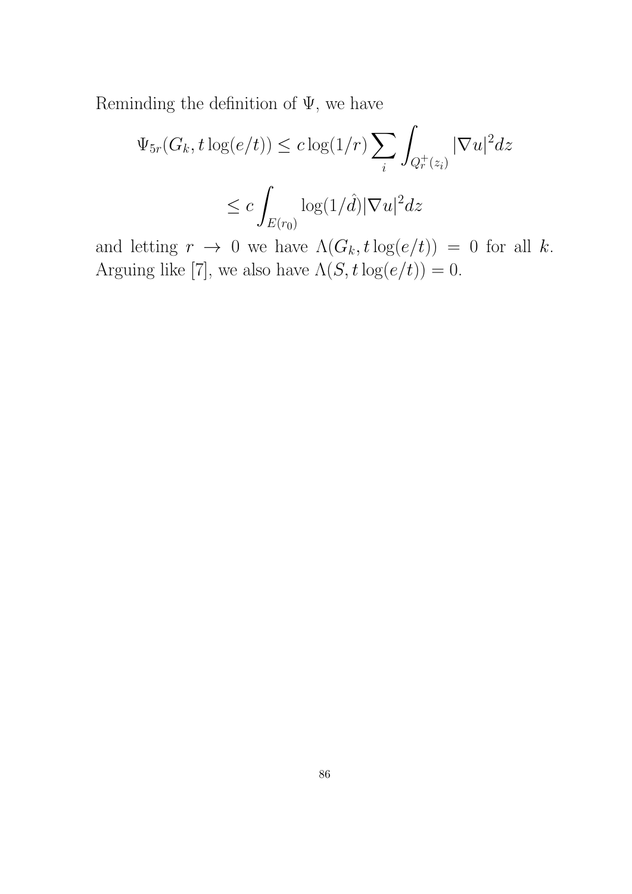Reminding the definition of  $\Psi$ , we have

$$
\Psi_{5r}(G_k, t \log(e/t)) \le c \log(1/r) \sum_i \int_{Q_r^+(z_i)} |\nabla u|^2 dz
$$
  

$$
\le c \int_{E(r_0)} \log(1/\hat{d}) |\nabla u|^2 dz
$$

and letting  $r \to 0$  we have  $\Lambda(G_k, t \log(e/t)) = 0$  for all k. Arguing like [7], we also have  $\Lambda(S, t \log(e/t)) = 0$ .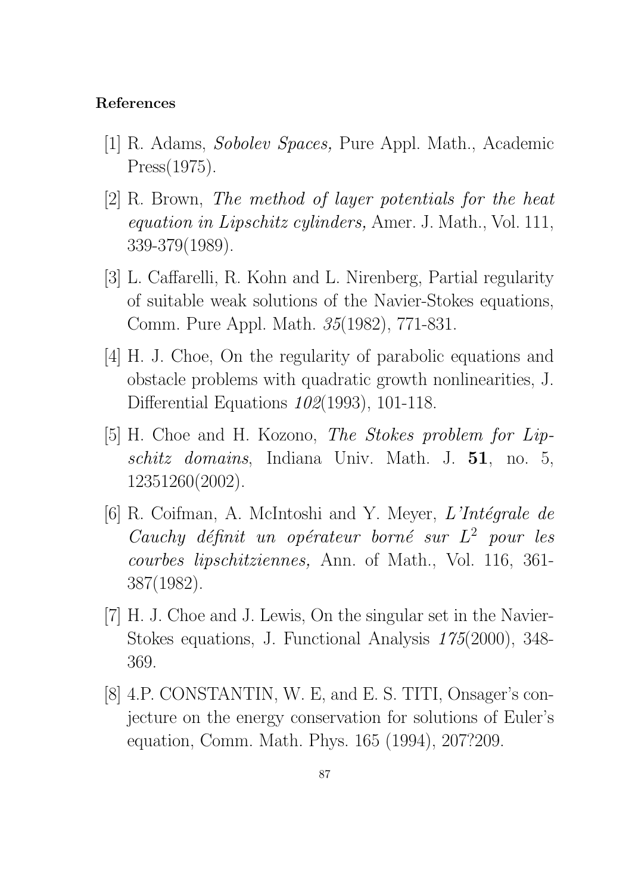## References

- [1] R. Adams, Sobolev Spaces, Pure Appl. Math., Academic Press(1975).
- [2] R. Brown, The method of layer potentials for the heat equation in Lipschitz cylinders, Amer. J. Math., Vol. 111, 339-379(1989).
- [3] L. Caffarelli, R. Kohn and L. Nirenberg, Partial regularity of suitable weak solutions of the Navier-Stokes equations, Comm. Pure Appl. Math. 35(1982), 771-831.
- [4] H. J. Choe, On the regularity of parabolic equations and obstacle problems with quadratic growth nonlinearities, J. Differential Equations 102(1993), 101-118.
- [5] H. Choe and H. Kozono, The Stokes problem for Lipschitz domains, Indiana Univ. Math. J. 51, no. 5, 12351260(2002).
- [6] R. Coifman, A. McIntoshi and Y. Meyer,  $L'Int\acute{e}grale$  de Cauchy définit un opérateur borné sur  $L^2$  pour les courbes lipschitziennes, Ann. of Math., Vol. 116, 361- 387(1982).
- [7] H. J. Choe and J. Lewis, On the singular set in the Navier-Stokes equations, J. Functional Analysis 175(2000), 348- 369.
- [8] 4.P. CONSTANTIN, W. E, and E. S. TITI, Onsager's conjecture on the energy conservation for solutions of Euler's equation, Comm. Math. Phys. 165 (1994), 207?209.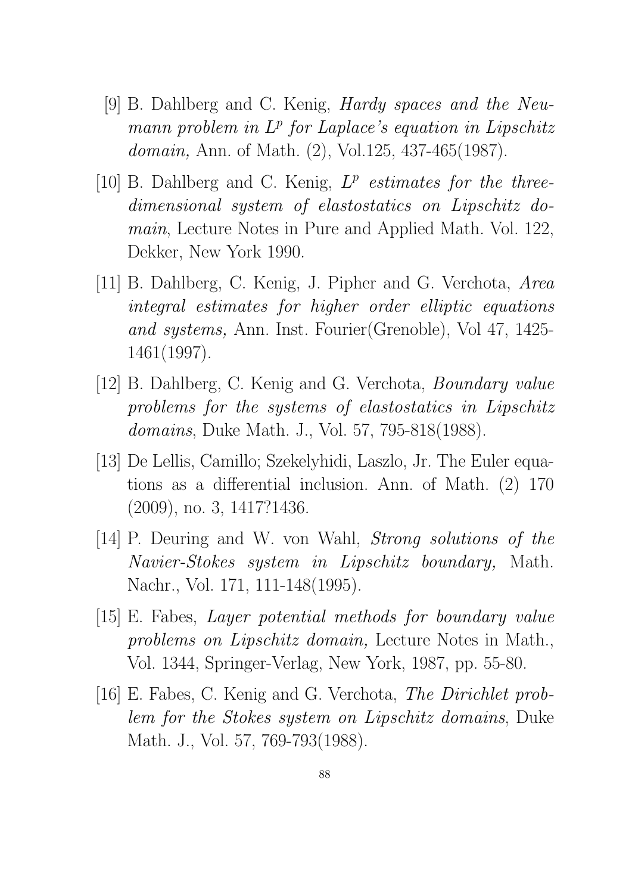- [9] B. Dahlberg and C. Kenig, Hardy spaces and the Neumann problem in  $L^p$  for Laplace's equation in Lipschitz domain, Ann. of Math. (2), Vol.125, 437-465(1987).
- [10] B. Dahlberg and C. Kenig,  $L^p$  estimates for the threedimensional system of elastostatics on Lipschitz domain, Lecture Notes in Pure and Applied Math. Vol. 122, Dekker, New York 1990.
- [11] B. Dahlberg, C. Kenig, J. Pipher and G. Verchota, Area integral estimates for higher order elliptic equations and systems, Ann. Inst. Fourier(Grenoble), Vol 47, 1425- 1461(1997).
- [12] B. Dahlberg, C. Kenig and G. Verchota, Boundary value problems for the systems of elastostatics in Lipschitz domains, Duke Math. J., Vol. 57, 795-818(1988).
- [13] De Lellis, Camillo; Szekelyhidi, Laszlo, Jr. The Euler equations as a differential inclusion. Ann. of Math. (2) 170 (2009), no. 3, 1417?1436.
- [14] P. Deuring and W. von Wahl, *Strong solutions of the* Navier-Stokes system in Lipschitz boundary, Math. Nachr., Vol. 171, 111-148(1995).
- [15] E. Fabes, Layer potential methods for boundary value problems on Lipschitz domain, Lecture Notes in Math., Vol. 1344, Springer-Verlag, New York, 1987, pp. 55-80.
- [16] E. Fabes, C. Kenig and G. Verchota, The Dirichlet problem for the Stokes system on Lipschitz domains, Duke Math. J., Vol. 57, 769-793(1988).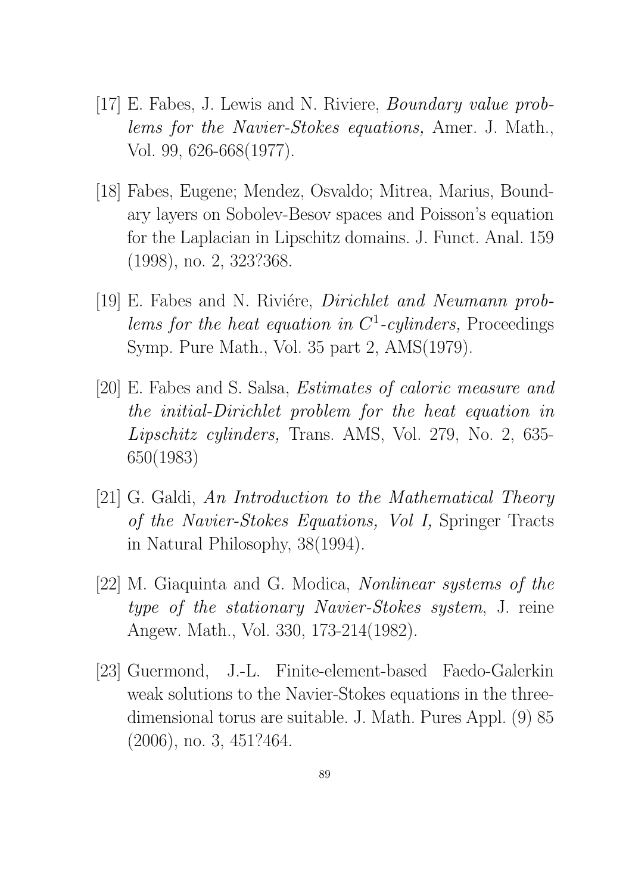- [17] E. Fabes, J. Lewis and N. Riviere, Boundary value problems for the Navier-Stokes equations, Amer. J. Math., Vol. 99, 626-668(1977).
- [18] Fabes, Eugene; Mendez, Osvaldo; Mitrea, Marius, Boundary layers on Sobolev-Besov spaces and Poisson's equation for the Laplacian in Lipschitz domains. J. Funct. Anal. 159 (1998), no. 2, 323?368.
- [19] E. Fabes and N. Riviére, *Dirichlet and Neumann prob*lems for the heat equation in  $C^1$ -cylinders, Proceedings Symp. Pure Math., Vol. 35 part 2, AMS(1979).
- [20] E. Fabes and S. Salsa, Estimates of caloric measure and the initial-Dirichlet problem for the heat equation in Lipschitz cylinders, Trans. AMS, Vol. 279, No. 2, 635- 650(1983)
- [21] G. Galdi, An Introduction to the Mathematical Theory of the Navier-Stokes Equations, Vol I, Springer Tracts in Natural Philosophy, 38(1994).
- [22] M. Giaquinta and G. Modica, Nonlinear systems of the type of the stationary Navier-Stokes system, J. reine Angew. Math., Vol. 330, 173-214(1982).
- [23] Guermond, J.-L. Finite-element-based Faedo-Galerkin weak solutions to the Navier-Stokes equations in the threedimensional torus are suitable. J. Math. Pures Appl. (9) 85 (2006), no. 3, 451?464.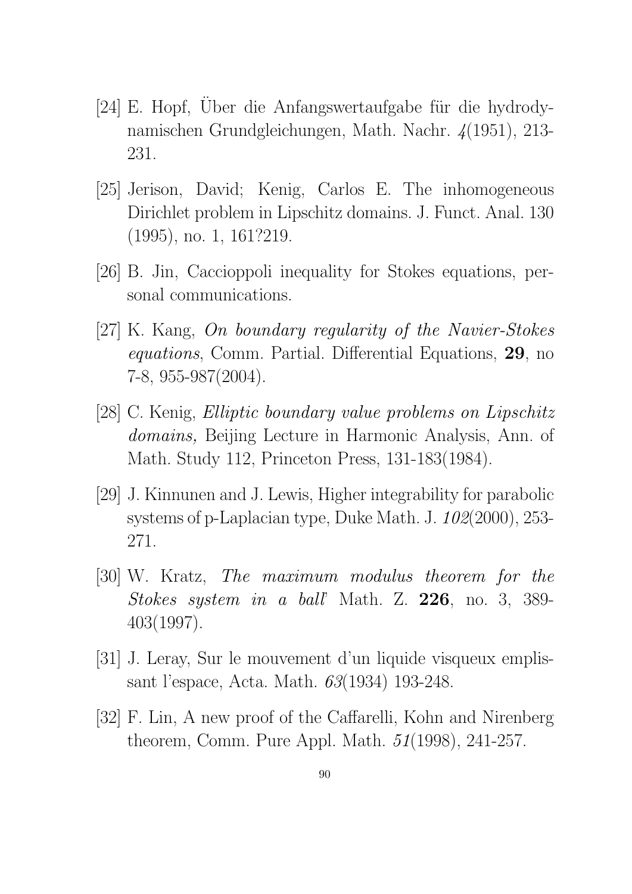- [24] E. Hopf, Über die Anfangswertaufgabe für die hydrodynamischen Grundgleichungen, Math. Nachr. 4(1951), 213- 231.
- [25] Jerison, David; Kenig, Carlos E. The inhomogeneous Dirichlet problem in Lipschitz domains. J. Funct. Anal. 130 (1995), no. 1, 161?219.
- [26] B. Jin, Caccioppoli inequality for Stokes equations, personal communications.
- [27] K. Kang, On boundary regularity of the Navier-Stokes equations, Comm. Partial. Differential Equations, 29, no 7-8, 955-987(2004).
- [28] C. Kenig, Elliptic boundary value problems on Lipschitz domains, Beijing Lecture in Harmonic Analysis, Ann. of Math. Study 112, Princeton Press, 131-183(1984).
- [29] J. Kinnunen and J. Lewis, Higher integrability for parabolic systems of p-Laplacian type, Duke Math. J. 102(2000), 253- 271.
- [30] W. Kratz, The maximum modulus theorem for the Stokes system in a ball' Math. Z. 226, no. 3, 389- 403(1997).
- [31] J. Leray, Sur le mouvement d'un liquide visqueux emplissant l'espace, Acta. Math. 63(1934) 193-248.
- [32] F. Lin, A new proof of the Caffarelli, Kohn and Nirenberg theorem, Comm. Pure Appl. Math. 51(1998), 241-257.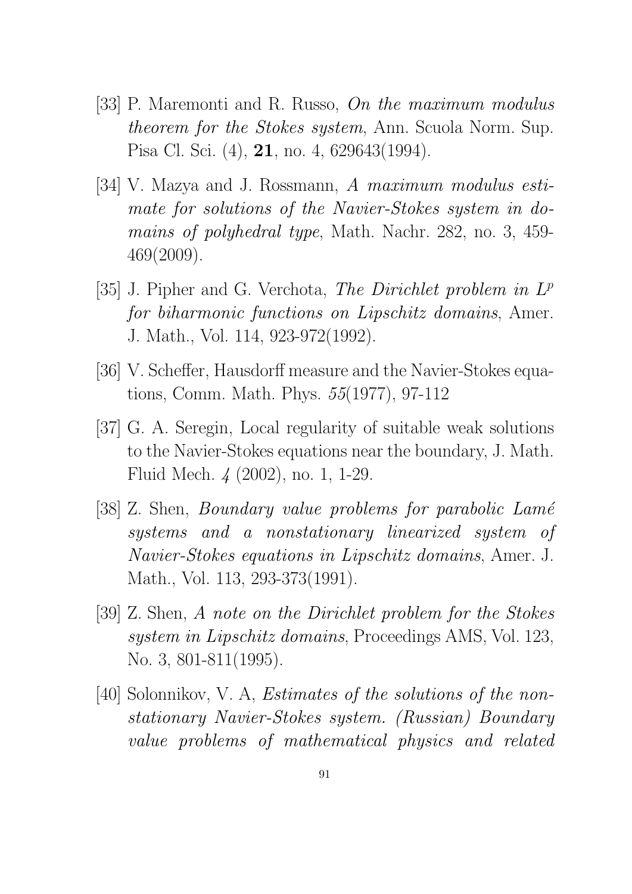- [33] P. Maremonti and R. Russo, On the maximum modulus theorem for the Stokes system, Ann. Scuola Norm. Sup. Pisa Cl. Sci. (4), 21, no. 4, 629643(1994).
- [34] V. Mazya and J. Rossmann, A maximum modulus estimate for solutions of the Navier-Stokes system in domains of polyhedral type, Math. Nachr. 282, no. 3, 459- 469(2009).
- [35] J. Pipher and G. Verchota, The Dirichlet problem in  $L^p$ for biharmonic functions on Lipschitz domains, Amer. J. Math., Vol. 114, 923-972(1992).
- [36] V. Scheffer, Hausdorff measure and the Navier-Stokes equations, Comm. Math. Phys. 55(1977), 97-112
- [37] G. A. Seregin, Local regularity of suitable weak solutions to the Navier-Stokes equations near the boundary, J. Math. Fluid Mech. 4 (2002), no. 1, 1-29.
- [38] Z. Shen, *Boundary value problems for parabolic Lamé* systems and a nonstationary linearized system of Navier-Stokes equations in Lipschitz domains, Amer. J. Math., Vol. 113, 293-373(1991).
- [39] Z. Shen, A note on the Dirichlet problem for the Stokes system in Lipschitz domains, Proceedings AMS, Vol. 123, No. 3, 801-811(1995).
- [40] Solonnikov, V. A, Estimates of the solutions of the nonstationary Navier-Stokes system. (Russian) Boundary value problems of mathematical physics and related